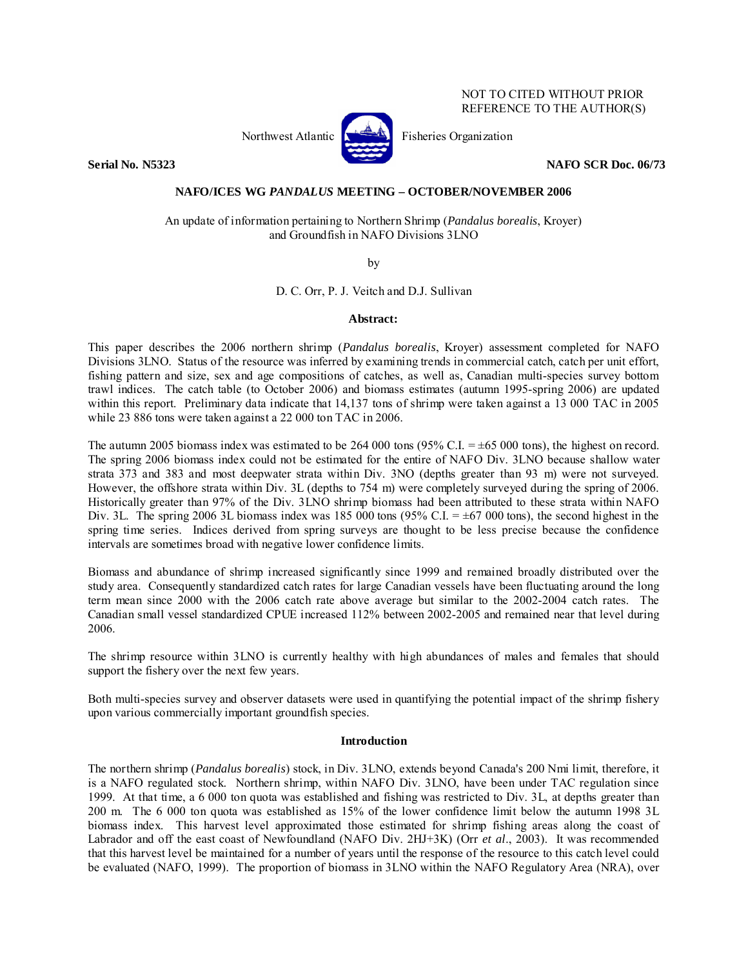## NOT TO CITED WITHOUT PRIOR REFERENCE TO THE AUTHOR(S)



Northwest Atlantic  $\left[\begin{matrix} 1 & 1 \\ 1 & 1 \end{matrix}\right]$  Fisheries Organization

**Serial No. N5323 NAFO SCR Doc. 06/73** 

## **NAFO/ICES WG** *PANDALUS* **MEETING – OCTOBER/NOVEMBER 2006**

An update of information pertaining to Northern Shrimp (*Pandalus borealis*, Kroyer) and Groundfish in NAFO Divisions 3LNO

by

D. C. Orr, P. J. Veitch and D.J. Sullivan

### **Abstract:**

This paper describes the 2006 northern shrimp (*Pandalus borealis*, Kroyer) assessment completed for NAFO Divisions 3LNO. Status of the resource was inferred by examining trends in commercial catch, catch per unit effort, fishing pattern and size, sex and age compositions of catches, as well as, Canadian multi-species survey bottom trawl indices. The catch table (to October 2006) and biomass estimates (autumn 1995-spring 2006) are updated within this report. Preliminary data indicate that 14,137 tons of shrimp were taken against a 13 000 TAC in 2005 while 23 886 tons were taken against a 22 000 ton TAC in 2006.

The autumn 2005 biomass index was estimated to be 264 000 tons (95% C.I.  $= \pm 65 000$  tons), the highest on record. The spring 2006 biomass index could not be estimated for the entire of NAFO Div. 3LNO because shallow water strata 373 and 383 and most deepwater strata within Div. 3NO (depths greater than 93 m) were not surveyed. However, the offshore strata within Div. 3L (depths to 754 m) were completely surveyed during the spring of 2006. Historically greater than 97% of the Div. 3LNO shrimp biomass had been attributed to these strata within NAFO Div. 3L. The spring 2006 3L biomass index was 185 000 tons (95% C.I. =  $\pm$ 67 000 tons), the second highest in the spring time series. Indices derived from spring surveys are thought to be less precise because the confidence intervals are sometimes broad with negative lower confidence limits.

Biomass and abundance of shrimp increased significantly since 1999 and remained broadly distributed over the study area. Consequently standardized catch rates for large Canadian vessels have been fluctuating around the long term mean since 2000 with the 2006 catch rate above average but similar to the 2002-2004 catch rates. The Canadian small vessel standardized CPUE increased 112% between 2002-2005 and remained near that level during 2006.

The shrimp resource within 3LNO is currently healthy with high abundances of males and females that should support the fishery over the next few years.

Both multi-species survey and observer datasets were used in quantifying the potential impact of the shrimp fishery upon various commercially important groundfish species.

#### **Introduction**

The northern shrimp (*Pandalus borealis*) stock, in Div. 3LNO, extends beyond Canada's 200 Nmi limit, therefore, it is a NAFO regulated stock. Northern shrimp, within NAFO Div. 3LNO, have been under TAC regulation since 1999. At that time, a 6 000 ton quota was established and fishing was restricted to Div. 3L, at depths greater than 200 m. The 6 000 ton quota was established as 15% of the lower confidence limit below the autumn 1998 3L biomass index. This harvest level approximated those estimated for shrimp fishing areas along the coast of Labrador and off the east coast of Newfoundland (NAFO Div. 2HJ+3K) (Orr *et al*., 2003). It was recommended that this harvest level be maintained for a number of years until the response of the resource to this catch level could be evaluated (NAFO, 1999). The proportion of biomass in 3LNO within the NAFO Regulatory Area (NRA), over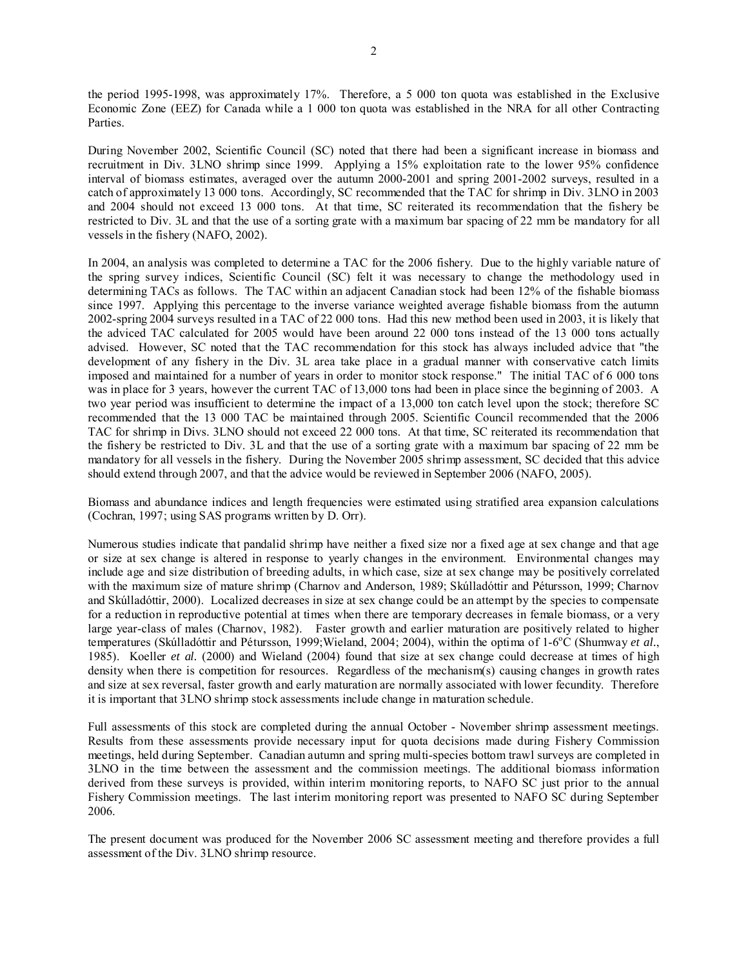the period 1995-1998, was approximately 17%. Therefore, a 5 000 ton quota was established in the Exclusive Economic Zone (EEZ) for Canada while a 1 000 ton quota was established in the NRA for all other Contracting Parties.

During November 2002, Scientific Council (SC) noted that there had been a significant increase in biomass and recruitment in Div. 3LNO shrimp since 1999. Applying a 15% exploitation rate to the lower 95% confidence interval of biomass estimates, averaged over the autumn 2000-2001 and spring 2001-2002 surveys, resulted in a catch of approximately 13 000 tons. Accordingly, SC recommended that the TAC for shrimp in Div. 3LNO in 2003 and 2004 should not exceed 13 000 tons. At that time, SC reiterated its recommendation that the fishery be restricted to Div. 3L and that the use of a sorting grate with a maximum bar spacing of 22 mm be mandatory for all vessels in the fishery (NAFO, 2002).

In 2004, an analysis was completed to determine a TAC for the 2006 fishery. Due to the highly variable nature of the spring survey indices, Scientific Council (SC) felt it was necessary to change the methodology used in determining TACs as follows. The TAC within an adjacent Canadian stock had been 12% of the fishable biomass since 1997. Applying this percentage to the inverse variance weighted average fishable biomass from the autumn 2002-spring 2004 surveys resulted in a TAC of 22 000 tons. Had this new method been used in 2003, it is likely that the adviced TAC calculated for 2005 would have been around 22 000 tons instead of the 13 000 tons actually advised. However, SC noted that the TAC recommendation for this stock has always included advice that "the development of any fishery in the Div. 3L area take place in a gradual manner with conservative catch limits imposed and maintained for a number of years in order to monitor stock response." The initial TAC of 6 000 tons was in place for 3 years, however the current TAC of 13,000 tons had been in place since the beginning of 2003. A two year period was insufficient to determine the impact of a 13,000 ton catch level upon the stock; therefore SC recommended that the 13 000 TAC be maintained through 2005. Scientific Council recommended that the 2006 TAC for shrimp in Divs. 3LNO should not exceed 22 000 tons. At that time, SC reiterated its recommendation that the fishery be restricted to Div. 3L and that the use of a sorting grate with a maximum bar spacing of 22 mm be mandatory for all vessels in the fishery. During the November 2005 shrimp assessment, SC decided that this advice should extend through 2007, and that the advice would be reviewed in September 2006 (NAFO, 2005).

Biomass and abundance indices and length frequencies were estimated using stratified area expansion calculations (Cochran, 1997; using SAS programs written by D. Orr).

Numerous studies indicate that pandalid shrimp have neither a fixed size nor a fixed age at sex change and that age or size at sex change is altered in response to yearly changes in the environment. Environmental changes may include age and size distribution of breeding adults, in which case, size at sex change may be positively correlated with the maximum size of mature shrimp (Charnov and Anderson, 1989; Skúlladóttir and Pétursson, 1999; Charnov and Skúlladóttir, 2000). Localized decreases in size at sex change could be an attempt by the species to compensate for a reduction in reproductive potential at times when there are temporary decreases in female biomass, or a very large year-class of males (Charnov, 1982). Faster growth and earlier maturation are positively related to higher temperatures (Skúlladóttir and Pétursson, 1999; Wieland, 2004; 2004), within the optima of 1-6<sup>o</sup>C (Shumway *et al.*, 1985). Koeller *et al.* (2000) and Wieland (2004) found that size at sex change could decrease at times of high density when there is competition for resources. Regardless of the mechanism(s) causing changes in growth rates and size at sex reversal, faster growth and early maturation are normally associated with lower fecundity. Therefore it is important that 3LNO shrimp stock assessments include change in maturation schedule.

Full assessments of this stock are completed during the annual October - November shrimp assessment meetings. Results from these assessments provide necessary input for quota decisions made during Fishery Commission meetings, held during September. Canadian autumn and spring multi-species bottom trawl surveys are completed in 3LNO in the time between the assessment and the commission meetings. The additional biomass information derived from these surveys is provided, within interim monitoring reports, to NAFO SC just prior to the annual Fishery Commission meetings. The last interim monitoring report was presented to NAFO SC during September 2006.

The present document was produced for the November 2006 SC assessment meeting and therefore provides a full assessment of the Div. 3LNO shrimp resource.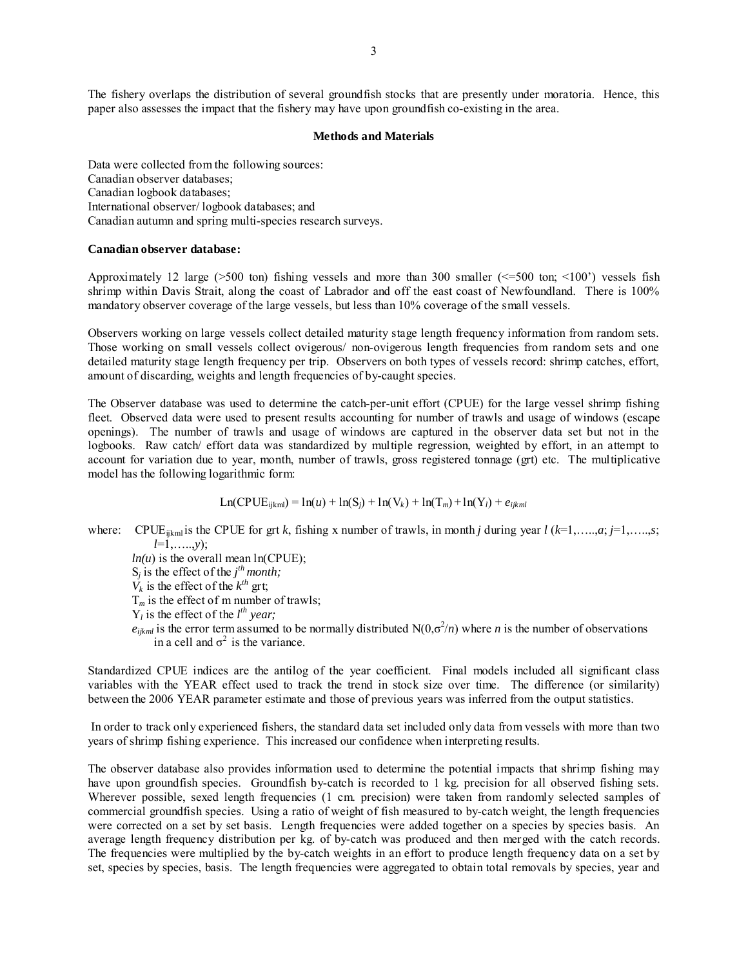The fishery overlaps the distribution of several groundfish stocks that are presently under moratoria. Hence, this paper also assesses the impact that the fishery may have upon groundfish co-existing in the area.

#### **Methods and Materials**

Data were collected from the following sources: Canadian observer databases; Canadian logbook databases; International observer/ logbook databases; and Canadian autumn and spring multi-species research surveys.

## **Canadian observer database:**

Approximately 12 large ( $>500$  ton) fishing vessels and more than 300 smaller ( $\leq 500$  ton;  $\leq 100'$ ) vessels fish shrimp within Davis Strait, along the coast of Labrador and off the east coast of Newfoundland. There is 100% mandatory observer coverage of the large vessels, but less than 10% coverage of the small vessels.

Observers working on large vessels collect detailed maturity stage length frequency information from random sets. Those working on small vessels collect ovigerous/ non-ovigerous length frequencies from random sets and one detailed maturity stage length frequency per trip. Observers on both types of vessels record: shrimp catches, effort, amount of discarding, weights and length frequencies of by-caught species.

The Observer database was used to determine the catch-per-unit effort (CPUE) for the large vessel shrimp fishing fleet. Observed data were used to present results accounting for number of trawls and usage of windows (escape openings). The number of trawls and usage of windows are captured in the observer data set but not in the logbooks. Raw catch/ effort data was standardized by multiple regression, weighted by effort, in an attempt to account for variation due to year, month, number of trawls, gross registered tonnage (grt) etc. The multiplicative model has the following logarithmic form:

Ln(CPUEijkml) = ln(*u*) + ln(S*j*) + ln(V*k*) + ln(T*m*) +ln(Y*l*) + *eijkml*

where: CPUE<sub>ijkm</sub> is the CPUE for grt *k*, fishing x number of trawls, in month *j* during year *l* ( $k=1, \ldots, a; j=1, \ldots, s;$ ) *l*=1,…..,*y*);

 $ln(u)$  is the overall mean  $ln(CPUE)$ ;

 $S_j$  is the effect of the  $j<sup>th</sup>$  month;

 $V_k$  is the effect of the  $k^{th}$  grt;

 $T_m$  is the effect of m number of trawls;

 $Y_l$  is the effect of the  $l^{th}$  year;

 $e_{ijkl}$  is the error term assumed to be normally distributed  $N(0,\sigma^2/n)$  where *n* is the number of observations in a cell and  $\sigma^2$  is the variance.

Standardized CPUE indices are the antilog of the year coefficient. Final models included all significant class variables with the YEAR effect used to track the trend in stock size over time. The difference (or similarity) between the 2006 YEAR parameter estimate and those of previous years was inferred from the output statistics.

 In order to track only experienced fishers, the standard data set included only data from vessels with more than two years of shrimp fishing experience. This increased our confidence when interpreting results.

The observer database also provides information used to determine the potential impacts that shrimp fishing may have upon groundfish species. Groundfish by-catch is recorded to 1 kg precision for all observed fishing sets. Wherever possible, sexed length frequencies (1 cm. precision) were taken from randomly selected samples of commercial groundfish species. Using a ratio of weight of fish measured to by-catch weight, the length frequencies were corrected on a set by set basis. Length frequencies were added together on a species by species basis. An average length frequency distribution per kg. of by-catch was produced and then merged with the catch records. The frequencies were multiplied by the by-catch weights in an effort to produce length frequency data on a set by set, species by species, basis. The length frequencies were aggregated to obtain total removals by species, year and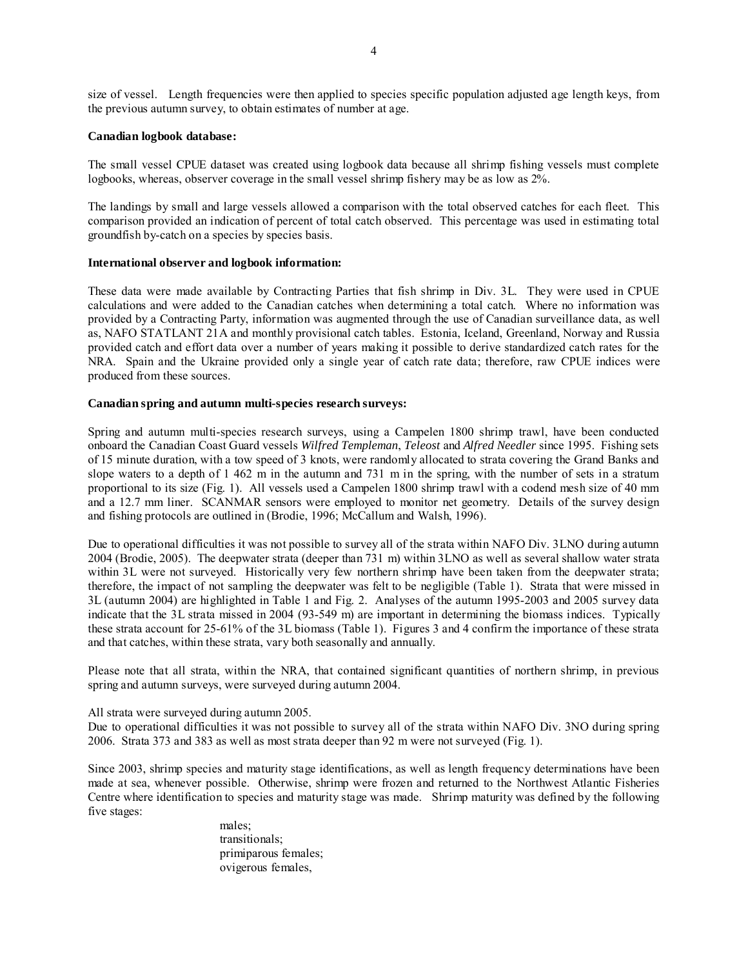size of vessel. Length frequencies were then applied to species specific population adjusted age length keys, from the previous autumn survey, to obtain estimates of number at age.

### **Canadian logbook database:**

The small vessel CPUE dataset was created using logbook data because all shrimp fishing vessels must complete logbooks, whereas, observer coverage in the small vessel shrimp fishery may be as low as 2%.

The landings by small and large vessels allowed a comparison with the total observed catches for each fleet. This comparison provided an indication of percent of total catch observed. This percentage was used in estimating total groundfish by-catch on a species by species basis.

### **International observer and logbook information:**

These data were made available by Contracting Parties that fish shrimp in Div. 3L. They were used in CPUE calculations and were added to the Canadian catches when determining a total catch. Where no information was provided by a Contracting Party, information was augmented through the use of Canadian surveillance data, as well as, NAFO STATLANT 21A and monthly provisional catch tables. Estonia, Iceland, Greenland, Norway and Russia provided catch and effort data over a number of years making it possible to derive standardized catch rates for the NRA. Spain and the Ukraine provided only a single year of catch rate data; therefore, raw CPUE indices were produced from these sources.

## **Canadian spring and autumn multi-species research surveys:**

Spring and autumn multi-species research surveys, using a Campelen 1800 shrimp trawl, have been conducted onboard the Canadian Coast Guard vessels *Wilfred Templeman*, *Teleost* and *Alfred Needler* since 1995. Fishing sets of 15 minute duration, with a tow speed of 3 knots, were randomly allocated to strata covering the Grand Banks and slope waters to a depth of 1 462 m in the autumn and 731 m in the spring, with the number of sets in a stratum proportional to its size (Fig. 1). All vessels used a Campelen 1800 shrimp trawl with a codend mesh size of 40 mm and a 12.7 mm liner. SCANMAR sensors were employed to monitor net geometry. Details of the survey design and fishing protocols are outlined in (Brodie, 1996; McCallum and Walsh, 1996).

Due to operational difficulties it was not possible to survey all of the strata within NAFO Div. 3LNO during autumn 2004 (Brodie, 2005). The deepwater strata (deeper than 731 m) within 3LNO as well as several shallow water strata within 3L were not surveyed. Historically very few northern shrimp have been taken from the deepwater strata; therefore, the impact of not sampling the deepwater was felt to be negligible (Table 1). Strata that were missed in 3L (autumn 2004) are highlighted in Table 1 and Fig. 2. Analyses of the autumn 1995-2003 and 2005 survey data indicate that the 3L strata missed in 2004 (93-549 m) are important in determining the biomass indices. Typically these strata account for 25-61% of the 3L biomass (Table 1). Figures 3 and 4 confirm the importance of these strata and that catches, within these strata, vary both seasonally and annually.

Please note that all strata, within the NRA, that contained significant quantities of northern shrimp, in previous spring and autumn surveys, were surveyed during autumn 2004.

All strata were surveyed during autumn 2005.

Due to operational difficulties it was not possible to survey all of the strata within NAFO Div. 3NO during spring 2006. Strata 373 and 383 as well as most strata deeper than 92 m were not surveyed (Fig. 1).

Since 2003, shrimp species and maturity stage identifications, as well as length frequency determinations have been made at sea, whenever possible. Otherwise, shrimp were frozen and returned to the Northwest Atlantic Fisheries Centre where identification to species and maturity stage was made. Shrimp maturity was defined by the following five stages:

> males; transitionals; primiparous females; ovigerous females,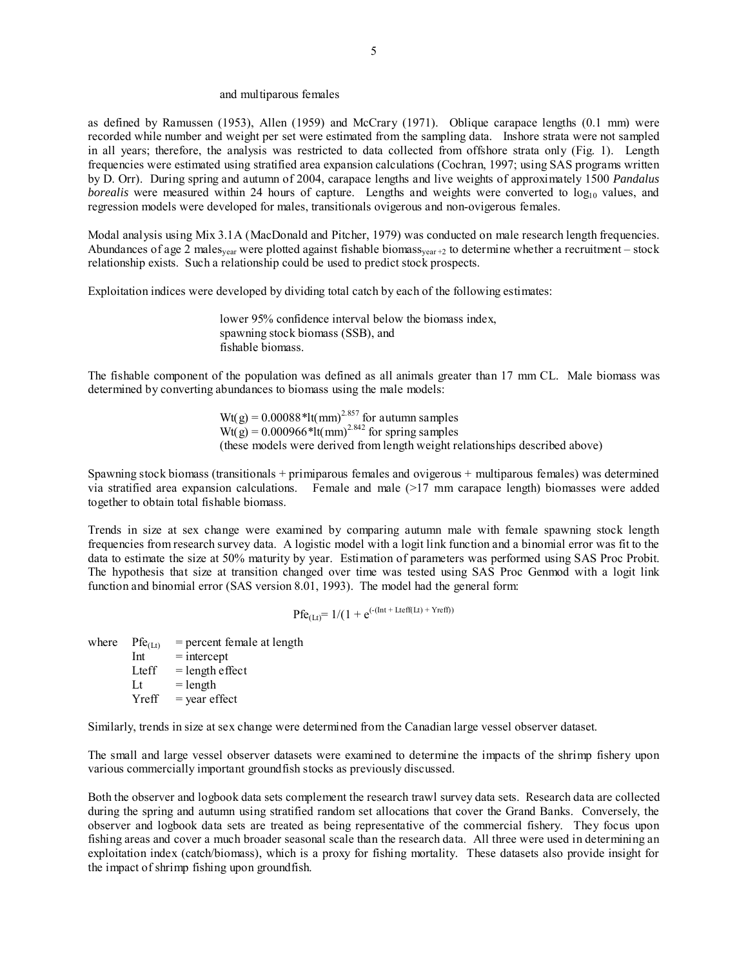#### and multiparous females

as defined by Ramussen (1953), Allen (1959) and McCrary (1971). Oblique carapace lengths (0.1 mm) were recorded while number and weight per set were estimated from the sampling data. Inshore strata were not sampled in all years; therefore, the analysis was restricted to data collected from offshore strata only (Fig. 1). Length frequencies were estimated using stratified area expansion calculations (Cochran, 1997; using SAS programs written by D. Orr). During spring and autumn of 2004, carapace lengths and live weights of approximately 1500 *Pandalus borealis* were measured within 24 hours of capture. Lengths and weights were converted to  $log_{10}$  values, and regression models were developed for males, transitionals ovigerous and non-ovigerous females.

Modal analysis using Mix 3.1A (MacDonald and Pitcher, 1979) was conducted on male research length frequencies. Abundances of age 2 males<sub>year</sub> were plotted against fishable biomass<sub>year +2</sub> to determine whether a recruitment – stock relationship exists. Such a relationship could be used to predict stock prospects.

Exploitation indices were developed by dividing total catch by each of the following estimates:

lower 95% confidence interval below the biomass index, spawning stock biomass (SSB), and fishable biomass.

The fishable component of the population was defined as all animals greater than 17 mm CL. Male biomass was determined by converting abundances to biomass using the male models:

> $Wt(g) = 0.00088*lt/mm^{2.857}$  for autumn samples  $Wt(g) = 0.000966*lt/mm^{2.842}$  for spring samples (these models were derived from length weight relationships described above)

Spawning stock biomass (transitionals + primiparous females and ovigerous + multiparous females) was determined via stratified area expansion calculations. Female and male (>17 mm carapace length) biomasses were added together to obtain total fishable biomass.

Trends in size at sex change were examined by comparing autumn male with female spawning stock length frequencies from research survey data. A logistic model with a logit link function and a binomial error was fit to the data to estimate the size at 50% maturity by year. Estimation of parameters was performed using SAS Proc Probit. The hypothesis that size at transition changed over time was tested using SAS Proc Genmod with a logit link function and binomial error (SAS version 8.01, 1993). The model had the general form:

 $Pf_{C(I_t)} = 1/(1 + e^{(-(\text{Int} + \text{Letff}(Lt) + Yreff))})$ 

where  $\text{Pfe}_{(1,t)} = \text{percent female at length}$ 

 $Int = intercept$ Lteff  $=$  length effect  $Lt = length$  $Yreff = year effect$ 

Similarly, trends in size at sex change were determined from the Canadian large vessel observer dataset.

The small and large vessel observer datasets were examined to determine the impacts of the shrimp fishery upon various commercially important groundfish stocks as previously discussed.

Both the observer and logbook data sets complement the research trawl survey data sets. Research data are collected during the spring and autumn using stratified random set allocations that cover the Grand Banks. Conversely, the observer and logbook data sets are treated as being representative of the commercial fishery. They focus upon fishing areas and cover a much broader seasonal scale than the research data. All three were used in determining an exploitation index (catch/biomass), which is a proxy for fishing mortality. These datasets also provide insight for the impact of shrimp fishing upon groundfish.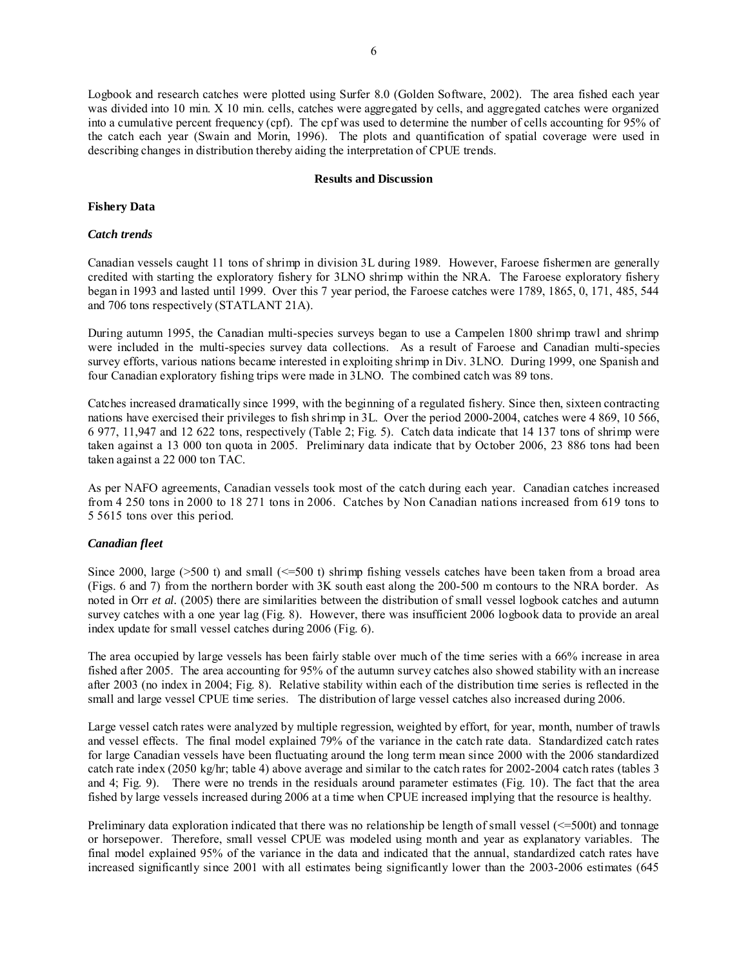Logbook and research catches were plotted using Surfer 8.0 (Golden Software, 2002). The area fished each year was divided into 10 min. X 10 min. cells, catches were aggregated by cells, and aggregated catches were organized into a cumulative percent frequency (cpf). The cpf was used to determine the number of cells accounting for 95% of the catch each year (Swain and Morin, 1996). The plots and quantification of spatial coverage were used in describing changes in distribution thereby aiding the interpretation of CPUE trends.

## **Results and Discussion**

## **Fishery Data**

## *Catch trends*

Canadian vessels caught 11 tons of shrimp in division 3L during 1989. However, Faroese fishermen are generally credited with starting the exploratory fishery for 3LNO shrimp within the NRA. The Faroese exploratory fishery began in 1993 and lasted until 1999. Over this 7 year period, the Faroese catches were 1789, 1865, 0, 171, 485, 544 and 706 tons respectively (STATLANT 21A).

During autumn 1995, the Canadian multi-species surveys began to use a Campelen 1800 shrimp trawl and shrimp were included in the multi-species survey data collections. As a result of Faroese and Canadian multi-species survey efforts, various nations became interested in exploiting shrimp in Div. 3LNO. During 1999, one Spanish and four Canadian exploratory fishing trips were made in 3LNO. The combined catch was 89 tons.

Catches increased dramatically since 1999, with the beginning of a regulated fishery. Since then, sixteen contracting nations have exercised their privileges to fish shrimp in 3L. Over the period 2000-2004, catches were 4 869, 10 566, 6 977, 11,947 and 12 622 tons, respectively (Table 2; Fig. 5). Catch data indicate that 14 137 tons of shrimp were taken against a 13 000 ton quota in 2005. Preliminary data indicate that by October 2006, 23 886 tons had been taken against a 22 000 ton TAC.

As per NAFO agreements, Canadian vessels took most of the catch during each year. Canadian catches increased from 4 250 tons in 2000 to 18 271 tons in 2006. Catches by Non Canadian nations increased from 619 tons to 5 5615 tons over this period.

## *Canadian fleet*

Since 2000, large ( $>500$  t) and small ( $\leq=500$  t) shrimp fishing vessels catches have been taken from a broad area (Figs. 6 and 7) from the northern border with 3K south east along the 200-500 m contours to the NRA border. As noted in Orr *et al.* (2005) there are similarities between the distribution of small vessel logbook catches and autumn survey catches with a one year lag (Fig. 8). However, there was insufficient 2006 logbook data to provide an areal index update for small vessel catches during 2006 (Fig. 6).

The area occupied by large vessels has been fairly stable over much of the time series with a 66% increase in area fished after 2005. The area accounting for 95% of the autumn survey catches also showed stability with an increase after 2003 (no index in 2004; Fig. 8). Relative stability within each of the distribution time series is reflected in the small and large vessel CPUE time series. The distribution of large vessel catches also increased during 2006.

Large vessel catch rates were analyzed by multiple regression, weighted by effort, for year, month, number of trawls and vessel effects. The final model explained 79% of the variance in the catch rate data. Standardized catch rates for large Canadian vessels have been fluctuating around the long term mean since 2000 with the 2006 standardized catch rate index (2050 kg/hr; table 4) above average and similar to the catch rates for 2002-2004 catch rates (tables 3 and 4; Fig. 9). There were no trends in the residuals around parameter estimates (Fig. 10). The fact that the area fished by large vessels increased during 2006 at a time when CPUE increased implying that the resource is healthy.

Preliminary data exploration indicated that there was no relationship be length of small vessel (<=500t) and tonnage or horsepower. Therefore, small vessel CPUE was modeled using month and year as explanatory variables. The final model explained 95% of the variance in the data and indicated that the annual, standardized catch rates have increased significantly since 2001 with all estimates being significantly lower than the 2003-2006 estimates (645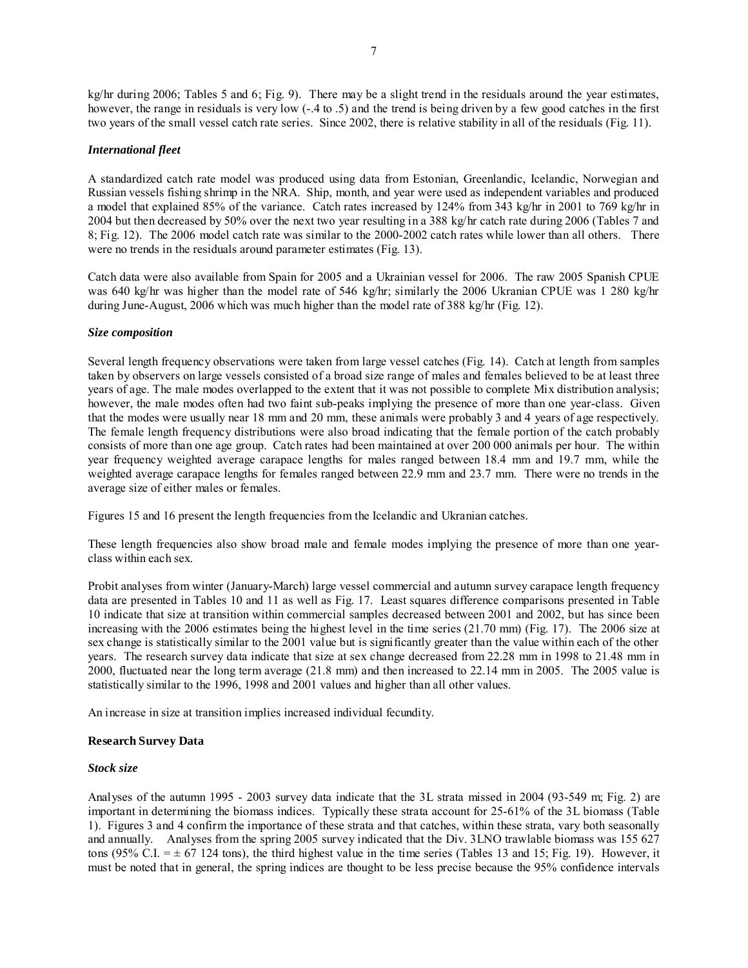kg/hr during 2006; Tables 5 and 6; Fig. 9). There may be a slight trend in the residuals around the year estimates, however, the range in residuals is very low (-.4 to .5) and the trend is being driven by a few good catches in the first two years of the small vessel catch rate series. Since 2002, there is relative stability in all of the residuals (Fig. 11).

## *International fleet*

A standardized catch rate model was produced using data from Estonian, Greenlandic, Icelandic, Norwegian and Russian vessels fishing shrimp in the NRA. Ship, month, and year were used as independent variables and produced a model that explained 85% of the variance. Catch rates increased by 124% from 343 kg/hr in 2001 to 769 kg/hr in 2004 but then decreased by 50% over the next two year resulting in a 388 kg/hr catch rate during 2006 (Tables 7 and 8; Fig. 12). The 2006 model catch rate was similar to the 2000-2002 catch rates while lower than all others. There were no trends in the residuals around parameter estimates (Fig. 13).

Catch data were also available from Spain for 2005 and a Ukrainian vessel for 2006. The raw 2005 Spanish CPUE was 640 kg/hr was higher than the model rate of 546 kg/hr; similarly the 2006 Ukranian CPUE was 1 280 kg/hr during June-August, 2006 which was much higher than the model rate of 388 kg/hr (Fig. 12).

## *Size composition*

Several length frequency observations were taken from large vessel catches (Fig. 14). Catch at length from samples taken by observers on large vessels consisted of a broad size range of males and females believed to be at least three years of age. The male modes overlapped to the extent that it was not possible to complete Mix distribution analysis; however, the male modes often had two faint sub-peaks implying the presence of more than one year-class. Given that the modes were usually near 18 mm and 20 mm, these animals were probably 3 and 4 years of age respectively. The female length frequency distributions were also broad indicating that the female portion of the catch probably consists of more than one age group. Catch rates had been maintained at over 200 000 animals per hour. The within year frequency weighted average carapace lengths for males ranged between 18.4 mm and 19.7 mm, while the weighted average carapace lengths for females ranged between 22.9 mm and 23.7 mm. There were no trends in the average size of either males or females.

Figures 15 and 16 present the length frequencies from the Icelandic and Ukranian catches.

These length frequencies also show broad male and female modes implying the presence of more than one yearclass within each sex.

Probit analyses from winter (January-March) large vessel commercial and autumn survey carapace length frequency data are presented in Tables 10 and 11 as well as Fig. 17. Least squares difference comparisons presented in Table 10 indicate that size at transition within commercial samples decreased between 2001 and 2002, but has since been increasing with the 2006 estimates being the highest level in the time series (21.70 mm) (Fig. 17). The 2006 size at sex change is statistically similar to the 2001 value but is significantly greater than the value within each of the other years. The research survey data indicate that size at sex change decreased from 22.28 mm in 1998 to 21.48 mm in 2000, fluctuated near the long term average (21.8 mm) and then increased to 22.14 mm in 2005. The 2005 value is statistically similar to the 1996, 1998 and 2001 values and higher than all other values.

An increase in size at transition implies increased individual fecundity.

### **Research Survey Data**

## *Stock size*

Analyses of the autumn 1995 - 2003 survey data indicate that the 3L strata missed in 2004 (93-549 m; Fig. 2) are important in determining the biomass indices. Typically these strata account for 25-61% of the 3L biomass (Table 1). Figures 3 and 4 confirm the importance of these strata and that catches, within these strata, vary both seasonally and annually. Analyses from the spring 2005 survey indicated that the Div. 3LNO trawlable biomass was 155 627 tons (95% C.I.  $= \pm 67$  124 tons), the third highest value in the time series (Tables 13 and 15; Fig. 19). However, it must be noted that in general, the spring indices are thought to be less precise because the 95% confidence intervals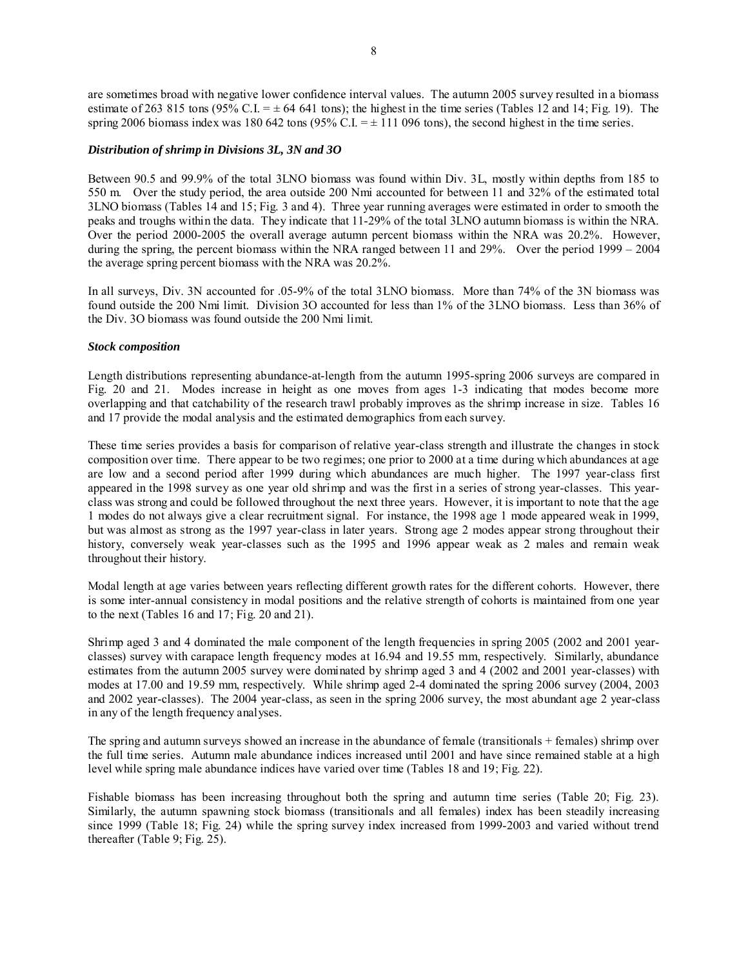are sometimes broad with negative lower confidence interval values. The autumn 2005 survey resulted in a biomass estimate of 263 815 tons (95% C.I. =  $\pm$  64 641 tons); the highest in the time series (Tables 12 and 14; Fig. 19). The spring 2006 biomass index was 180 642 tons (95% C.I.  $= \pm 111$  096 tons), the second highest in the time series.

#### *Distribution of shrimp in Divisions 3L, 3N and 3O*

Between 90.5 and 99.9% of the total 3LNO biomass was found within Div. 3L, mostly within depths from 185 to 550 m. Over the study period, the area outside 200 Nmi accounted for between 11 and 32% of the estimated total 3LNO biomass (Tables 14 and 15; Fig. 3 and 4). Three year running averages were estimated in order to smooth the peaks and troughs within the data. They indicate that 11-29% of the total 3LNO autumn biomass is within the NRA. Over the period 2000-2005 the overall average autumn percent biomass within the NRA was 20.2%. However, during the spring, the percent biomass within the NRA ranged between 11 and 29%. Over the period 1999 – 2004 the average spring percent biomass with the NRA was 20.2%.

In all surveys, Div. 3N accounted for .05-9% of the total 3LNO biomass. More than 74% of the 3N biomass was found outside the 200 Nmi limit. Division 3O accounted for less than 1% of the 3LNO biomass. Less than 36% of the Div. 3O biomass was found outside the 200 Nmi limit.

#### *Stock composition*

Length distributions representing abundance-at-length from the autumn 1995-spring 2006 surveys are compared in Fig. 20 and 21. Modes increase in height as one moves from ages 1-3 indicating that modes become more overlapping and that catchability of the research trawl probably improves as the shrimp increase in size. Tables 16 and 17 provide the modal analysis and the estimated demographics from each survey.

These time series provides a basis for comparison of relative year-class strength and illustrate the changes in stock composition over time. There appear to be two regimes; one prior to 2000 at a time during which abundances at age are low and a second period after 1999 during which abundances are much higher. The 1997 year-class first appeared in the 1998 survey as one year old shrimp and was the first in a series of strong year-classes. This yearclass was strong and could be followed throughout the next three years. However, it is important to note that the age 1 modes do not always give a clear recruitment signal. For instance, the 1998 age 1 mode appeared weak in 1999, but was almost as strong as the 1997 year-class in later years. Strong age 2 modes appear strong throughout their history, conversely weak year-classes such as the 1995 and 1996 appear weak as 2 males and remain weak throughout their history.

Modal length at age varies between years reflecting different growth rates for the different cohorts. However, there is some inter-annual consistency in modal positions and the relative strength of cohorts is maintained from one year to the next (Tables 16 and 17; Fig. 20 and 21).

Shrimp aged 3 and 4 dominated the male component of the length frequencies in spring 2005 (2002 and 2001 yearclasses) survey with carapace length frequency modes at 16.94 and 19.55 mm, respectively. Similarly, abundance estimates from the autumn 2005 survey were dominated by shrimp aged 3 and 4 (2002 and 2001 year-classes) with modes at 17.00 and 19.59 mm, respectively. While shrimp aged 2-4 dominated the spring 2006 survey (2004, 2003 and 2002 year-classes). The 2004 year-class, as seen in the spring 2006 survey, the most abundant age 2 year-class in any of the length frequency analyses.

The spring and autumn surveys showed an increase in the abundance of female (transitionals + females) shrimp over the full time series. Autumn male abundance indices increased until 2001 and have since remained stable at a high level while spring male abundance indices have varied over time (Tables 18 and 19; Fig. 22).

Fishable biomass has been increasing throughout both the spring and autumn time series (Table 20; Fig. 23). Similarly, the autumn spawning stock biomass (transitionals and all females) index has been steadily increasing since 1999 (Table 18; Fig. 24) while the spring survey index increased from 1999-2003 and varied without trend thereafter (Table 9; Fig. 25).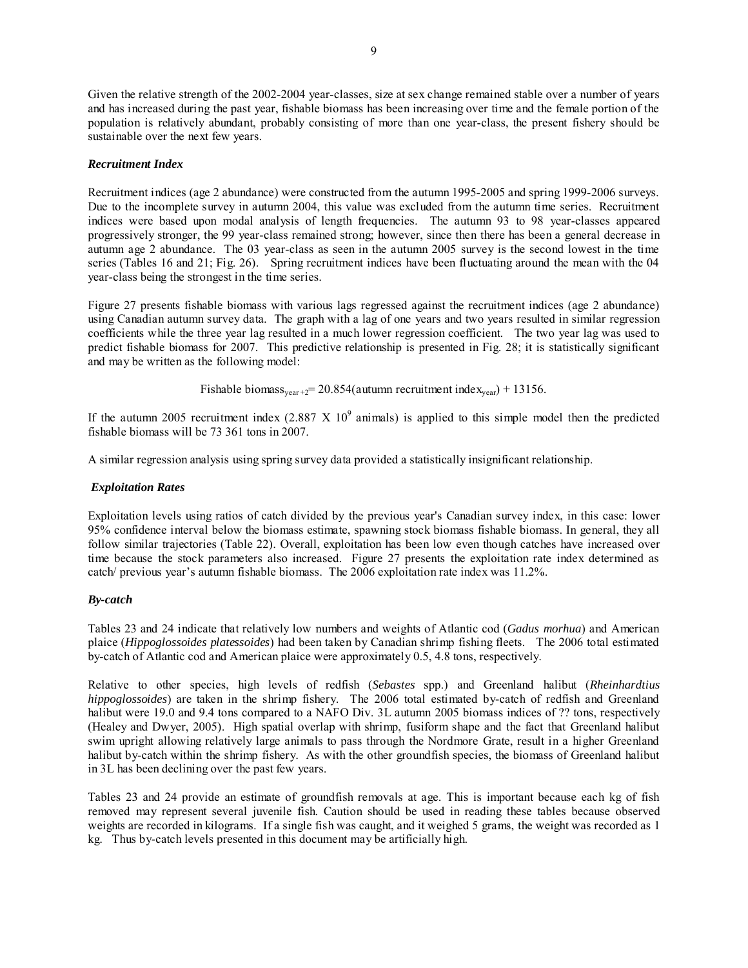Given the relative strength of the 2002-2004 year-classes, size at sex change remained stable over a number of years and has increased during the past year, fishable biomass has been increasing over time and the female portion of the population is relatively abundant, probably consisting of more than one year-class, the present fishery should be sustainable over the next few years.

## *Recruitment Index*

Recruitment indices (age 2 abundance) were constructed from the autumn 1995-2005 and spring 1999-2006 surveys. Due to the incomplete survey in autumn 2004, this value was excluded from the autumn time series. Recruitment indices were based upon modal analysis of length frequencies. The autumn 93 to 98 year-classes appeared progressively stronger, the 99 year-class remained strong; however, since then there has been a general decrease in autumn age 2 abundance. The 03 year-class as seen in the autumn 2005 survey is the second lowest in the time series (Tables 16 and 21; Fig. 26). Spring recruitment indices have been fluctuating around the mean with the 04 year-class being the strongest in the time series.

Figure 27 presents fishable biomass with various lags regressed against the recruitment indices (age 2 abundance) using Canadian autumn survey data. The graph with a lag of one years and two years resulted in similar regression coefficients while the three year lag resulted in a much lower regression coefficient. The two year lag was used to predict fishable biomass for 2007. This predictive relationship is presented in Fig. 28; it is statistically significant and may be written as the following model:

Fishable biomass<sub>year +2</sub>= 20.854(autumn recruitment index<sub>year</sub>) + 13156.

If the autumn 2005 recruitment index  $(2.887 \times 10^9 \text{ animals})$  is applied to this simple model then the predicted fishable biomass will be 73 361 tons in 2007.

A similar regression analysis using spring survey data provided a statistically insignificant relationship.

## *Exploitation Rates*

Exploitation levels using ratios of catch divided by the previous year's Canadian survey index, in this case: lower 95% confidence interval below the biomass estimate, spawning stock biomass fishable biomass. In general, they all follow similar trajectories (Table 22). Overall, exploitation has been low even though catches have increased over time because the stock parameters also increased. Figure 27 presents the exploitation rate index determined as catch/ previous year's autumn fishable biomass. The 2006 exploitation rate index was 11.2%.

## *By-catch*

Tables 23 and 24 indicate that relatively low numbers and weights of Atlantic cod (*Gadus morhua*) and American plaice (*Hippoglossoides platessoides*) had been taken by Canadian shrimp fishing fleets. The 2006 total estimated by-catch of Atlantic cod and American plaice were approximately 0.5, 4.8 tons, respectively.

Relative to other species, high levels of redfish (*Sebastes* spp.) and Greenland halibut (*Rheinhardtius hippoglossoides*) are taken in the shrimp fishery. The 2006 total estimated by-catch of redfish and Greenland halibut were 19.0 and 9.4 tons compared to a NAFO Div. 3L autumn 2005 biomass indices of ?? tons, respectively (Healey and Dwyer, 2005). High spatial overlap with shrimp, fusiform shape and the fact that Greenland halibut swim upright allowing relatively large animals to pass through the Nordmore Grate, result in a higher Greenland halibut by-catch within the shrimp fishery. As with the other groundfish species, the biomass of Greenland halibut in 3L has been declining over the past few years.

Tables 23 and 24 provide an estimate of groundfish removals at age. This is important because each kg of fish removed may represent several juvenile fish. Caution should be used in reading these tables because observed weights are recorded in kilograms. If a single fish was caught, and it weighed 5 grams, the weight was recorded as 1 kg. Thus by-catch levels presented in this document may be artificially high.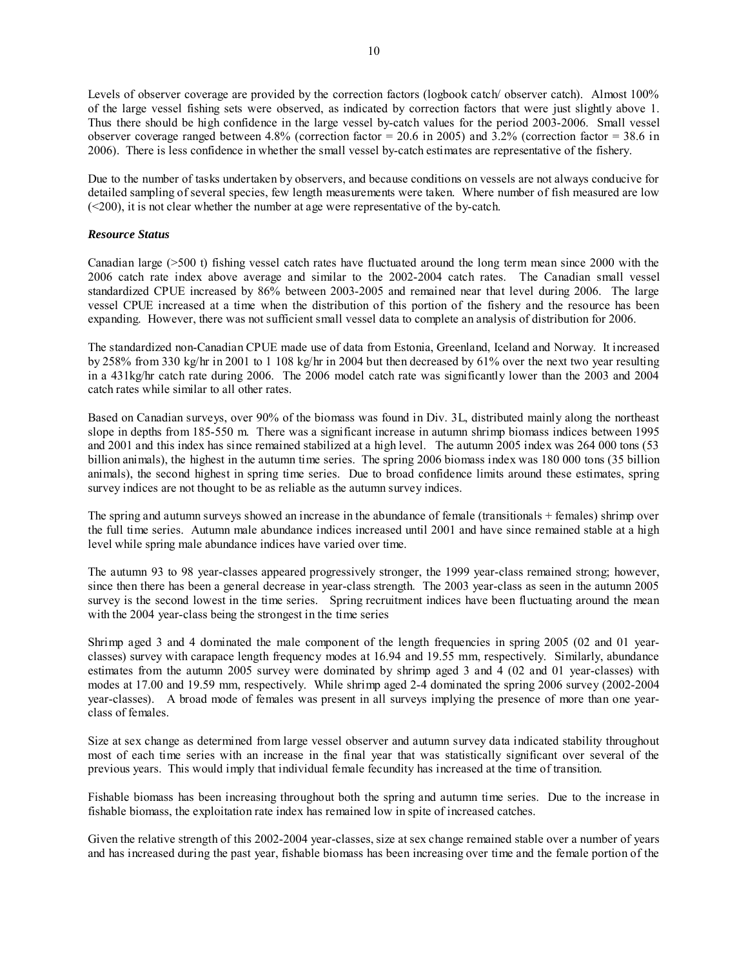Levels of observer coverage are provided by the correction factors (logbook catch/ observer catch). Almost 100% of the large vessel fishing sets were observed, as indicated by correction factors that were just slightly above 1. Thus there should be high confidence in the large vessel by-catch values for the period 2003-2006. Small vessel observer coverage ranged between 4.8% (correction factor = 20.6 in 2005) and  $3.2\%$  (correction factor = 38.6 in 2006). There is less confidence in whether the small vessel by-catch estimates are representative of the fishery.

Due to the number of tasks undertaken by observers, and because conditions on vessels are not always conducive for detailed sampling of several species, few length measurements were taken. Where number of fish measured are low (<200), it is not clear whether the number at age were representative of the by-catch.

## *Resource Status*

Canadian large (>500 t) fishing vessel catch rates have fluctuated around the long term mean since 2000 with the 2006 catch rate index above average and similar to the 2002-2004 catch rates. The Canadian small vessel standardized CPUE increased by 86% between 2003-2005 and remained near that level during 2006. The large vessel CPUE increased at a time when the distribution of this portion of the fishery and the resource has been expanding. However, there was not sufficient small vessel data to complete an analysis of distribution for 2006.

The standardized non-Canadian CPUE made use of data from Estonia, Greenland, Iceland and Norway. It increased by 258% from 330 kg/hr in 2001 to 1 108 kg/hr in 2004 but then decreased by 61% over the next two year resulting in a 431kg/hr catch rate during 2006. The 2006 model catch rate was significantly lower than the 2003 and 2004 catch rates while similar to all other rates.

Based on Canadian surveys, over 90% of the biomass was found in Div. 3L, distributed mainly along the northeast slope in depths from 185-550 m. There was a significant increase in autumn shrimp biomass indices between 1995 and 2001 and this index has since remained stabilized at a high level. The autumn 2005 index was 264 000 tons (53 billion animals), the highest in the autumn time series. The spring 2006 biomass index was 180 000 tons (35 billion animals), the second highest in spring time series. Due to broad confidence limits around these estimates, spring survey indices are not thought to be as reliable as the autumn survey indices.

The spring and autumn surveys showed an increase in the abundance of female (transitionals + females) shrimp over the full time series. Autumn male abundance indices increased until 2001 and have since remained stable at a high level while spring male abundance indices have varied over time.

The autumn 93 to 98 year-classes appeared progressively stronger, the 1999 year-class remained strong; however, since then there has been a general decrease in year-class strength. The 2003 year-class as seen in the autumn 2005 survey is the second lowest in the time series. Spring recruitment indices have been fluctuating around the mean with the 2004 year-class being the strongest in the time series

Shrimp aged 3 and 4 dominated the male component of the length frequencies in spring 2005 (02 and 01 yearclasses) survey with carapace length frequency modes at 16.94 and 19.55 mm, respectively. Similarly, abundance estimates from the autumn 2005 survey were dominated by shrimp aged 3 and 4 (02 and 01 year-classes) with modes at 17.00 and 19.59 mm, respectively. While shrimp aged 2-4 dominated the spring 2006 survey (2002-2004 year-classes). A broad mode of females was present in all surveys implying the presence of more than one yearclass of females.

Size at sex change as determined from large vessel observer and autumn survey data indicated stability throughout most of each time series with an increase in the final year that was statistically significant over several of the previous years. This would imply that individual female fecundity has increased at the time of transition.

Fishable biomass has been increasing throughout both the spring and autumn time series. Due to the increase in fishable biomass, the exploitation rate index has remained low in spite of increased catches.

Given the relative strength of this 2002-2004 year-classes, size at sex change remained stable over a number of years and has increased during the past year, fishable biomass has been increasing over time and the female portion of the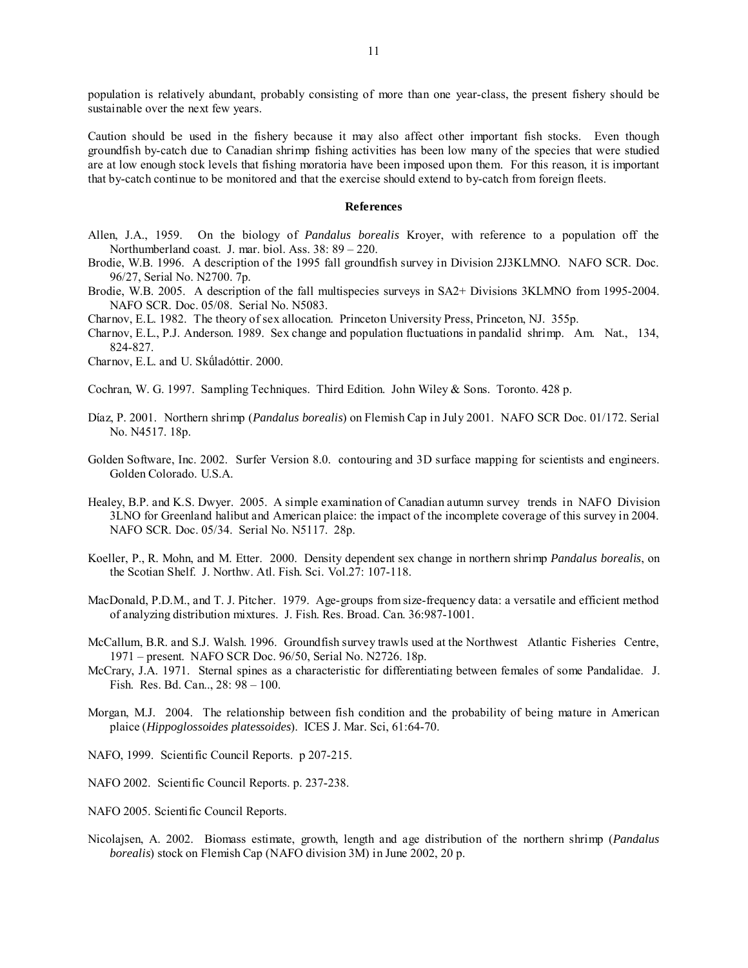population is relatively abundant, probably consisting of more than one year-class, the present fishery should be sustainable over the next few years.

Caution should be used in the fishery because it may also affect other important fish stocks. Even though groundfish by-catch due to Canadian shrimp fishing activities has been low many of the species that were studied are at low enough stock levels that fishing moratoria have been imposed upon them. For this reason, it is important that by-catch continue to be monitored and that the exercise should extend to by-catch from foreign fleets.

#### **References**

- Allen, J.A., 1959. On the biology of *Pandalus borealis* Kroyer, with reference to a population off the Northumberland coast. J. mar. biol. Ass. 38: 89 – 220.
- Brodie, W.B. 1996. A description of the 1995 fall groundfish survey in Division 2J3KLMNO. NAFO SCR. Doc. 96/27, Serial No. N2700. 7p.
- Brodie, W.B. 2005. A description of the fall multispecies surveys in SA2+ Divisions 3KLMNO from 1995-2004. NAFO SCR. Doc. 05/08. Serial No. N5083.
- Charnov, E.L. 1982. The theory of sex allocation. Princeton University Press, Princeton, NJ. 355p.
- Charnov, E.L., P.J. Anderson. 1989. Sex change and population fluctuations in pandalid shrimp. Am. Nat., 134, 824-827.
- Charnov, E.L. and U. Skǘladóttir. 2000.
- Cochran, W. G. 1997. Sampling Techniques. Third Edition. John Wiley & Sons. Toronto. 428 p.
- Dίaz, P. 2001. Northern shrimp (*Pandalus borealis*) on Flemish Cap in July 2001. NAFO SCR Doc. 01/172. Serial No. N4517. 18p.
- Golden Software, Inc. 2002. Surfer Version 8.0. contouring and 3D surface mapping for scientists and engineers. Golden Colorado. U.S.A.
- Healey, B.P. and K.S. Dwyer. 2005. A simple examination of Canadian autumn survey trends in NAFO Division 3LNO for Greenland halibut and American plaice: the impact of the incomplete coverage of this survey in 2004. NAFO SCR. Doc. 05/34. Serial No. N5117. 28p.
- Koeller, P., R. Mohn, and M. Etter. 2000. Density dependent sex change in northern shrimp *Pandalus borealis*, on the Scotian Shelf. J. Northw. Atl. Fish. Sci. Vol.27: 107-118.
- MacDonald, P.D.M., and T. J. Pitcher. 1979. Age-groups from size-frequency data: a versatile and efficient method of analyzing distribution mixtures. J. Fish. Res. Broad. Can. 36:987-1001.
- McCallum, B.R. and S.J. Walsh. 1996. Groundfish survey trawls used at the Northwest Atlantic Fisheries Centre, 1971 – present. NAFO SCR Doc. 96/50, Serial No. N2726. 18p.
- McCrary, J.A. 1971. Sternal spines as a characteristic for differentiating between females of some Pandalidae. J. Fish. Res. Bd. Can.., 28: 98 – 100.
- Morgan, M.J. 2004. The relationship between fish condition and the probability of being mature in American plaice (*Hippoglossoides platessoides*). ICES J. Mar. Sci, 61:64-70.
- NAFO, 1999. Scientific Council Reports. p 207-215.
- NAFO 2002. Scientific Council Reports. p. 237-238.
- NAFO 2005. Scientific Council Reports.
- Nicolajsen, A. 2002. Biomass estimate, growth, length and age distribution of the northern shrimp (*Pandalus borealis*) stock on Flemish Cap (NAFO division 3M) in June 2002, 20 p.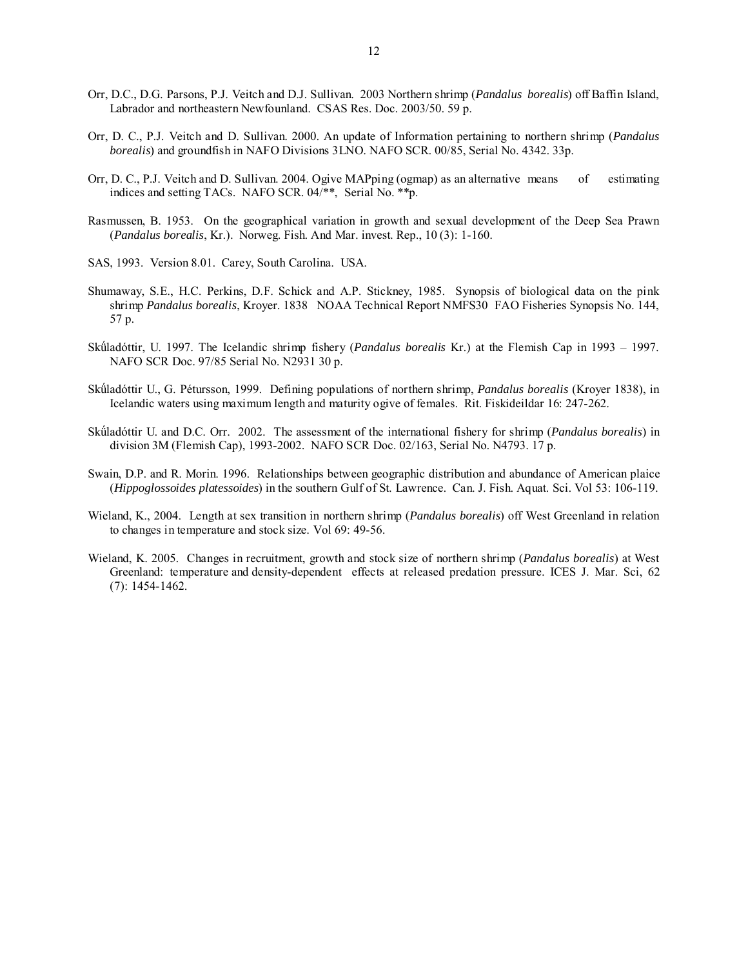- Orr, D.C., D.G. Parsons, P.J. Veitch and D.J. Sullivan. 2003 Northern shrimp (*Pandalus borealis*) off Baffin Island, Labrador and northeastern Newfounland. CSAS Res. Doc. 2003/50. 59 p.
- Orr, D. C., P.J. Veitch and D. Sullivan. 2000. An update of Information pertaining to northern shrimp (*Pandalus borealis*) and groundfish in NAFO Divisions 3LNO. NAFO SCR. 00/85, Serial No. 4342. 33p.
- Orr, D. C., P.J. Veitch and D. Sullivan. 2004. Ogive MAPping (ogmap) as an alternative means of estimating indices and setting TACs. NAFO SCR. 04/\*\*, Serial No. \*\*p.
- Rasmussen, B. 1953. On the geographical variation in growth and sexual development of the Deep Sea Prawn (*Pandalus borealis*, Kr.). Norweg. Fish. And Mar. invest. Rep., 10 (3): 1-160.
- SAS, 1993. Version 8.01. Carey, South Carolina. USA.
- Shumaway, S.E., H.C. Perkins, D.F. Schick and A.P. Stickney, 1985. Synopsis of biological data on the pink shrimp *Pandalus borealis*, Kroyer. 1838 NOAA Technical Report NMFS30 FAO Fisheries Synopsis No. 144, 57 p.
- Skǘladóttir, U. 1997. The Icelandic shrimp fishery (*Pandalus borealis* Kr.) at the Flemish Cap in 1993 1997. NAFO SCR Doc. 97/85 Serial No. N2931 30 p.
- Skǘladóttir U., G. Pétursson, 1999. Defining populations of northern shrimp, *Pandalus borealis* (Kroyer 1838), in Icelandic waters using maximum length and maturity ogive of females. Rit. Fiskideildar 16: 247-262.
- Skǘladóttir U. and D.C. Orr. 2002. The assessment of the international fishery for shrimp (*Pandalus borealis*) in division 3M (Flemish Cap), 1993-2002. NAFO SCR Doc. 02/163, Serial No. N4793. 17 p.
- Swain, D.P. and R. Morin. 1996. Relationships between geographic distribution and abundance of American plaice (*Hippoglossoides platessoides*) in the southern Gulf of St. Lawrence. Can. J. Fish. Aquat. Sci. Vol 53: 106-119.
- Wieland, K., 2004. Length at sex transition in northern shrimp (*Pandalus borealis*) off West Greenland in relation to changes in temperature and stock size. Vol 69: 49-56.
- Wieland, K. 2005. Changes in recruitment, growth and stock size of northern shrimp (*Pandalus borealis*) at West Greenland: temperature and density-dependent effects at released predation pressure. ICES J. Mar. Sci, 62 (7): 1454-1462.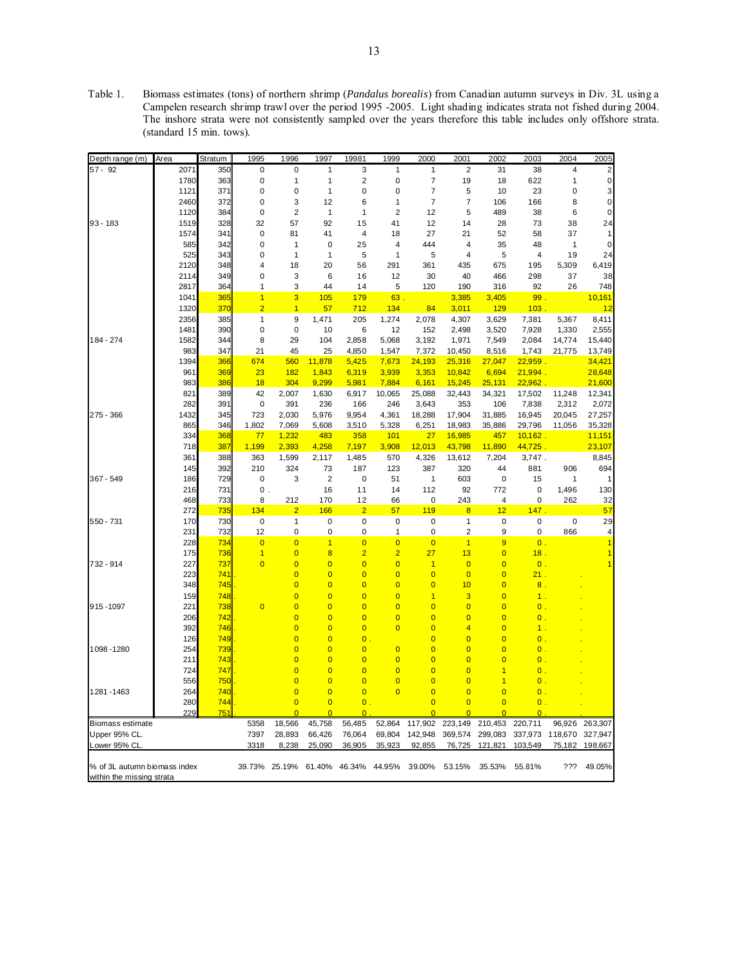Table 1. Biomass estimates (tons) of northern shrimp (*Pandalus borealis*) from Canadian autumn surveys in Div. 3L using a Campelen research shrimp trawl over the period 1995 -2005. Light shading indicates strata not fished during 2004. The inshore strata were not consistently sampled over the years therefore this table includes only offshore strata. (standard 15 min. tows).

| Depth range (m)              | Area       | Stratum    | 1995           | 1996                    | 1997                    | 19981            | 1999                    | 2000                     | 2001                    | 2002            | 2003                 | 2004         | 2005             |
|------------------------------|------------|------------|----------------|-------------------------|-------------------------|------------------|-------------------------|--------------------------|-------------------------|-----------------|----------------------|--------------|------------------|
| $57 - 92$                    | 2071       | 350        | 0              | 0                       | $\mathbf{1}$            | 3                | 1                       | 1                        | $\overline{2}$          | 31              | 38                   | 4            |                  |
|                              | 1780       | 363        | 0              | 1                       | 1                       | $\overline{c}$   | 0                       | $\overline{\mathcal{I}}$ | 19                      | 18              | 622                  | 1            | 0                |
|                              | 1121       | 371        | 0              | 0                       | 1                       | $\mathbf 0$      | 0                       | 7                        | 5                       | 10              | 23                   | 0            | 3                |
|                              | 2460       | 372        | 0              | 3                       | 12                      | 6                | $\mathbf{1}$            | 7                        | $\overline{7}$          | 106             | 166                  | 8            | 0                |
|                              | 1120       | 384        | 0              | $\overline{\mathbf{c}}$ | $\mathbf{1}$            | 1                | $\overline{\mathbf{c}}$ | 12                       | 5                       | 489             | 38                   | 6            | 0                |
| 93 - 183                     | 1519       | 328        | 32             | 57                      | 92                      | 15               | 41                      | 12                       | 14                      | 28              | 73                   | 38           | 24               |
|                              | 1574       | 341        | 0              | 81                      | 41                      | 4                | 18                      | 27                       | 21                      | 52              | 58                   | 37           |                  |
|                              | 585        | 342        | 0              | $\mathbf{1}$            | 0                       | 25               | 4                       | 444                      | 4                       | 35              | 48                   | $\mathbf{1}$ | 0                |
|                              | 525        | 343        | 0              | 1                       | 1                       | 5                | 1                       | 5                        | 4                       | 5               | 4                    | 19           | 24               |
|                              | 2120       | 348        | 4              | 18                      | 20                      | 56               | 291                     | 361                      | 435                     | 675             | 195                  | 5,309        | 6,419            |
|                              | 2114       | 349        | 0              | 3                       | 6                       | 16               | 12                      | 30                       | 40                      | 466             | 298                  | 37           | 38               |
|                              | 2817       | 364        | 1              | 3                       | 44                      | 14               | 5                       | 120                      | 190                     | 316             | 92                   | 26           | 748              |
|                              | 1041       | 365        | $\overline{1}$ | 3                       | 105                     | 179              | 63                      |                          | 3,385                   | 3,405           | 99                   |              | 10,161           |
|                              | 1320       | 370        | $\overline{2}$ | $\overline{1}$          | 57                      | 712              | 134                     | 84                       | 3,011                   | 129             | 103                  |              | 12               |
|                              | 2356       | 385        | 1              | 9                       | 1,471                   | 205              | 1,274                   | 2,078                    | 4,307                   | 3,629           | 7,381                | 5,367        | 8,411            |
|                              | 1481       | 390        | 0              | $\mathbf 0$             | 10                      | 6                | 12                      | 152                      | 2,498                   | 3,520           | 7,928                | 1,330        | 2,555            |
| 184 - 274                    | 1582       | 344        | 8              | 29                      | 104                     | 2,858            | 5,068                   | 3,192                    | 1,971                   | 7,549           | 2,084                | 14,774       | 15,440           |
|                              | 983        | 347        | 21             | 45                      | 25                      | 4,850            | 1,547                   | 7,372                    | 10,450                  | 8,516           | 1,743                | 21,775       | 13,749           |
|                              | 1394       | 366        | 674            | 560                     | 11,878                  | 5,425            | 7,673                   | 24,193                   | 25,316                  | 27,047          | 22,959.              |              | 34,421           |
|                              | 961        | 369        | 23             | 182                     | 1,843                   | 6,319            | 3,939                   | 3,353                    | 10,842                  | 6,694           | 21,994               |              | 28,648           |
|                              | 983        | 386        | 18             | 304                     | 9,299                   | 5,981            | 7,884                   | 6,161                    | 15,245                  | 25,131          | 22,962               |              | 21,600           |
|                              | 821        | 389        | 42             | 2,007                   | 1,630                   | 6,917            | 10,065                  | 25,088                   | 32,443                  | 34,321          | 17,502               | 11,248       | 12,341           |
|                              | 282        | 391        | 0              | 391                     | 236                     | 166              | 246                     | 3,643                    | 353                     | 106             | 7,838                | 2,312        | 2,072            |
| 275 - 366                    | 1432       | 345        | 723            | 2,030                   | 5,976                   | 9,954            | 4,361                   | 18,288                   | 17,904                  | 31,885          | 16,945               | 20,045       | 27,257           |
|                              | 865        | 346        | 1,802<br>77    | 7,069<br>1,232          | 5,608                   | 3,510<br>358     | 5,328<br>101            | 6,251<br>27              | 18,983<br>16,985        | 35,886          | 29,796<br>$10,162$ . | 11,056       | 35,328           |
|                              | 334        | 368<br>387 |                | 2,393                   | 483<br>4,258            | 7,197            | 3,908                   | 12,013                   | 43,798                  | 457             | 44,725               |              | 11,151<br>23,107 |
|                              | 718<br>361 | 388        | 1,199<br>363   | 1,599                   | 2,117                   | 1,485            | 570                     | 4,326                    | 13,612                  | 11,890<br>7,204 | 3,747.               |              | 8,845            |
|                              | 145        | 392        | 210            | 324                     | 73                      | 187              | 123                     | 387                      | 320                     | 44              | 881                  | 906          | 694              |
| 367 - 549                    | 186        | 729        | 0              | 3                       | $\overline{2}$          | $\mathbf 0$      | 51                      | $\mathbf{1}$             | 603                     | $\pmb{0}$       | 15                   | $\mathbf{1}$ |                  |
|                              | 216        | 731        | 0              |                         | 16                      | 11               | 14                      | 112                      | 92                      | 772             | 0                    | 1,496        | 130              |
|                              | 468        | 733        | 8              | 212                     | 170                     | 12               | 66                      | 0                        | 243                     | 4               | 0                    | 262          | 32               |
|                              | 272        | 735        | 134            | $\overline{2}$          | 166                     | $\overline{2}$   | 57                      | 119                      | $\overline{\mathbf{8}}$ | 12              | 147                  |              | 57               |
| 550 - 731                    | 170        | 730        | $\pmb{0}$      | 1                       | $\pmb{0}$               | $\pmb{0}$        | $\pmb{0}$               | 0                        | $\mathbf{1}$            | $\mathbf 0$     | 0                    | $\mathbf 0$  | 29               |
|                              | 231        | 732        | 12             | 0                       | 0                       | $\pmb{0}$        | 1                       | 0                        | $\overline{\mathbf{c}}$ | 9               | 0                    | 866          |                  |
|                              | 228        | 734        | $\overline{0}$ | $\overline{0}$          | $\overline{1}$          | $\overline{0}$   | $\overline{0}$          | $\overline{0}$           | $\overline{1}$          | 9               | $\overline{0}$       |              |                  |
|                              | 175        | 736        | $\overline{1}$ | $\overline{0}$          | $\overline{\mathbf{8}}$ | $\overline{2}$   | $\overline{2}$          | 27                       | 13                      | $\overline{0}$  | 18 <sup>°</sup>      |              |                  |
| 732 - 914                    | 227        | 737        | $\overline{0}$ | $\overline{0}$          | $\overline{0}$          | $\overline{0}$   | $\overline{0}$          | 1                        | $\overline{0}$          | $\overline{0}$  | $\overline{0}$       |              |                  |
|                              | 223        | 741        |                | $\overline{0}$          | $\overline{0}$          | $\overline{0}$   | $\overline{0}$          | $\overline{0}$           | $\overline{0}$          | $\overline{0}$  | 21                   |              |                  |
|                              | 348        | 745        |                | $\overline{0}$          | $\overline{0}$          | $\overline{0}$   | $\overline{0}$          | $\overline{0}$           | 10                      | $\overline{0}$  | 8                    |              |                  |
|                              | 159        | 748        |                | $\overline{0}$          | $\overline{0}$          | $\overline{0}$   | $\overline{0}$          | $\overline{1}$           | 3                       | $\overline{0}$  | 1.                   |              |                  |
| 915-1097                     | 221        | 738        | $\overline{0}$ | $\overline{0}$          | $\overline{0}$          | $\overline{0}$   | $\overline{0}$          | $\overline{0}$           | $\overline{0}$          | $\overline{0}$  | $\overline{0}$       |              |                  |
|                              | 206        | 742        |                | $\overline{0}$          | $\overline{0}$          | $\overline{0}$   | $\overline{0}$          | $\overline{0}$           | $\overline{0}$          | $\overline{0}$  | $\overline{0}$       |              |                  |
|                              | 392        | 746        |                | $\overline{0}$          | $\overline{0}$          | $\overline{0}$   | $\overline{0}$          | $\overline{0}$           | 4                       | $\overline{0}$  | 1                    |              |                  |
|                              | 126        | 749        |                | $\overline{0}$          | $\overline{0}$          | $\overline{0}$ . |                         | $\overline{0}$           | $\overline{0}$          | $\overline{0}$  | $\overline{0}$       |              |                  |
| 1098-1280                    | 254        | 739        |                | $\overline{0}$          | $\overline{0}$          | $\overline{0}$   | $\overline{0}$          | $\overline{0}$           | $\overline{0}$          | $\overline{0}$  | $\Omega$             |              |                  |
|                              | 211        | 743        |                | $\overline{0}$          | $\overline{0}$          | $\overline{0}$   | $\overline{0}$          | $\overline{0}$           | $\overline{0}$          | $\overline{0}$  | $\overline{0}$       |              |                  |
|                              | 724        | 747        |                | $\overline{0}$          | $\overline{0}$          | $\overline{0}$   | $\overline{0}$          | $\overline{0}$           | $\overline{0}$          | $\overline{1}$  | $\overline{0}$       |              |                  |
|                              | 556        | 750        |                | $\overline{0}$          | $\overline{0}$          | $\overline{0}$   | $\overline{0}$          | $\overline{0}$           | $\overline{0}$          | $\overline{1}$  | $\overline{0}$       |              |                  |
| 1281-1463                    | 264        | 740        |                | $\overline{0}$          | $\overline{0}$          | $\overline{0}$   | $\overline{0}$          | $\overline{0}$           | $\overline{0}$          | $\overline{0}$  | $\overline{0}$       |              |                  |
|                              | 280        | 744        |                | $\overline{\mathbf{0}}$ | $\overline{0}$          | $\overline{0}$ . |                         | $\overline{0}$           | $\overline{0}$          | $\overline{0}$  | $\overline{0}$       |              |                  |
|                              | 229        | 751        |                | $\Omega$                | $\overline{0}$          | $\Omega$         |                         | $\overline{0}$           | $\overline{0}$          | $\overline{0}$  | $\overline{0}$       |              |                  |
| <b>Biomass estimate</b>      |            |            | 5358           | 18,566                  | 45,758                  | 56,485           | 52,864                  | 117,902                  | 223,149                 | 210,453         | 220,711              | 96,926       | 263,307          |
| Upper 95% CL.                |            |            | 7397           | 28,893                  | 66,426                  | 76,064           | 69,804                  | 142,948                  | 369,574                 | 299,083         | 337,973              | 118,670      | 327,947          |
| Lower 95% CL                 |            |            | 3318           | 8,238                   | 25.090                  | 36,905           | 35.923                  | 92,855                   | 76,725                  | 121.821         | 103,549              | 75,182       | 198,667          |
|                              |            |            |                |                         |                         |                  |                         |                          |                         |                 |                      |              |                  |
| % of 3L autumn biomass index |            |            |                | 39.73% 25.19%           | 61.40% 46.34%           |                  | 44.95%                  | 39.00%                   | 53.15%                  | 35.53%          | 55.81%               | ???          | 49.05%           |
| within the missing strata    |            |            |                |                         |                         |                  |                         |                          |                         |                 |                      |              |                  |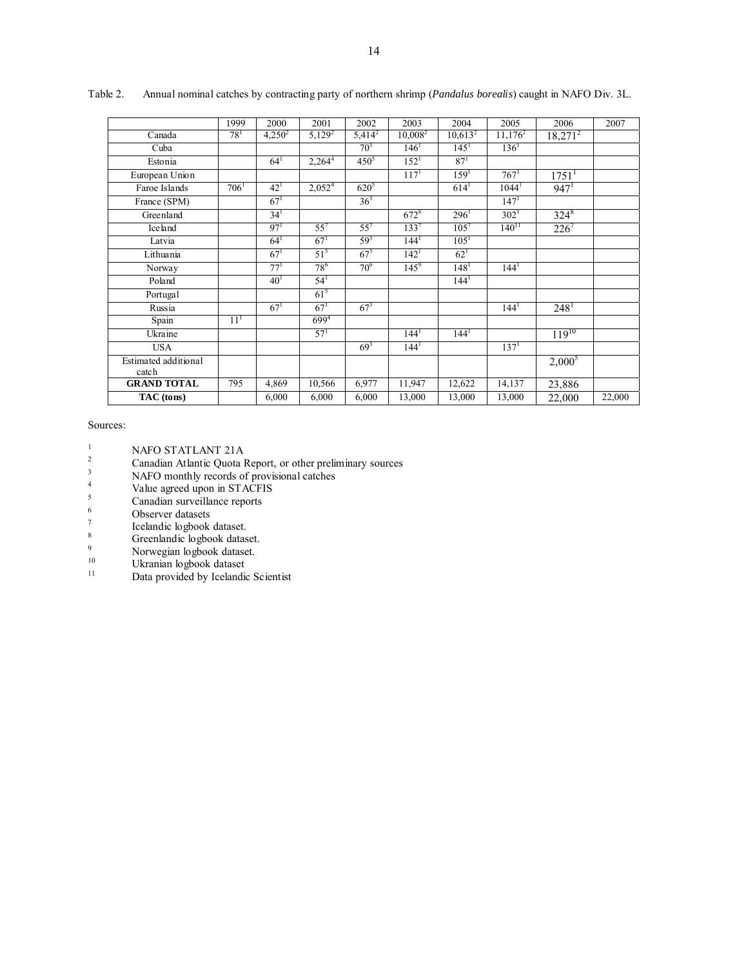|                                | 1999            | 2000            | 2001               | 2002             | 2003             | 2004             | 2005             | 2006                | 2007   |
|--------------------------------|-----------------|-----------------|--------------------|------------------|------------------|------------------|------------------|---------------------|--------|
| Canada                         | $78^1$          | $4,250^2$       | $5,129^2$          | $5,414^2$        | $10,008^2$       | $10,613^2$       | $11,176^2$       | $18,271^2$          |        |
| Cuba                           |                 |                 |                    | 70 <sup>3</sup>  | 146'             | $145^1$          | $136^1$          |                     |        |
| Estonia                        |                 | $64^1$          | $2,264^4$          | $450^5$          | $152^1$          | $87^{1}$         |                  |                     |        |
| European Union                 |                 |                 |                    |                  | 117 <sup>1</sup> | 159 <sup>1</sup> | $767^1$          | $1751$ <sup>1</sup> |        |
| Faroe Islands                  | 706'            | $42^{1}$        | 2,052 <sup>4</sup> | 620 <sup>5</sup> |                  | $614^1$          | $1044^1$         | 947 <sup>1</sup>    |        |
| France (SPM)                   |                 | $67^1$          |                    | $36^{3}$         |                  |                  | $147^1$          |                     |        |
| Greenland                      |                 | 34 <sup>1</sup> |                    |                  | $672^8$          | 296'             | $302^1$          | $324^{8}$           |        |
| Iceland                        |                 | 97 <sup>1</sup> | $55^{7}$           | $55^7$           | 133 <sup>7</sup> | $105^{7}$        | $140^{11}$       | $226^7$             |        |
| Latvia                         |                 | $64^1$          | $67^{1}$           | $59^{3}$         | 144 <sup>1</sup> | $105^1$          |                  |                     |        |
| Lithuania                      |                 | $67^{1}$        | $51^{3}$           | $67^{3}$         | $142^1$          | $62^1$           |                  |                     |        |
| Norway                         |                 | 77 <sup>1</sup> | $78^{6}$           | $70^{6}$         | $145^9$          | 148 <sup>1</sup> | $144^1$          |                     |        |
| Poland                         |                 | 40 <sup>1</sup> | 54 <sup>1</sup>    |                  |                  | 144 <sup>1</sup> |                  |                     |        |
| Portugal                       |                 |                 | $61^{5}$           |                  |                  |                  |                  |                     |        |
| Russia                         |                 | $67^1$          | $67^{1}$           | $67^{3}$         |                  |                  | $144^1$          | 248 <sup>1</sup>    |        |
| Spain                          | 11 <sup>1</sup> |                 | $699^{4}$          |                  |                  |                  |                  |                     |        |
| Ukraine                        |                 |                 | 57 <sup>1</sup>    |                  | $144^1$          | 144 <sup>1</sup> |                  | $119^{10}$          |        |
| <b>USA</b>                     |                 |                 |                    | $69^{3}$         | 144 <sup>1</sup> |                  | 137 <sup>1</sup> |                     |        |
| Estimated additional<br>catch  |                 |                 |                    |                  |                  |                  |                  | $2,000^5$           |        |
| <b>GRAND TOTAL</b>             | 795             | 4,869           | 10,566             | 6,977            | 11,947           | 12,622           | 14,137           | 23,886              |        |
| $\overline{\text{TAC}}$ (tons) |                 | 6,000           | 6,000              | 6,000            | 13,000           | 13,000           | 13,000           | 22,000              | 22,000 |

Table 2. Annual nominal catches by contracting party of northern shrimp (*Pandalus borealis*) caught in NAFO Div. 3L.

#### Sources:

- 
- <sup>1</sup><br>
<sup>2</sup><br>
2 Canadian Atlantic Quota Report, or other preliminary sources<br>
<sup>3</sup>
- NAFO monthly records of provisional catches
- 4  $V$ alue agreed upon in STACFIS
- $\frac{5}{6}$  Canadian surveillance reports
- Observer datasets
- 7 Icelandic logbook dataset.
- 8 Greenlandic logbook dataset.
- 9 Norwegian logbook dataset.
- 10 Ukranian logbook dataset
- <sup>11</sup> Data provided by Icelandic Scientist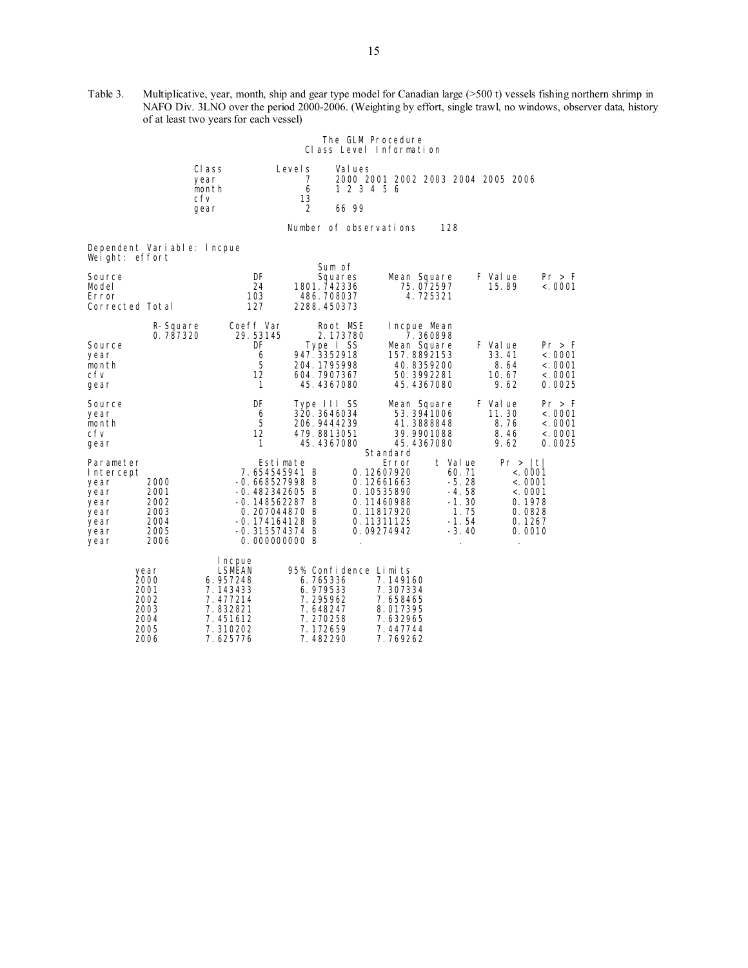Table 3. Multiplicative, year, month, ship and gear type model for Canadian large (>500 t) vessels fishing northern shrimp in NAFO Div. 3LNO over the period 2000-2006. (Weighting by effort, single trawl, no windows, observer data, history of at least two years for each vessel)

|                                                                                |                                                      |                                                                                           |                                                                                                                                                             |                        | The GLM Procedure<br>Class Level Information                                                            |                                                                                 |                                                                                   |                                                  |
|--------------------------------------------------------------------------------|------------------------------------------------------|-------------------------------------------------------------------------------------------|-------------------------------------------------------------------------------------------------------------------------------------------------------------|------------------------|---------------------------------------------------------------------------------------------------------|---------------------------------------------------------------------------------|-----------------------------------------------------------------------------------|--------------------------------------------------|
|                                                                                |                                                      | Class<br>year<br>month<br>cfv                                                             | Level s<br>7<br>6<br>13                                                                                                                                     | Val ues<br>1 2 3 4 5 6 | 2000 2001 2002 2003 2004 2005 2006                                                                      |                                                                                 |                                                                                   |                                                  |
|                                                                                |                                                      | qear                                                                                      | $\overline{2}$                                                                                                                                              | 66 99                  |                                                                                                         |                                                                                 |                                                                                   |                                                  |
|                                                                                |                                                      |                                                                                           | Number of observations                                                                                                                                      |                        |                                                                                                         | 128                                                                             |                                                                                   |                                                  |
| Weight: effort                                                                 | Dependent Variable: Incpue                           |                                                                                           |                                                                                                                                                             |                        |                                                                                                         |                                                                                 |                                                                                   |                                                  |
| Source<br>Model<br>Error<br>Corrected Total                                    |                                                      | DF<br>24<br>103<br>127                                                                    | 1801.742336<br>486.708037<br>2288.450373                                                                                                                    | Sum of<br>Squares      | Mean Square<br>75.072597<br>4.725321                                                                    |                                                                                 | F Val ue<br>15.89                                                                 | Pr > F<br>< 0001                                 |
| Source<br>year<br>month<br>cfv<br>gear                                         | R-Square<br>0.787320                                 | Coeff Var<br>29.53145<br>DF<br>6<br>5<br>12<br>1                                          | Type I SS<br>947.3352918<br>204.1795998<br>604.7907367<br>45.4367080                                                                                        | Root MSE<br>2.173780   | Incpue Mean<br>7.360898<br>Mean Square<br>157.8892153<br>40.8359200<br>50. 3992281<br>45.4367080        |                                                                                 | F Val ue<br>33.41<br>8.64<br>10.67<br>9.62                                        | Pr > F<br>< 0.0001<br>< 0001<br>< 0001<br>0.0025 |
| Source<br>year<br>month<br>cfv<br>gear                                         |                                                      | DF<br>6<br>5<br>12<br>1                                                                   | Type III SS<br>320.3646034<br>206.9444239<br>479.8813051<br>45.4367080                                                                                      |                        | Mean Square<br>53.3941006<br>41.3888848<br>39.9901088<br>45.4367080<br>Standard                         |                                                                                 | F Val ue<br>11.30<br>8.76<br>8.46<br>9.62                                         | Pr > F<br>< 0.0001<br>< 0001<br>< 0001<br>0.0025 |
| Parameter<br>Intercept<br>year<br>year<br>year<br>year<br>year<br>year<br>year | 2000<br>2001<br>2002<br>2003<br>2004<br>2005<br>2006 |                                                                                           | Estimate<br>7.654545941 B<br>$-0.668527998B$<br>$-0.482342605$ B<br>$-0.148562287B$<br>0.207044870 B<br>-0.174164128 B<br>$-0.315574374 B$<br>0.000000000 B |                        | Error<br>0.12607920<br>0.12661663<br>0.10535890<br>0.11460988<br>0.11817920<br>0.11311125<br>0.09274942 | t Value<br>60.71<br>$-5.28$<br>$-4.58$<br>$-1.30$<br>1.75<br>$-1.54$<br>$-3.40$ | Pr >  t <br>< .0001<br>< .0001<br>< .0001<br>0.1978<br>0.0828<br>0.1267<br>0.0010 |                                                  |
|                                                                                | year<br>2000<br>2001<br>2002<br>2003<br>2004<br>2005 | I ncpue<br>LSMEAN<br>6.957248<br>7.143433<br>7.477214<br>7.832821<br>7.451612<br>7.310202 | 95% Confidence Limits<br>6.765336<br>6.979533<br>7.295962<br>7.648247<br>7.270258<br>7.172659                                                               |                        | 7.149160<br>7.307334<br>7.658465<br>8.017395<br>7.632965<br>7.447744                                    |                                                                                 |                                                                                   |                                                  |

2006 7.625776 7.482290 7.769262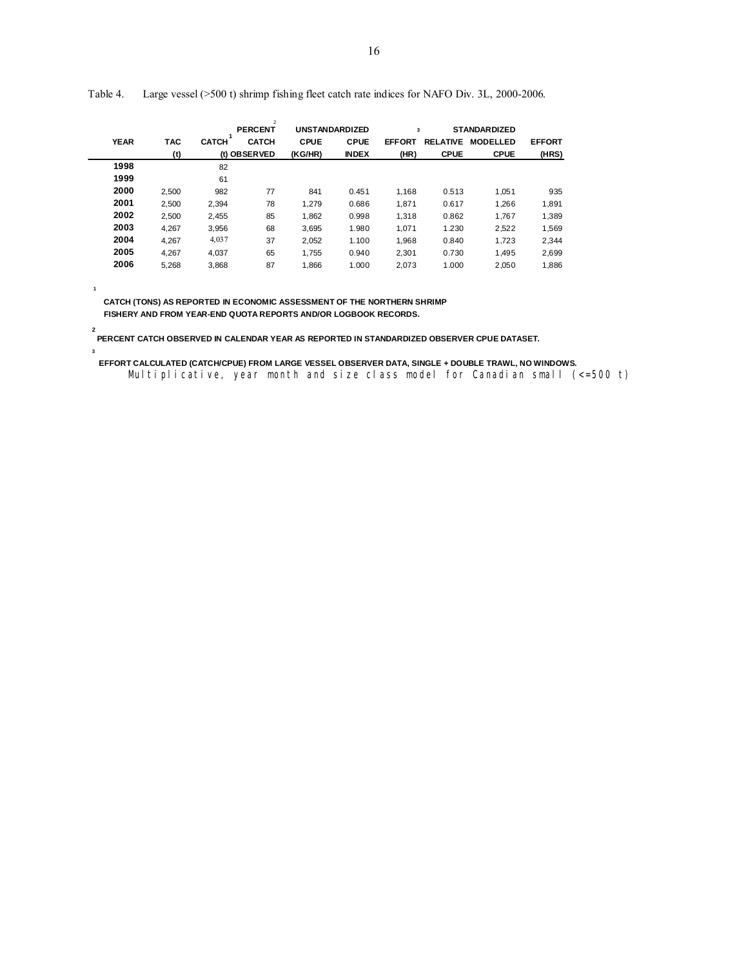|             |            |              | $\overline{2}$<br><b>PERCENT</b> |             | <b>UNSTANDARDIZED</b> | 3             |                 | <b>STANDARDIZED</b> |               |
|-------------|------------|--------------|----------------------------------|-------------|-----------------------|---------------|-----------------|---------------------|---------------|
| <b>YEAR</b> | <b>TAC</b> | <b>CATCH</b> | <b>CATCH</b>                     | <b>CPUE</b> | <b>CPUE</b>           | <b>EFFORT</b> | <b>RELATIVE</b> | <b>MODELLED</b>     | <b>EFFORT</b> |
|             | (t)        |              | (t) OBSERVED                     | (KG/HR)     | <b>INDEX</b>          | (HR)          | <b>CPUE</b>     | <b>CPUE</b>         | (HRS)         |
| 1998        |            | 82           |                                  |             |                       |               |                 |                     |               |
| 1999        |            | 61           |                                  |             |                       |               |                 |                     |               |
| 2000        | 2,500      | 982          | 77                               | 841         | 0.451                 | 1,168         | 0.513           | 1,051               | 935           |
| 2001        | 2.500      | 2.394        | 78                               | 1.279       | 0.686                 | 1.871         | 0.617           | 1.266               | 1,891         |
| 2002        | 2,500      | 2,455        | 85                               | 1,862       | 0.998                 | 1,318         | 0.862           | 1,767               | 1,389         |
| 2003        | 4.267      | 3.956        | 68                               | 3,695       | 1.980                 | 1.071         | 1.230           | 2,522               | 1,569         |
| 2004        | 4,267      | 4,037        | 37                               | 2,052       | 1.100                 | 1,968         | 0.840           | 1.723               | 2,344         |
| 2005        | 4.267      | 4.037        | 65                               | 1.755       | 0.940                 | 2.301         | 0.730           | 1.495               | 2,699         |
| 2006        | 5,268      | 3,868        | 87                               | 1,866       | 1.000                 | 2,073         | 1.000           | 2,050               | 1,886         |
|             |            |              |                                  |             |                       |               |                 |                     |               |

Table 4. Large vessel (>500 t) shrimp fishing fleet catch rate indices for NAFO Div. 3L, 2000-2006.

 **CATCH (TONS) AS REPORTED IN ECONOMIC ASSESSMENT OF THE NORTHERN SHRIMP FISHERY AND FROM YEAR-END QUOTA REPORTS AND/OR LOGBOOK RECORDS.**

 **2**

**3**

**1**

 **PERCENT CATCH OBSERVED IN CALENDAR YEAR AS REPORTED IN STANDARDIZED OBSERVER CPUE DATASET.**

 **EFFORT CALCULATED (CATCH/CPUE) FROM LARGE VESSEL OBSERVER DATA, SINGLE + DOUBLE TRAWL, NO WINDOWS.** Multiplicative, year month and size class model for Canadian small (<=500 t)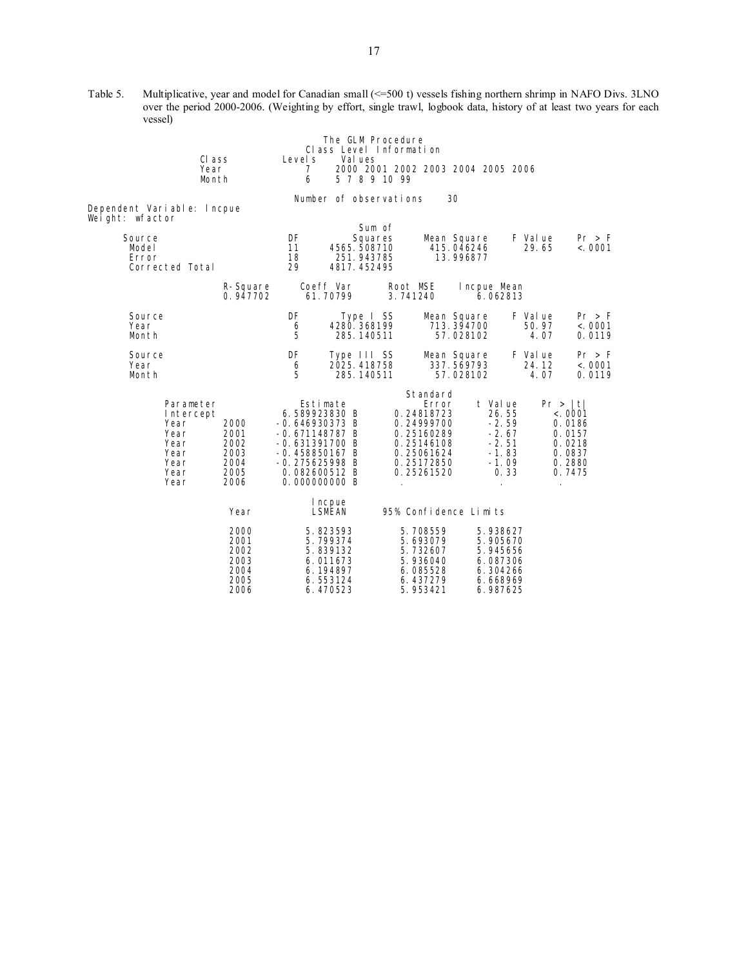Table 5. Multiplicative, year and model for Canadian small (<=500 t) vessels fishing northern shrimp in NAFO Divs. 3LNO over the period 2000-2006. (Weighting by effort, single trawl, logbook data, history of at least two years for each vessel)

|                                                                                |                                                      |                                                                                                                                                                | The GLM Procedure<br>Class Level Information                  |                                                                                                                                             |                                                                                  |                           |                                                                                 |
|--------------------------------------------------------------------------------|------------------------------------------------------|----------------------------------------------------------------------------------------------------------------------------------------------------------------|---------------------------------------------------------------|---------------------------------------------------------------------------------------------------------------------------------------------|----------------------------------------------------------------------------------|---------------------------|---------------------------------------------------------------------------------|
|                                                                                | CI ass<br>Year<br>Month                              | Level s<br>7<br>6                                                                                                                                              | Val ues<br>5 7 8 9 10 99                                      |                                                                                                                                             | 2000 2001 2002 2003 2004 2005 2006                                               |                           |                                                                                 |
| Dependent Variable: Incpue<br>Weight: wfactor                                  |                                                      |                                                                                                                                                                | Number of observations                                        |                                                                                                                                             | 30                                                                               |                           |                                                                                 |
| Source<br>Model<br>Error<br>Corrected Total                                    |                                                      | DF<br>11<br>18<br>29                                                                                                                                           | Sum of<br>Squares<br>4565.508710<br>251.943785<br>4817.452495 |                                                                                                                                             | Mean Square<br>415.046246<br>13.996877                                           | F Value<br>29.65          | Pr > F<br>< .0001                                                               |
|                                                                                | R-Square<br>0.947702                                 | Coeff Var<br>61.70799                                                                                                                                          |                                                               | Root MSE<br>3.741240                                                                                                                        | Incpue Mean<br>6.062813                                                          |                           |                                                                                 |
| Source<br>Year<br>Month                                                        |                                                      | DF<br>6<br>5                                                                                                                                                   | Type I SS<br>4280.368199<br>285.140511                        |                                                                                                                                             | Mean Square<br>713.394700<br>57.028102                                           | F Val ue<br>50.97<br>4.07 | Pr > F<br>< .0001<br>0.0119                                                     |
| Source<br>Year<br>Month                                                        |                                                      | DF<br>6<br>5                                                                                                                                                   | Type III SS<br>2025, 418758<br>285.140511                     |                                                                                                                                             | Mean Square<br>337.569793<br>57.028102                                           | F Val ue<br>24.12<br>4.07 | Pr > F<br>< .0001<br>0.0119                                                     |
| Parameter<br>Intercept<br>Year<br>Year<br>Year<br>Year<br>Year<br>Year<br>Year | 2000<br>2001<br>2002<br>2003<br>2004<br>2005<br>2006 | Estimate<br>6.589923830 B<br>$-0.646930373 B$<br>$-0.671148787B$<br>$-0.631391700$ B<br>$-0.458850167 B$<br>$-0.275625998$ B<br>0.082600512 B<br>0.000000000 B |                                                               | Standard<br>Error<br>0.24818723<br>0.24999700<br>0.25160289<br>0.25146108<br>0.25061624<br>0.25172850<br>0.25261520<br>$\ddot{\phantom{a}}$ | t Value<br>26.55<br>$-2.59$<br>$-2.67$<br>$-2.51$<br>$-1.83$<br>$-1.09$<br>0.33  | $\blacksquare$            | Pr >  t <br>< .0001<br>0.0186<br>0.0157<br>0.0218<br>0.0837<br>0.2880<br>0.7475 |
|                                                                                | Year                                                 | I ncpue<br>LSMEAN                                                                                                                                              |                                                               | 95% Confidence Limits                                                                                                                       |                                                                                  |                           |                                                                                 |
|                                                                                | 2000<br>2001<br>2002<br>2003<br>2004<br>2005<br>2006 | 5.823593<br>5.799374<br>5.839132<br>6.011673<br>6.194897<br>6.553124<br>6.470523                                                                               |                                                               | 5.708559<br>5.693079<br>5.732607<br>5.936040<br>6.085528<br>6.437279<br>5.953421                                                            | 5.938627<br>5.905670<br>5.945656<br>6.087306<br>6.304266<br>6.668969<br>6.987625 |                           |                                                                                 |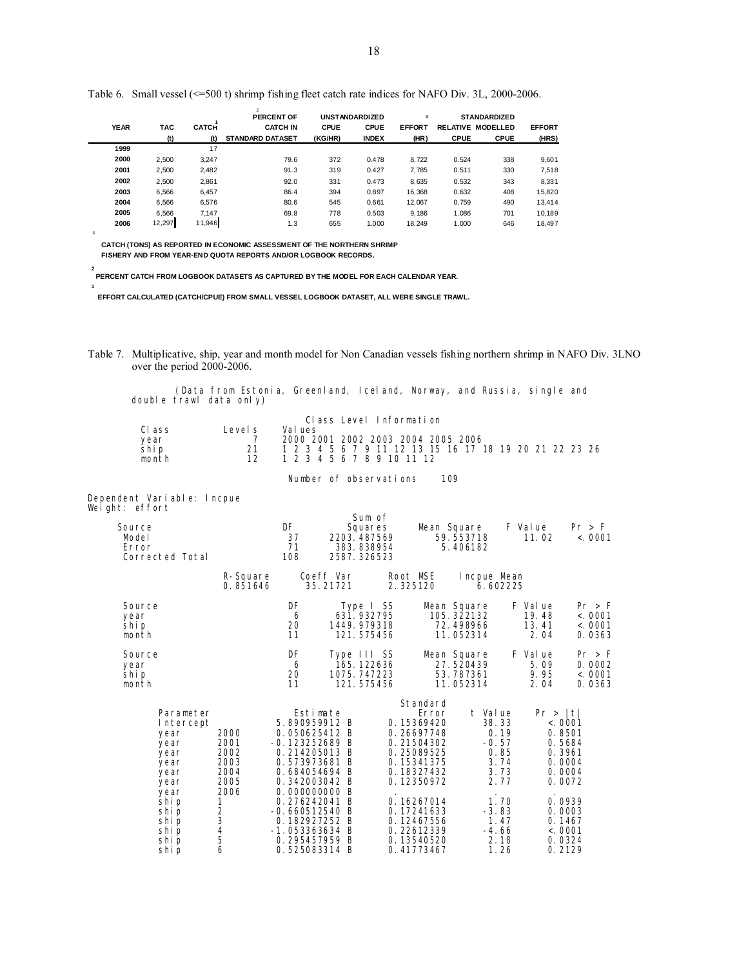|             |        |              | $\overline{2}$<br><b>PERCENT OF</b> |             | <b>UNSTANDARDIZED</b> | $\overline{\mathbf{3}}$ |             | <b>STANDARDIZED</b>      |               |
|-------------|--------|--------------|-------------------------------------|-------------|-----------------------|-------------------------|-------------|--------------------------|---------------|
| <b>YEAR</b> | TAC    | <b>CATCH</b> | <b>CATCH IN</b>                     | <b>CPUE</b> | <b>CPUE</b>           | <b>EFFORT</b>           |             | <b>RELATIVE MODELLED</b> | <b>EFFORT</b> |
|             | (t)    | (t)          | <b>STANDARD DATASET</b>             | (KG/HR)     | <b>INDEX</b>          | (HR)                    | <b>CPUE</b> | <b>CPUE</b>              | (HRS)         |
| 1999        |        | 17           |                                     |             |                       |                         |             |                          |               |
| 2000        | 2.500  | 3.247        | 79.6                                | 372         | 0.478                 | 8.722                   | 0.524       | 338                      | 9,601         |
| 2001        | 2.500  | 2.482        | 91.3                                | 319         | 0.427                 | 7,785                   | 0.511       | 330                      | 7,518         |
| 2002        | 2.500  | 2.861        | 92.0                                | 331         | 0.473                 | 8,635                   | 0.532       | 343                      | 8,331         |
| 2003        | 6.566  | 6,457        | 86.4                                | 394         | 0.897                 | 16.368                  | 0.632       | 408                      | 15,820        |
| 2004        | 6.566  | 6.576        | 80.6                                | 545         | 0.661                 | 12.067                  | 0.759       | 490                      | 13,414        |
| 2005        | 6.566  | 7.147        | 69.8                                | 778         | 0.503                 | 9,186                   | 1.086       | 701                      | 10.189        |
| 2006        | 12,297 | 11,946       | 1.3                                 | 655         | 1.000                 | 18.249                  | 1.000       | 646                      | 18,497        |

Table 6. Small vessel (<=500 t) shrimp fishing fleet catch rate indices for NAFO Div. 3L, 2000-2006.

 **CATCH (TONS) AS REPORTED IN ECONOMIC ASSESSMENT OF THE NORTHERN SHRIMP FISHERY AND FROM YEAR-END QUOTA REPORTS AND/OR LOGBOOK RECORDS.**

 **PERCENT CATCH FROM LOGBOOK DATASETS AS CAPTURED BY THE MODEL FOR EACH CALENDAR YEAR.**

 **EFFORT CALCULATED (CATCH/CPUE) FROM SMALL VESSEL LOGBOOK DATASET, ALL WERE SINGLE TRAWL.**

Table 7. Multiplicative, ship, year and month model for Non Canadian vessels fishing northern shrimp in NAFO Div. 3LNO over the period 2000-2006.

 (Data from Estonia, Greenland, Iceland, Norway, and Russia, single and double trawl data only) Class Level Information

| Level s | Val ues                                                |
|---------|--------------------------------------------------------|
|         | 2000 2001 2002 2003 2004 2005 2006                     |
|         | 1 2 3 4 5 6 7 9 11 12 13 15 16 17 18 19 20 21 22 23 26 |
|         | 1 2 3 4 5 6 7 8 9 10 11 12                             |
|         |                                                        |

Number of observations 109

Dependent Variable: lncpue Weight: effort

 **2**

**3**

**1**

| Source<br>Model<br>Error<br>Corrected Total                                                                                          |                                                                                                  | DF<br>37<br>71<br>108                                                                                                                                                                                                                                           |                       | Sum of<br>Squares<br>2203.487569<br>383.838954<br>2587.326523 |                                                                                                                                                                                                         | Mean Square<br>59.553718<br>5.406182                                                                                    | F Value<br>11.02                   | Pr > F<br>< .0001                                                                                                                |
|--------------------------------------------------------------------------------------------------------------------------------------|--------------------------------------------------------------------------------------------------|-----------------------------------------------------------------------------------------------------------------------------------------------------------------------------------------------------------------------------------------------------------------|-----------------------|---------------------------------------------------------------|---------------------------------------------------------------------------------------------------------------------------------------------------------------------------------------------------------|-------------------------------------------------------------------------------------------------------------------------|------------------------------------|----------------------------------------------------------------------------------------------------------------------------------|
|                                                                                                                                      | R-Square<br>0.851646                                                                             |                                                                                                                                                                                                                                                                 | Coeff Var<br>35.21721 |                                                               | Root MSE<br>2.325120                                                                                                                                                                                    | Incpue Mean<br>6.602225                                                                                                 |                                    |                                                                                                                                  |
| Source<br>year<br>shi p<br>month                                                                                                     |                                                                                                  | DF<br>6<br>20<br>11                                                                                                                                                                                                                                             |                       | Type I SS<br>631.932795<br>1449.979318<br>121.575456          |                                                                                                                                                                                                         | Mean Square<br>105.322132<br>72.498966<br>11.052314                                                                     | F Val ue<br>19.48<br>13.41<br>2.04 | Pr > F<br>< .0001<br>< .0001<br>0.0363                                                                                           |
| Source<br>year<br>shi p<br>month                                                                                                     |                                                                                                  | DF<br>6<br>20<br>11                                                                                                                                                                                                                                             |                       | Type III SS<br>165.122636<br>1075.747223<br>121.575456        |                                                                                                                                                                                                         | Mean Square<br>27.520439<br>53.787361<br>11.052314                                                                      | F Val ue<br>5.09<br>9.95<br>2.04   | Pr > F<br>0.0002<br>< .0001<br>0.0363                                                                                            |
| Parameter<br>Intercept<br>year<br>year<br>year<br>year<br>year<br>year<br>year<br>shi p<br>shi p<br>shi p<br>shi p<br>shi p<br>shi p | 2000<br>2001<br>2002<br>2003<br>2004<br>2005<br>2006<br>1<br>$\frac{2}{3}$<br>$\frac{4}{5}$<br>6 | Estimate<br>5.890959912 B<br>0.050625412 B<br>$-0.123252689$ B<br>0.214205013 B<br>0.573973681 B<br>0.684054694 B<br>0.342003042 B<br>0.000000000 B<br>0.276242041 B<br>$-0.660512540$ B<br>0.182927252 B<br>$-1.053363634 B$<br>0.295457959 B<br>0.525083314 B |                       |                                                               | Standard<br>Error<br>0.15369420<br>0.26697748<br>0.21504302<br>0.25089525<br>0.15341375<br>0.18327432<br>0.12350972<br>0.16267014<br>0.17241633<br>0.12467556<br>0.22612339<br>0.13540520<br>0.41773467 | t Value<br>38.33<br>0.19<br>$-0.57$<br>0.85<br>3.74<br>3.73<br>2.77<br>1.70<br>$-3.83$<br>1.47<br>-4.66<br>2.18<br>1.26 | Pr >  t                            | < .0001<br>0.8501<br>0.5684<br>0.3961<br>0.0004<br>0.0004<br>0.0072<br>0.0939<br>0.0003<br>0.1467<br>< 0.001<br>0.0324<br>0.2129 |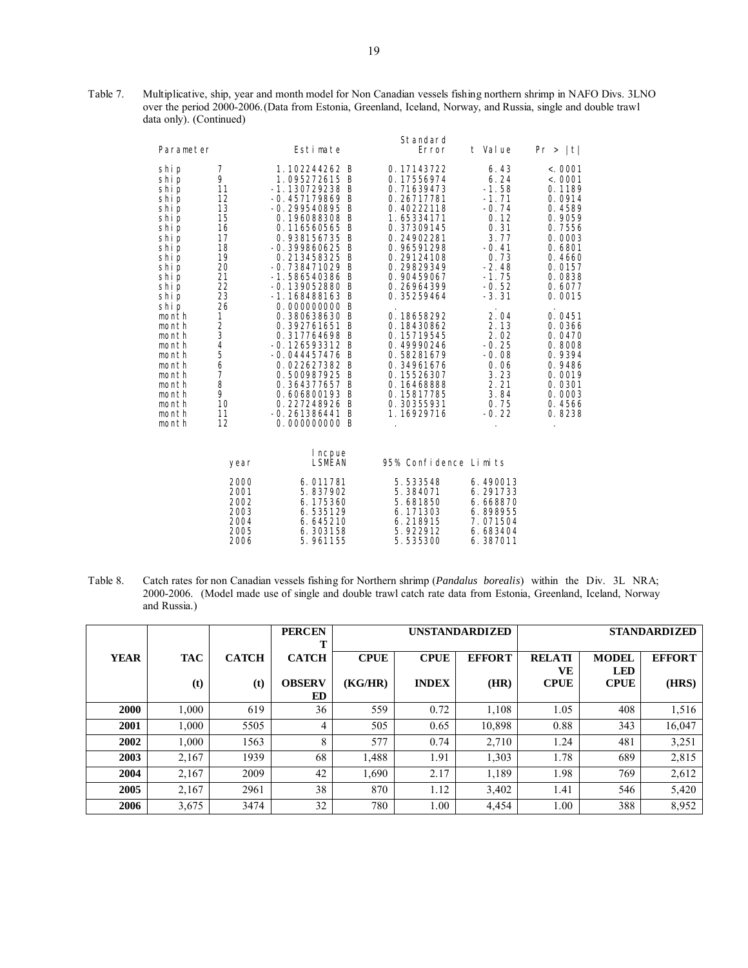Table 7. Multiplicative, ship, year and month model for Non Canadian vessels fishing northern shrimp in NAFO Divs. 3LNO over the period 2000-2006. (Data from Estonia, Greenland, Iceland, Norway, and Russia, single and double trawl data only). (Continued)

| Parameter                                                                                                                                                                                                                                       |                                                                                                                                                                           | Estimate                                                                                                                                                                                                                                                                                                                                                                                                                                                                                                | Standard<br>Error                                                                                                                                                                                                                                                                                                                                          | t Value                                                                                                                                                                                                                               | Pr >  t                                                                                                                                                                                                                                                  |
|-------------------------------------------------------------------------------------------------------------------------------------------------------------------------------------------------------------------------------------------------|---------------------------------------------------------------------------------------------------------------------------------------------------------------------------|---------------------------------------------------------------------------------------------------------------------------------------------------------------------------------------------------------------------------------------------------------------------------------------------------------------------------------------------------------------------------------------------------------------------------------------------------------------------------------------------------------|------------------------------------------------------------------------------------------------------------------------------------------------------------------------------------------------------------------------------------------------------------------------------------------------------------------------------------------------------------|---------------------------------------------------------------------------------------------------------------------------------------------------------------------------------------------------------------------------------------|----------------------------------------------------------------------------------------------------------------------------------------------------------------------------------------------------------------------------------------------------------|
| shi p<br>shi p<br>shi p<br>shi p<br>shi p<br>shi p<br>shi p<br>shi p<br>shi p<br>shi p<br>shi p<br>shi p<br>shi p<br>shi p<br>shi p<br>month<br>month<br>month<br>month<br>month<br>month<br>month<br>month<br>month<br>month<br>month<br>month | 7<br>9<br>11<br>12<br>13<br>15<br>16<br>17<br>18<br>19<br>20<br>21<br>22<br>23<br>26<br>1<br>$\overline{\mathbf{c}}$<br>3<br>4<br>5<br>6<br>7<br>8<br>9<br>10<br>11<br>12 | 1.102244262 B<br>1.095272615 B<br>$-1.130729238$ B<br>$-0.457179869$ B<br>$-0.299540895 B$<br>0.196088308 B<br>0.116560565 B<br>0.938156735 B<br>$-0.399860625 B$<br>0.213458325 B<br>$-0.738471029$ B<br>$-1.586540386$ B<br>$-0.139052880$ B<br>$-1.168488163B$<br>0.000000000 B<br>0.380638630 B<br>0.392761651 B<br>0.317764698 B<br>$-0.126593312$ B<br>$-0.044457476$ B<br>0.022627382 B<br>0.500987925 B<br>0.364377657 B<br>0.606800193 B<br>0.227248926 B<br>$-0.261386441 B$<br>0.000000000 B | 0.17143722<br>0.17556974<br>0.71639473<br>0.26717781<br>0.40222118<br>1.65334171<br>0.37309145<br>0.24902281<br>0.96591298<br>0.29124108<br>0.29829349<br>0.90459067<br>0.26964399<br>0.35259464<br>0.18658292<br>0.18430862<br>0.15719545<br>0.49990246<br>0.58281679<br>0.34961676<br>0.15526307<br>0.16468888<br>0.15817785<br>0.30355931<br>1.16929716 | 6.43<br>6.24<br>$-1.58$<br>$-1.71$<br>$-0.74$<br>0.12<br>0.31<br>3.77<br>$-0.41$<br>0.73<br>$-2.48$<br>$-1.75$<br>$-0.52$<br>$-3.31$<br>2.04<br>2.13<br>2.02<br>$-0.25$<br>$-0.08$<br>0.06<br>3.23<br>2.21<br>3.84<br>0.75<br>$-0.22$ | < .0001<br>< .0001<br>0.1189<br>0.0914<br>0.4589<br>0.9059<br>0.7556<br>0.0003<br>0.6801<br>0.4660<br>0.0157<br>0.0838<br>0.6077<br>0.0015<br>0.0451<br>0.0366<br>0.0470<br>0.8008<br>0.9394<br>0.9486<br>0.0019<br>0.0301<br>0.0003<br>0.4566<br>0.8238 |
|                                                                                                                                                                                                                                                 | year                                                                                                                                                                      | I ncpue<br><b>LSMEAN</b>                                                                                                                                                                                                                                                                                                                                                                                                                                                                                | 95% Confidence Limits                                                                                                                                                                                                                                                                                                                                      |                                                                                                                                                                                                                                       |                                                                                                                                                                                                                                                          |
|                                                                                                                                                                                                                                                 | 2000<br>2001<br>2002<br>2003<br>2004<br>2005<br>2006                                                                                                                      | 6.011781<br>5.837902<br>6.175360<br>6.535129<br>6.645210<br>6.303158<br>5.961155                                                                                                                                                                                                                                                                                                                                                                                                                        | 5.533548<br>5.384071<br>5.681850<br>6.171303<br>6.218915<br>5.922912<br>5.535300                                                                                                                                                                                                                                                                           | 6.490013<br>6.291733<br>6.668870<br>6.898955<br>7.071504<br>6.683404<br>6.387011                                                                                                                                                      |                                                                                                                                                                                                                                                          |

Table 8. Catch rates for non Canadian vessels fishing for Northern shrimp (*Pandalus borealis*) within the Div. 3L NRA; 2000-2006. (Model made use of single and double trawl catch rate data from Estonia, Greenland, Iceland, Norway and Russia.)

|             |            |              | <b>PERCEN</b><br>т  |             |              | <b>UNSTANDARDIZED</b> |                   |                           | <b>STANDARDIZED</b> |
|-------------|------------|--------------|---------------------|-------------|--------------|-----------------------|-------------------|---------------------------|---------------------|
| <b>YEAR</b> | <b>TAC</b> | <b>CATCH</b> | <b>CATCH</b>        | <b>CPUE</b> | <b>CPUE</b>  | <b>EFFORT</b>         | <b>RELATI</b>     | <b>MODEL</b>              | <b>EFFORT</b>       |
|             | (t)        | (t)          | <b>OBSERV</b><br>ED | (KG/HR)     | <b>INDEX</b> | (HR)                  | VE<br><b>CPUE</b> | <b>LED</b><br><b>CPUE</b> | (HRS)               |
| <b>2000</b> | 1,000      | 619          | 36                  | 559         | 0.72         | 1,108                 | 1.05              | 408                       | 1,516               |
| 2001        | 1,000      | 5505         | 4                   | 505         | 0.65         | 10,898                | 0.88              | 343                       | 16,047              |
| 2002        | 1,000      | 1563         | 8                   | 577         | 0.74         | 2,710                 | 1.24              | 481                       | 3,251               |
| 2003        | 2,167      | 1939         | 68                  | 1,488       | 1.91         | 1,303                 | 1.78              | 689                       | 2,815               |
| 2004        | 2,167      | 2009         | 42                  | 1,690       | 2.17         | 1,189                 | 1.98              | 769                       | 2,612               |
| 2005        | 2,167      | 2961         | 38                  | 870         | 1.12         | 3,402                 | 1.41              | 546                       | 5,420               |
| 2006        | 3,675      | 3474         | 32                  | 780         | 1.00         | 4,454                 | 1.00              | 388                       | 8,952               |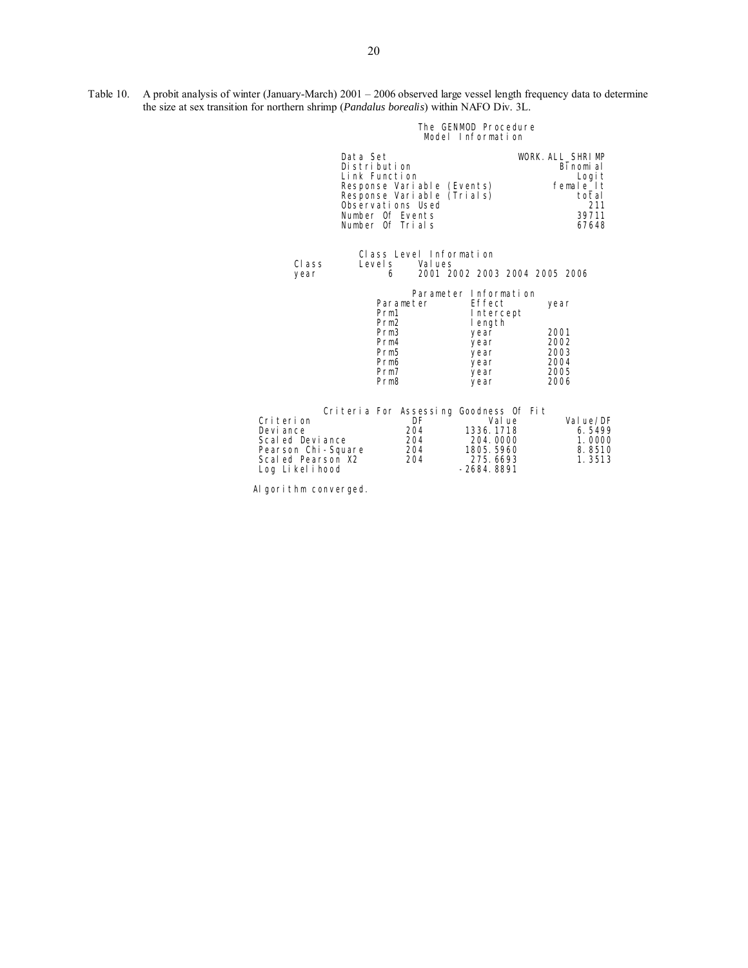Table 10. A probit analysis of winter (January-March) 2001 – 2006 observed large vessel length frequency data to determine the size at sex transition for northern shrimp (*Pandalus borealis*) within NAFO Div. 3L.

#### The GENMOD Procedure and the Senate of the GENMOD Procedure Model Information

| Data Set                                                                                                    | Distribution<br>Link Function<br>Response Variable (Events)<br>Response Variable<br>Observations Used<br>Number Of Events<br>Number Of Trials | (Trials)                                                                                               | WORK. ALL SHRIMP<br>Binomial<br>Logi t<br>female_lt<br>total<br>211<br>39711<br>67648 |
|-------------------------------------------------------------------------------------------------------------|-----------------------------------------------------------------------------------------------------------------------------------------------|--------------------------------------------------------------------------------------------------------|---------------------------------------------------------------------------------------|
| Class<br>year                                                                                               | Class Level Information<br>Val ues<br>Level s<br>6                                                                                            | 2001 2002 2003 2004 2005 2006                                                                          |                                                                                       |
|                                                                                                             | Parameter<br>Prm1<br>Prm <sub>2</sub><br>Prm <sub>3</sub><br>Prm4<br>Prm <sub>5</sub><br>Prm6<br>Prm7<br>Prm <sub>8</sub>                     | Parameter Information<br>Effect<br>Intercept<br>length<br>year<br>year<br>year<br>year<br>year<br>year | year<br>2001<br>2002<br>2003<br>2004<br>2005<br>2006                                  |
| Criterion<br>Devi ance<br>Scal ed Devi ance<br>Pearson Chi-Square<br>Scal ed Pearson X2<br>Log Likel i hood | Criteria For Assessing Goodness Of Fit<br>DF<br>204<br>204<br>204<br>204                                                                      | Val ue<br>1336.1718<br>204.0000<br>1805. 5960<br>275.6693<br>-2684.8891                                | Value/DF<br>6.5499<br>1.0000<br>8.8510<br>1.3513                                      |

Al gorithm converged.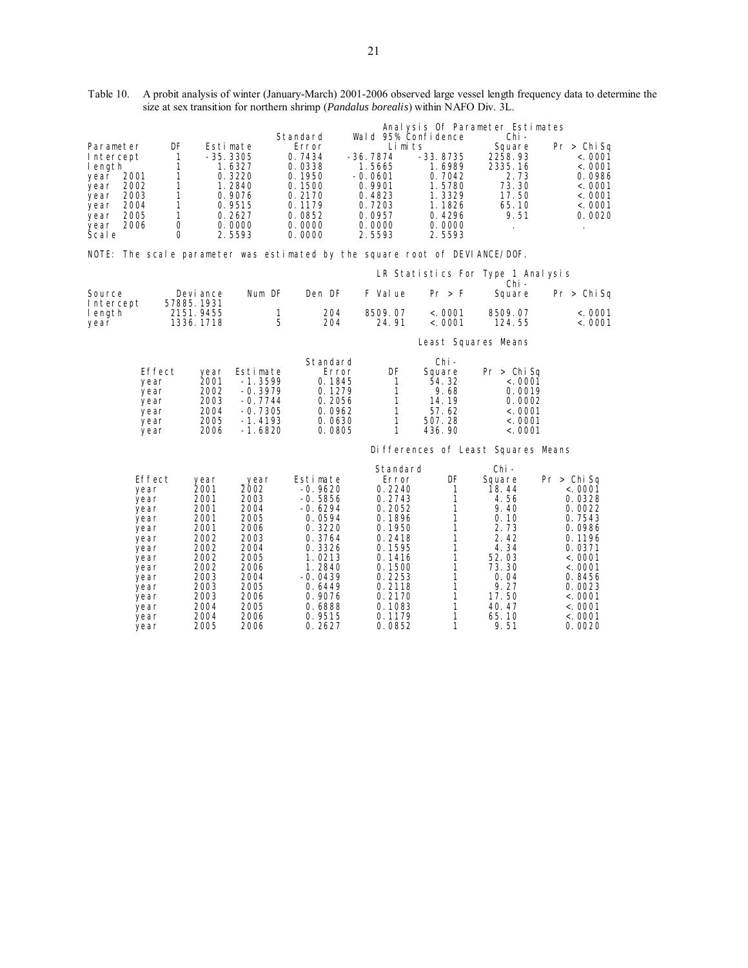| Table 10. A probit analysis of winter (January-March) 2001-2006 observed large vessel length frequency data to determine the |
|------------------------------------------------------------------------------------------------------------------------------|
| size at sex transition for northern shrimp ( <i>Pandalus borealis</i> ) within NAFO Div. 3L.                                 |

|                                  |              |                         |                        |                                  |                                                                             |                                |                      | Analysis Of Parameter Estimates            |                                   |
|----------------------------------|--------------|-------------------------|------------------------|----------------------------------|-----------------------------------------------------------------------------|--------------------------------|----------------------|--------------------------------------------|-----------------------------------|
|                                  |              |                         |                        |                                  | Standard                                                                    | Wald 95% Confidence            |                      | Chi -                                      |                                   |
| Parameter<br>Intercept<br>length |              | DF<br>$\mathbf{1}$<br>1 |                        | Estimate<br>$-35.3305$<br>1.6327 | Error<br>0.7434<br>0.0338                                                   | Limits<br>$-36.7874$<br>1.5665 | $-33.8735$<br>1.6989 | Square<br>2258.93<br>2335.16               | Pr > Chi Sq<br>< .0001<br><. 0001 |
| year                             | 2001         | 1                       |                        | 0.3220                           | 0.1950                                                                      | -0.0601                        | 0.7042               | 2.73                                       | 0.0986                            |
| year<br>year                     | 2002<br>2003 | 1<br>1                  |                        | 1.2840<br>0.9076                 | 0.1500<br>0.2170                                                            | 0.9901<br>0.4823               | 1.5780<br>1.3329     | 73.30<br>17.50                             | < .0001<br>< .0001                |
| year                             | 2004         | $\mathbf{1}$            |                        | 0.9515                           | 0.1179                                                                      | 0.7203                         | 1.1826               | 65.10                                      | < .0001                           |
| year                             | 2005         | 1                       |                        | 0.2627                           | 0.0852                                                                      | 0.0957                         | 0.4296               | 9.51                                       | 0.0020                            |
| year<br>Šcal e                   | 2006         | 0<br>0                  |                        | 0.0000<br>2.5593                 | 0.0000<br>0.0000                                                            | 0.0000<br>2.5593               | 0.0000<br>2.5593     | $\cdot$                                    | $\cdot$                           |
|                                  |              |                         |                        |                                  | NOTE: The scale parameter was estimated by the square root of DEVIANCE/DOF. |                                |                      |                                            |                                   |
|                                  |              |                         |                        |                                  |                                                                             |                                |                      | LR Statistics For Type 1 Analysis<br>Chi – |                                   |
| Source<br>Intercept              |              | 57885.1931              | Devi ance              | Num DF                           | Den DF                                                                      | F Val ue                       | Pr > F               | Square                                     | Pr > Chi Sq                       |
| length<br>year                   |              |                         | 2151.9455<br>1336.1718 | $\mathbf{1}$<br>5                | 204<br>204                                                                  | 8509.07<br>24.91               | < .0001<br>< .0001   | 8509.07<br>124.55                          | < .0001<br><. 0001                |
|                                  |              |                         |                        |                                  |                                                                             |                                | Least Squares Means  |                                            |                                   |
|                                  |              |                         |                        |                                  | Standard                                                                    |                                | Chi –                |                                            |                                   |
|                                  | Effect       |                         | year                   | Estimate                         | Error                                                                       | DF                             | Square               | Pr > Chi Sq                                |                                   |
|                                  | year<br>year |                         | 2001<br>2002           | $-1.3599$<br>-0.3979             | 0.1845<br>0.1279                                                            | $\mathbf{1}$<br>$\mathbf{1}$   | 54.32<br>9.68        | < 0001<br>0.0019                           |                                   |
|                                  | year         |                         | 2003                   | $-0.7744$                        | 0.2056                                                                      | $\mathbf{1}$                   | 14.19                | 0.0002                                     |                                   |
|                                  | year<br>year |                         | 2004<br>2005           | $-0.7305$<br>$-1.4193$           | 0.0962<br>0.0630                                                            | 1<br>1                         | 57.62<br>507.28      | < 0001<br>< 0.0001                         |                                   |
|                                  | year         |                         | 2006                   | -1.6820                          | 0.0805                                                                      | 1                              | 436.90               | < 0.0001                                   |                                   |
|                                  |              |                         |                        |                                  |                                                                             |                                |                      | Di fferences of Least Squares Means        |                                   |
|                                  |              |                         |                        |                                  |                                                                             | Standard                       |                      | Chi -                                      |                                   |
|                                  | Effect       |                         | year<br>2001           | _year<br>2002                    | Estimate<br>$-0.9620$                                                       | Error<br>0.2240                | DF                   | Square<br>18.44                            | Pr > Chi Sq                       |
|                                  | year<br>year |                         | 2001                   | 2003                             | $-0.5856$                                                                   | 0.2743                         | 1<br>1               | 4.56                                       | < .0001<br>0.0328                 |
|                                  | year         |                         | 2001                   | 2004                             | -0. 6294                                                                    | 0.2052                         | 1                    | 9.40                                       | 0.0022                            |
|                                  | year         |                         | 2001<br>2001           | 2005<br>2006                     | 0.0594<br>0.3220                                                            | 0.1896<br>0.1950               | 1<br>1               | 0.10<br>2.73                               | 0.7543<br>0.0986                  |
|                                  | year<br>year |                         | 2002                   | 2003                             | 0.3764                                                                      | 0.2418                         | 1                    | 2.42                                       | 0.1196                            |
|                                  | year         |                         | 2002                   | 2004                             | 0.3326                                                                      | 0.1595                         | 1                    | 4.34                                       | 0.0371                            |
|                                  | year<br>year |                         | 2002<br>2002           | 2005<br>2006                     | 1.0213<br>1.2840                                                            | 0.1416<br>0.1500               | 1<br>1               | 52.03<br>73.30                             | < .0001<br>< .0001                |
|                                  | year         |                         | 2003                   | 2004                             | $-0.0439$                                                                   | 0.2253                         | 1                    | 0.04                                       | 0.8456                            |
|                                  | year         |                         | 2003                   | 2005                             | 0.6449                                                                      | 0.2118                         | 1                    | 9.27                                       | 0.0023                            |
|                                  | year<br>year |                         | 2003<br>2004           | 2006<br>2005                     | 0.9076<br>0.6888                                                            | 0.2170<br>0.1083               | 1<br>1               | 17.50<br>40.47                             | < .0001<br>< .0001                |
|                                  | year         |                         | 2004                   | 2006                             | 0.9515                                                                      | 0.1179                         | 1                    | 65.10                                      | < .0001                           |
|                                  | year         |                         | 2005                   | 2006                             | 0.2627                                                                      | 0.0852                         | 1                    | 9.51                                       | 0.0020                            |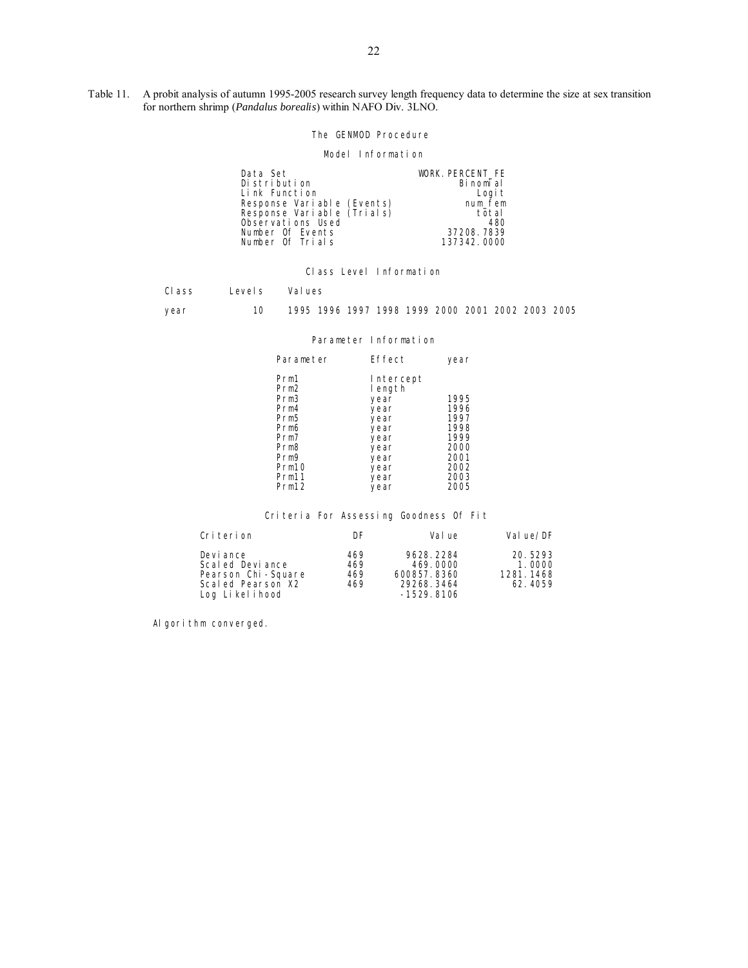Table 11. A probit analysis of autumn 1995-2005 research survey length frequency data to determine the size at sex transition for northern shrimp (*Pandalus borealis*) within NAFO Div. 3LNO.

The GENMOD Procedure

Model Information

| Data Set<br>Distribution<br>Link Function                                                                             | WORK. PERCENT FE<br>Binomial | Logi t                  |
|-----------------------------------------------------------------------------------------------------------------------|------------------------------|-------------------------|
| Response Variable (Events)<br>Response Variable (Trials)<br>Observations Used<br>Number Of Events<br>Number Of Trials | 37208, 7839<br>137342.0000   | num fem<br>total<br>480 |

Class Level Information

Class Levels Values

year 10 1995 1996 1997 1998 1999 2000 2001 2002 2003 2005

Parameter Information

| Parameter                                                                                                                                                               | Effect                                                                                              | year                                                                         |
|-------------------------------------------------------------------------------------------------------------------------------------------------------------------------|-----------------------------------------------------------------------------------------------------|------------------------------------------------------------------------------|
| Prm1<br>Prm <sub>2</sub><br>Prm <sub>3</sub><br>Prm4<br>Prm <sub>5</sub><br>Prm6<br>Prm7<br>Prm <sub>8</sub><br>Prm9<br>Prm <sub>10</sub><br>Prm11<br>Prm <sub>12</sub> | Intercept<br>length<br>year<br>year<br>year<br>year<br>year<br>year<br>year<br>year<br>year<br>year | 1995<br>1996<br>1997<br>1998<br>1999<br>2000<br>2001<br>2002<br>2003<br>2005 |
|                                                                                                                                                                         |                                                                                                     |                                                                              |

Criteria For Assessing Goodness Of Fit

| Criterion                                                                                 | DF                       | Val ue                                                              | Val ue/DF                                 |
|-------------------------------------------------------------------------------------------|--------------------------|---------------------------------------------------------------------|-------------------------------------------|
| Devi ance<br>Scaled Deviance<br>Pearson Chi-Square<br>Scaled Pearson X2<br>Log Likelihood | 469<br>469<br>469<br>469 | 9628.2284<br>469,0000<br>600857.8360<br>29268, 3464<br>$-1529.8106$ | 20.5293<br>1.0000<br>1281.1468<br>62.4059 |

Al gori thm converged.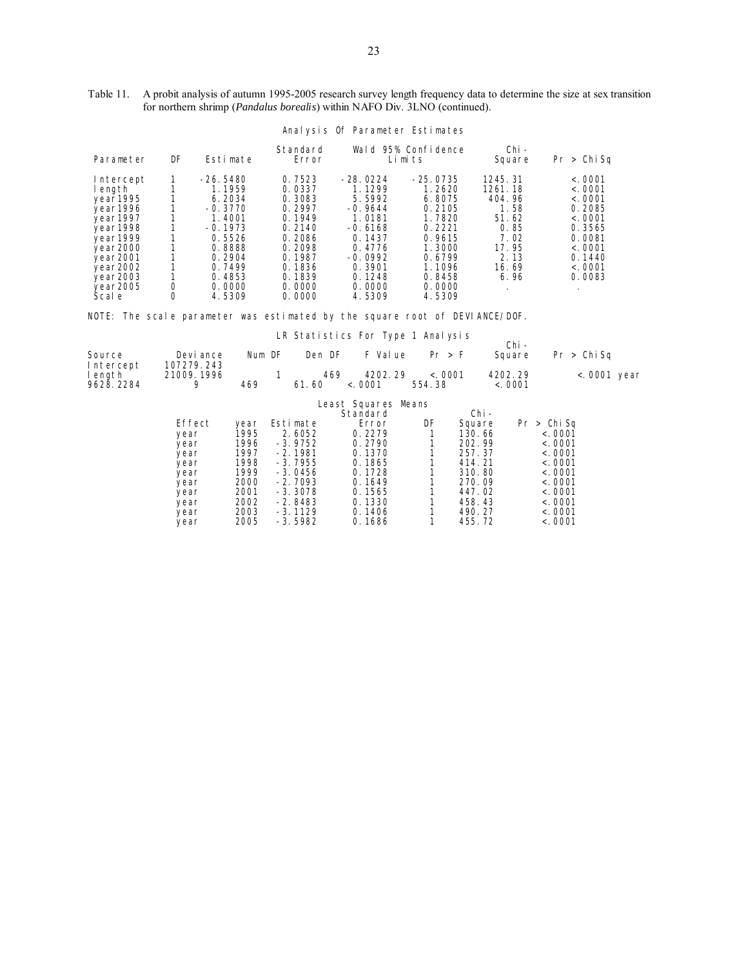| Table 11. A probit analysis of autumn 1995-2005 research survey length frequency data to determine the size at sex transition |
|-------------------------------------------------------------------------------------------------------------------------------|
| for northern shrimp ( <i>Pandalus borealis</i> ) within NAFO Div. 3LNO (continued).                                           |

|                                                                                                                                                       |        |                                                                                                                                          |                                                                                                                                | Anarysis or Parameter Estimates                                                                                                             |                                                                                                                                    |                                                                                                 |                                                                                                                      |
|-------------------------------------------------------------------------------------------------------------------------------------------------------|--------|------------------------------------------------------------------------------------------------------------------------------------------|--------------------------------------------------------------------------------------------------------------------------------|---------------------------------------------------------------------------------------------------------------------------------------------|------------------------------------------------------------------------------------------------------------------------------------|-------------------------------------------------------------------------------------------------|----------------------------------------------------------------------------------------------------------------------|
| Parameter                                                                                                                                             | DF     | Estimate                                                                                                                                 | Standard<br>Error                                                                                                              |                                                                                                                                             | Wald 95% Confidence<br>Limits                                                                                                      | Chi -<br>Square                                                                                 | > Chi Sq<br>Pr                                                                                                       |
| Intercept<br>length<br>year1995<br>year1996<br>year1997<br>year1998<br>year1999<br>year2000<br>year2001<br>year2002<br>year2003<br>year2005<br>Scal e | 0<br>0 | $-26.5480$<br>1.1959<br>6.2034<br>$-0.3770$<br>1.4001<br>$-0.1973$<br>0.5526<br>0.8888<br>0.2904<br>0.7499<br>0.4853<br>0.0000<br>4.5309 | 0.7523<br>0.0337<br>0.3083<br>0.2997<br>0.1949<br>0.2140<br>0.2086<br>0.2098<br>0.1987<br>0.1836<br>0.1839<br>0.0000<br>0.0000 | $-28.0224$<br>1.1299<br>5.5992<br>$-0.9644$<br>1.0181<br>$-0.6168$<br>0.1437<br>0.4776<br>$-0.0992$<br>0.3901<br>0.1248<br>0.0000<br>4.5309 | $-25.0735$<br>1.2620<br>6.8075<br>0.2105<br>1.7820<br>0.2221<br>0.9615<br>1.3000<br>0.6799<br>1.1096<br>0.8458<br>0.0000<br>4.5309 | 1245.31<br>1261.18<br>404.96<br>1.58<br>51.62<br>0.85<br>7.02<br>17.95<br>2.13<br>16.69<br>6.96 | < 0.001<br>< 0.0001<br>< 0.0001<br>0.2085<br>< 0.001<br>0.3565<br>0.0081<br>< 0.0001<br>0.1440<br>< 0.0001<br>0.0083 |

# Analysis Of Parameter Estimates

NOTE: The scale parameter was estimated by the square root of DEVIANCE/DOF.

|           |            |        |           | LR STATISTICS FOR TYPE I ANALYSIS |          |         |        |         |             |                 |
|-----------|------------|--------|-----------|-----------------------------------|----------|---------|--------|---------|-------------|-----------------|
|           |            |        |           |                                   |          |         |        | Chi -   |             |                 |
| Source    | Devi ance  | Num DF |           | Den DF                            | F Val ue | Pr > F  |        | Square  | Pr > Chi Sa |                 |
| Intercept | 107279.243 |        |           |                                   |          |         |        |         |             |                 |
| length    | 21009.1996 |        |           | 469                               | 4202.29  | < .0001 |        | 4202.29 |             | $<$ . 0001 year |
| 9628.2284 | 9          | 469    | 61.60     | < .0001                           |          | 554.38  |        | < .0001 |             |                 |
|           |            |        |           |                                   |          |         |        |         |             |                 |
|           |            |        |           | Least Squares Means               |          |         |        |         |             |                 |
|           |            |        |           | Standard                          |          |         | Chi -  |         |             |                 |
|           | Effect     | year   | Estimate  |                                   | Error    | DF      | Square |         | Pr > Chi Sq |                 |
|           | year       | 1995   | 2.6052    |                                   | 0.2279   |         | 130.66 |         | < 0001      |                 |
|           | year       | 1996   | $-3.9752$ |                                   | 0.2790   |         | 202.99 |         | < 0001      |                 |
|           | year       | 1997   | $-2.1981$ |                                   | 0.1370   |         | 257.37 |         | < 0001      |                 |
|           | year       | 1998   | $-3.7955$ |                                   | 0.1865   |         | 414.21 |         | < 0001      |                 |
|           | year       | 1999   | $-3.0456$ |                                   | 0.1728   |         | 310.80 |         | < 0001      |                 |
|           | year       | 2000   | $-2.7093$ |                                   | 0.1649   |         | 270.09 |         | < 0001      |                 |
|           | year       | 2001   | $-3.3078$ |                                   | 0.1565   |         | 447.02 |         | < 0001      |                 |
|           | year       | 2002   | $-2.8483$ |                                   | 0.1330   |         | 458.43 |         | < 0001      |                 |
|           | year       | 2003   | $-3.1129$ |                                   | 0.1406   |         | 490.27 |         | < 0001      |                 |
|           | vear       | 2005   | $-3.5982$ |                                   | 0.1686   |         | 455.72 |         | < 0001      |                 |

LR Statistics For Type 1 Analysis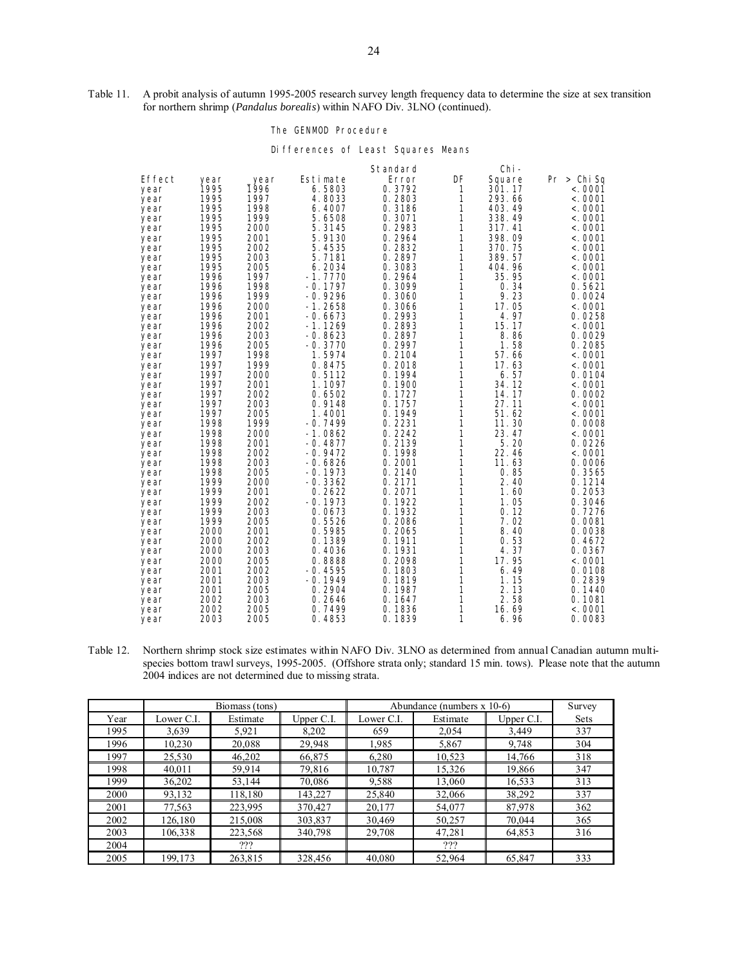Table 11. A probit analysis of autumn 1995-2005 research survey length frequency data to determine the size at sex transition for northern shrimp (*Pandalus borealis*) within NAFO Div. 3LNO (continued).

#### The GENMOD Procedure

Di fferences of Least Squares Means

|              |              |              |                  | Standard         |              | Chi -          |                  |
|--------------|--------------|--------------|------------------|------------------|--------------|----------------|------------------|
| Effect       | year         | _year        | Estimate         | Error            | DF           | Square         | Pr > Chi Sa      |
| year         | 1995         | 1996         | 6.5803           | 0.3792           | 1            | 301.17         | < 0001           |
| year         | 1995         | 1997         | 4.8033           | 0.2803           | 1            | 293.66         | < 0001           |
| year         | 1995         | 1998         | 6.4007           | 0.3186           | 1            | 403.49         | < 0001           |
| year         | 1995         | 1999         | 5.6508           | 0.3071           | 1            | 338.49         | < 0001           |
| year         | 1995         | 2000         | 5.3145           | 0.2983           | 1            | 317.41         | < 0001           |
| year         | 1995         | 2001         | 5.9130           | 0.2964           | $\mathbf{1}$ | 398.09         | < 0001           |
| year         | 1995         | 2002         | 5.4535           | 0.2832           | 1            | 370.75         | < 0001           |
| year         | 1995         | 2003         | 5.7181           | 0.2897           | 1            | 389.57         | < 0001           |
| year         | 1995         | 2005         | 6.2034           | 0.3083           | 1            | 404.96         | < 0001           |
| year         | 1996         | 1997         | $-1.7770$        | 0.2964           | 1            | 35.95          | < 0001           |
| year         | 1996         | 1998         | $-0.1797$        | 0.3099           | 1            | 0.34           | 0.5621           |
| year         | 1996         | 1999         | $-0.9296$        | 0.3060           | 1            | 9.23           | 0.0024           |
| year         | 1996         | 2000         | $-1.2658$        | 0.3066           | 1            | 17.05          | < 0001           |
| year         | 1996         | 2001         | $-0.6673$        | 0.2993           | 1            | 4.97           | 0.0258           |
| year         | 1996         | 2002         | $-1.1269$        | 0.2893           | 1            | 15.17          | < 0001           |
| year         | 1996         | 2003         | $-0.8623$        | 0.2897           | 1            | 8.86           | 0.0029           |
| year         | 1996         | 2005         | $-0.3770$        | 0.2997           | 1            | 1.58           | 0.2085           |
| year         | 1997<br>1997 | 1998<br>1999 | 1.5974<br>0.8475 | 0.2104<br>0.2018 | 1<br>1       | 57.66<br>17.63 | < 0001<br>< 0001 |
| year         | 1997         | 2000         | 0.5112           | 0.1994           | 1            | 6.57           | 0.0104           |
| year         | 1997         | 2001         | 1.1097           | 0.1900           | 1            | 34.12          | < 0001           |
| year<br>year | 1997         | 2002         | 0.6502           | 0.1727           | 1            | 14.17          | 0.0002           |
| year         | 1997         | 2003         | 0.9148           | 0.1757           | 1            | 27.11          | < 0001           |
| year         | 1997         | 2005         | 1.4001           | 0.1949           | 1            | 51.62          | < 0001           |
| year         | 1998         | 1999         | $-0.7499$        | 0.2231           | 1            | 11.30          | 0.0008           |
| year         | 1998         | 2000         | $-1.0862$        | 0.2242           | $\mathbf{1}$ | 23.47          | < 0001           |
| year         | 1998         | 2001         | $-0.4877$        | 0.2139           | 1            | 5.20           | 0.0226           |
| year         | 1998         | 2002         | $-0.9472$        | 0.1998           | 1            | 22.46          | < .0001          |
| year         | 1998         | 2003         | $-0.6826$        | 0.2001           | 1            | 11.63          | 0.0006           |
| year         | 1998         | 2005         | $-0.1973$        | 0.2140           | 1            | 0.85           | 0.3565           |
| year         | 1999         | 2000         | $-0.3362$        | 0.2171           | 1            | 2.40           | 0.1214           |
| year         | 1999         | 2001         | 0.2622           | 0.2071           | 1            | 1.60           | 0.2053           |
| year         | 1999         | 2002         | $-0.1973$        | 0.1922           | 1            | 1.05           | 0.3046           |
| year         | 1999         | 2003         | 0.0673           | 0.1932           | 1            | 0.12           | 0.7276           |
| year         | 1999         | 2005         | 0.5526           | 0.2086           | 1            | 7.02           | 0.0081           |
| year         | 2000         | 2001         | 0.5985           | 0.2065           | 1            | 8.40           | 0.0038           |
| year         | 2000         | 2002         | 0.1389           | 0.1911           | 1            | 0.53           | 0.4672           |
| year         | 2000         | 2003         | 0.4036           | 0.1931           | 1            | 4.37           | 0.0367           |
| year         | 2000         | 2005         | 0.8888           | 0.2098           | 1            | 17.95          | < 0001           |
| year         | 2001         | 2002         | $-0.4595$        | 0.1803           | 1            | 6.49           | 0.0108           |
| year         | 2001         | 2003         | $-0.1949$        | 0.1819           | 1            | 1.15           | 0.2839           |
| year         | 2001         | 2005         | 0.2904           | 0.1987           | 1            | 2.13           | 0.1440           |
| year         | 2002         | 2003         | 0.2646           | 0.1647           | 1            | 2.58           | 0.1081           |
| year         | 2002         | 2005         | 0.7499           | 0.1836           | 1            | 16.69          | < 0001           |
| year         | 2003         | 2005         | 0.4853           | 0.1839           | 1            | 6.96           | 0.0083           |

Table 12. Northern shrimp stock size estimates within NAFO Div. 3LNO as determined from annual Canadian autumn multispecies bottom trawl surveys, 1995-2005. (Offshore strata only; standard 15 min. tows). Please note that the autumn 2004 indices are not determined due to missing strata.

|      |            | Biomass (tons) |            | Abundance (numbers $x 10-6$ ) | Survey   |            |      |
|------|------------|----------------|------------|-------------------------------|----------|------------|------|
| Year | Lower C.I. | Estimate       | Upper C.I. | Lower C.I.                    | Estimate | Upper C.I. | Sets |
| 1995 | 3,639      | 5,921          | 8,202      | 659                           | 2,054    | 3,449      | 337  |
| 1996 | 10,230     | 20,088         | 29,948     | 1,985                         | 5,867    | 9,748      | 304  |
| 1997 | 25,530     | 46,202         | 66,875     | 6,280                         | 10,523   | 14,766     | 318  |
| 1998 | 40,011     | 59.914         | 79,816     | 10,787                        | 15,326   | 19,866     | 347  |
| 1999 | 36,202     | 53,144         | 70,086     | 9.588                         | 13,060   | 16,533     | 313  |
| 2000 | 93,132     | 118,180        | 143,227    | 25,840                        | 32,066   | 38,292     | 337  |
| 2001 | 77,563     | 223.995        | 370,427    | 20,177                        | 54,077   | 87,978     | 362  |
| 2002 | 126,180    | 215,008        | 303,837    | 30,469                        | 50,257   | 70,044     | 365  |
| 2003 | 106,338    | 223,568        | 340,798    | 29,708                        | 47,281   | 64,853     | 316  |
| 2004 |            | ???            |            |                               | ???      |            |      |
| 2005 | 199.173    | 263,815        | 328,456    | 40,080                        | 52,964   | 65,847     | 333  |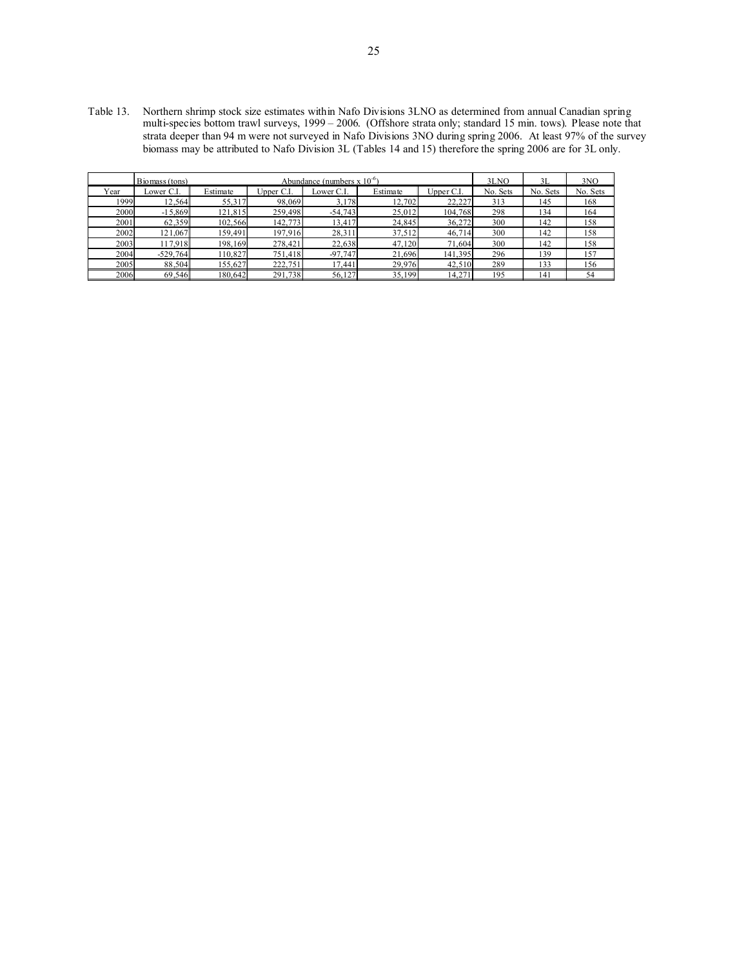Table 13. Northern shrimp stock size estimates within Nafo Divisions 3LNO as determined from annual Canadian spring multi-species bottom trawl surveys, 1999 – 2006. (Offshore strata only; standard 15 min. tows). Please note that strata deeper than 94 m were not surveyed in Nafo Divisions 3NO during spring 2006. At least 97% of the survey biomass may be attributed to Nafo Division 3L (Tables 14 and 15) therefore the spring 2006 are for 3L only.

| Abundance (numbers $x 10^{-6}$ )<br>Biomass (tons) |            |          |           |           |          |           |          | 3L       | 3NO      |
|----------------------------------------------------|------------|----------|-----------|-----------|----------|-----------|----------|----------|----------|
| Year                                               | Lower C.I  | Estimate | Upper C.I | Lower C.I | Estimate | Upper C.I | No. Sets | No. Sets | No. Sets |
| 1999                                               | 12,564     | 55,317   | 98,069    | 3,178     | 12,702   | 22,227    | 313      | 145      | 168      |
| 2000                                               | $-15,869$  | 121,815  | 259,498   | $-54,743$ | 25,012   | 104,768   | 298      | 134      | 164      |
| 2001                                               | 62,359     | 102,566  | 142,773   | 13,417    | 24,845   | 36,272    | 300      | 142      | 158      |
| 2002                                               | 121,067    | 159.491  | 197.916   | 28,311    | 37,512   | 46,714    | 300      | 142      | 158      |
| 2003                                               | 117,918    | 198,169  | 278,421   | 22,638    | 47,120   | 71,604    | 300      | 142      | 158      |
| 2004                                               | $-529,764$ | 110,827  | 751,418   | $-97,747$ | 21,696   | 141,395   | 296      | 139      | 157      |
| 2005                                               | 88,504     | 155,627  | 222,751   | 17,441    | 29,976   | 42,510    | 289      | 133      | 156      |
| 2006                                               | 69,546     | 180,642  | 291,738   | 56,127    | 35,199   | 14,271    | 195      | 141      | 54       |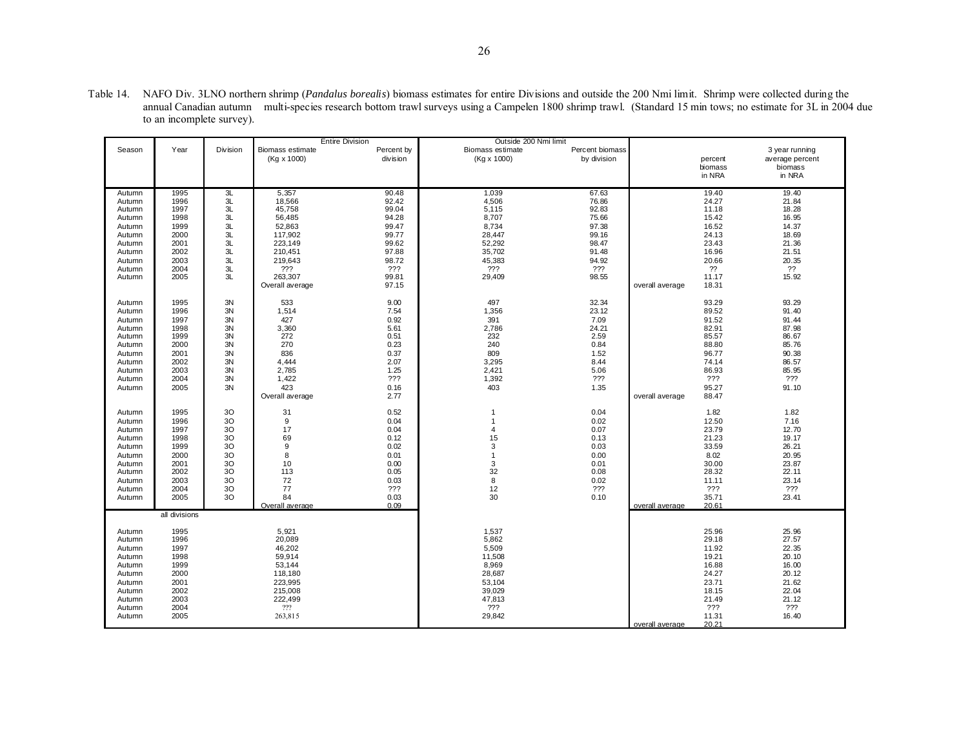|                           | Table 14. NAFO Div. 3LNO northern shrimp ( <i>Pandalus borealis</i> ) biomass estimates for entire Divisions and outside the 200 Nmi limit. Shrimp were collected during the |
|---------------------------|------------------------------------------------------------------------------------------------------------------------------------------------------------------------------|
|                           | annual Canadian autumn multi-species research bottom trawl surveys using a Campelen 1800 shrimp trawl. (Standard 15 min tows; no estimate for 3L in 2004 due                 |
| to an incomplete survey). |                                                                                                                                                                              |

|        |               |          |                  | <b>Entire Division</b> | Outside 200 Nmi limit |                 |                 |         |                 |
|--------|---------------|----------|------------------|------------------------|-----------------------|-----------------|-----------------|---------|-----------------|
| Season | Year          | Division | Biomass estimate | Percent by             | Biomass estimate      | Percent biomass |                 |         | 3 year running  |
|        |               |          | (Kg x 1000)      | division               | $(Kg \times 1000)$    | by division     |                 | percent | average percent |
|        |               |          |                  |                        |                       |                 |                 |         | biomass         |
|        |               |          |                  |                        |                       |                 |                 | biomass |                 |
|        |               |          |                  |                        |                       |                 |                 | in NRA  | in NRA          |
|        |               |          |                  |                        |                       |                 |                 |         |                 |
| Autumn | 1995          | 3L       | 5,357            | 90.48                  | 1,039                 | 67.63           |                 | 19.40   | 19.40           |
| Autumn | 1996          | 3L       | 18,566           | 92.42                  | 4,506                 | 76.86           |                 | 24.27   | 21.84           |
| Autumn | 1997          | 3L       | 45,758           | 99.04                  | 5,115                 | 92.83           |                 | 11.18   | 18.28           |
| Autumn | 1998          | 3L       | 56,485           | 94.28                  | 8,707                 | 75.66           |                 | 15.42   | 16.95           |
| Autumn | 1999          | 3L       | 52,863           | 99.47                  | 8,734                 | 97.38           |                 | 16.52   | 14.37           |
| Autumn | 2000          | 3L       | 117,902          | 99.77                  | 28,447                | 99.16           |                 | 24.13   | 18.69           |
| Autumn | 2001          | 3L       | 223,149          | 99.62                  | 52,292                | 98.47           |                 | 23.43   | 21.36           |
| Autumn | 2002          | 3L       | 210,451          | 97.88                  | 35,702                | 91.48           |                 | 16.96   | 21.51           |
| Autumn | 2003          | 3L       | 219,643          | 98.72                  | 45,383                | 94.92           |                 | 20.66   | 20.35           |
|        |               |          |                  |                        |                       |                 |                 |         |                 |
| Autumn | 2004          | 3L       | ???              | ???                    | ???                   | $??\mathcal{?}$ |                 | ??      | ??              |
| Autumn | 2005          | 3L       | 263,307          | 99.81                  | 29,409                | 98.55           |                 | 11.17   | 15.92           |
|        |               |          | Overall average  | 97.15                  |                       |                 | overall average | 18.31   |                 |
|        |               |          |                  |                        |                       |                 |                 |         |                 |
| Autumn | 1995          | 3N       | 533              | 9.00                   | 497                   | 32.34           |                 | 93.29   | 93.29           |
| Autumn | 1996          | 3N       | 1,514            | 7.54                   | 1,356                 | 23.12           |                 | 89.52   | 91.40           |
| Autumn | 1997          | 3N       | 427              | 0.92                   | 391                   | 7.09            |                 | 91.52   | 91.44           |
| Autumn | 1998          | 3N       | 3,360            | 5.61                   | 2,786                 | 24.21           |                 | 82.91   | 87.98           |
| Autumn | 1999          | 3N       | 272              | 0.51                   | 232                   | 2.59            |                 | 85.57   | 86.67           |
| Autumn | 2000          | 3N       | 270              | 0.23                   | 240                   | 0.84            |                 | 88.80   | 85.76           |
|        | 2001          | 3N       | 836              | 0.37                   | 809                   | 1.52            |                 | 96.77   |                 |
| Autumn |               |          |                  |                        |                       |                 |                 |         | 90.38           |
| Autumn | 2002          | 3N       | 4,444            | 2.07                   | 3,295                 | 8.44            |                 | 74.14   | 86.57           |
| Autumn | 2003          | 3N       | 2,785            | 1.25                   | 2,421                 | 5.06            |                 | 86.93   | 85.95           |
| Autumn | 2004          | 3N       | 1,422            | ???                    | 1,392                 | ???             |                 | ???     | ???             |
| Autumn | 2005          | 3N       | 423              | 0.16                   | 403                   | 1.35            |                 | 95.27   | 91.10           |
|        |               |          | Overall average  | 2.77                   |                       |                 | overall average | 88.47   |                 |
|        |               |          |                  |                        |                       |                 |                 |         |                 |
| Autumn | 1995          | 30       | 31               | 0.52                   | $\overline{1}$        | 0.04            |                 | 1.82    | 1.82            |
| Autumn | 1996          | 30       | 9                | 0.04                   | $\overline{1}$        | 0.02            |                 | 12.50   | 7.16            |
| Autumn | 1997          | 30       | 17               | 0.04                   | $\overline{4}$        | 0.07            |                 | 23.79   | 12.70           |
| Autumn | 1998          | 30       | 69               | 0.12                   | 15                    | 0.13            |                 | 21.23   | 19.17           |
|        | 1999          | 30       | 9                | 0.02                   | 3                     | 0.03            |                 | 33.59   | 26.21           |
| Autumn |               |          |                  |                        |                       |                 |                 |         |                 |
| Autumn | 2000          | 30       | 8                | 0.01                   | $\overline{1}$        | 0.00            |                 | 8.02    | 20.95           |
| Autumn | 2001          | 30       | 10               | 0.00                   | 3                     | 0.01            |                 | 30.00   | 23.87           |
| Autumn | 2002          | 30       | 113              | 0.05                   | 32                    | 0.08            |                 | 28.32   | 22.11           |
| Autumn | 2003          | 30       | 72               | 0.03                   | 8                     | 0.02            |                 | 11.11   | 23.14           |
| Autumn | 2004          | 30       | 77               | ???                    | 12                    | 222             |                 | ???     | 222             |
| Autumn | 2005          | 30       | 84               | 0.03                   | 30                    | 0.10            |                 | 35.71   | 23.41           |
|        |               |          | Overall average  | 0.09                   |                       |                 | overall average | 20.61   |                 |
|        | all divisions |          |                  |                        |                       |                 |                 |         |                 |
|        |               |          |                  |                        |                       |                 |                 |         |                 |
| Autumn | 1995          |          | 5,921            |                        | 1,537                 |                 |                 | 25.96   | 25.96           |
| Autumn | 1996          |          | 20,089           |                        | 5,862                 |                 |                 | 29.18   | 27.57           |
|        | 1997          |          |                  |                        | 5,509                 |                 |                 | 11.92   | 22.35           |
| Autumn |               |          | 46,202           |                        |                       |                 |                 |         |                 |
| Autumn | 1998          |          | 59,914           |                        | 11,508                |                 |                 | 19.21   | 20.10           |
| Autumn | 1999          |          | 53,144           |                        | 8,969                 |                 |                 | 16.88   | 16.00           |
| Autumn | 2000          |          | 118,180          |                        | 28,687                |                 |                 | 24.27   | 20.12           |
| Autumn | 2001          |          | 223,995          |                        | 53,104                |                 |                 | 23.71   | 21.62           |
| Autumn | 2002          |          | 215,008          |                        | 39,029                |                 |                 | 18.15   | 22.04           |
| Autumn | 2003          |          | 222,499          |                        | 47,813                |                 |                 | 21.49   | 21.12           |
| Autumn | 2004          |          | 222              |                        | ???                   |                 |                 | ???     | ???             |
| Autumn | 2005          |          | 263,815          |                        | 29,842                |                 |                 | 11.31   | 16.40           |
|        |               |          |                  |                        |                       |                 | overall average | 20.21   |                 |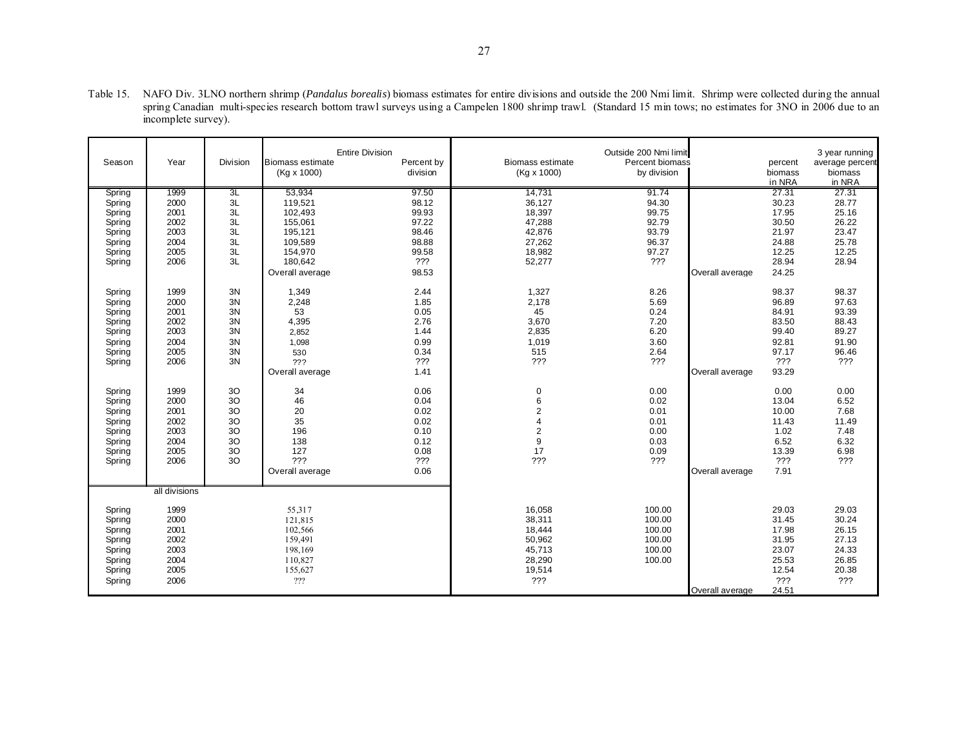| <b>Entire Division</b><br>Outside 200 Nmi limit<br>Year<br>Division<br>Percent by<br><b>Biomass estimate</b><br>Percent biomass<br>Season<br><b>Biomass estimate</b><br>average percent<br>percent<br>division<br>(Kg x 1000)<br>by division<br>$(Kq \times 1000)$<br>biomass<br>biomass<br>in NRA<br>in NRA<br>1999<br>53,934<br>97.50<br>14,731<br>91.74<br>27.31<br>27.31<br>3L<br>Spring<br>3L<br>98.12<br>30.23<br>28.77<br>2000<br>119,521<br>36,127<br>94.30<br>Spring<br>3L<br>17.95<br>25.16<br>2001<br>102,493<br>99.93<br>18,397<br>99.75<br>Spring<br>3L<br>26.22<br>2002<br>155,061<br>97.22<br>47,288<br>92.79<br>30.50<br>Spring<br>3L<br>2003<br>195,121<br>98.46<br>93.79<br>21.97<br>23.47<br>Spring<br>42,876<br>25.78<br>2004<br>3L<br>109,589<br>98.88<br>27,262<br>24.88<br>96.37<br>Spring<br>2005<br>3L<br>154,970<br>99.58<br>18,982<br>97.27<br>12.25<br>12.25<br>Spring<br>3L<br>180,642<br>???<br>???<br>28.94<br>2006<br>28.94<br>Spring<br>52,277<br>98.53<br>24.25<br>Overall average<br>Overall average<br>1999<br>3N<br>1,349<br>2.44<br>1,327<br>8.26<br>98.37<br>98.37<br>Spring<br>3N<br>97.63<br>2000<br>2,248<br>1.85<br>2,178<br>5.69<br>96.89<br>Spring<br>2001<br>3N<br>53<br>0.05<br>84.91<br>93.39<br>Spring<br>45<br>0.24<br>88.43<br>2002<br>3N<br>4,395<br>2.76<br>7.20<br>83.50<br>3,670<br>Spring<br>3N<br>6.20<br>99.40<br>89.27<br>2003<br>1.44<br>2,835<br>Spring<br>2,852<br>3N<br>0.99<br>3.60<br>91.90<br>2004<br>1,019<br>92.81<br>Spring<br>1,098<br>3N<br>97.17<br>96.46<br>2005<br>0.34<br>515<br>2.64<br>Spring<br>530<br>3N<br>???<br>???<br>???<br>???<br>???<br>2006<br>Spring<br>??? |  |  |  |  |                |
|-----------------------------------------------------------------------------------------------------------------------------------------------------------------------------------------------------------------------------------------------------------------------------------------------------------------------------------------------------------------------------------------------------------------------------------------------------------------------------------------------------------------------------------------------------------------------------------------------------------------------------------------------------------------------------------------------------------------------------------------------------------------------------------------------------------------------------------------------------------------------------------------------------------------------------------------------------------------------------------------------------------------------------------------------------------------------------------------------------------------------------------------------------------------------------------------------------------------------------------------------------------------------------------------------------------------------------------------------------------------------------------------------------------------------------------------------------------------------------------------------------------------------------------------------------------------------------------------------------------------------------------------------------|--|--|--|--|----------------|
|                                                                                                                                                                                                                                                                                                                                                                                                                                                                                                                                                                                                                                                                                                                                                                                                                                                                                                                                                                                                                                                                                                                                                                                                                                                                                                                                                                                                                                                                                                                                                                                                                                                     |  |  |  |  | 3 year running |
|                                                                                                                                                                                                                                                                                                                                                                                                                                                                                                                                                                                                                                                                                                                                                                                                                                                                                                                                                                                                                                                                                                                                                                                                                                                                                                                                                                                                                                                                                                                                                                                                                                                     |  |  |  |  |                |
|                                                                                                                                                                                                                                                                                                                                                                                                                                                                                                                                                                                                                                                                                                                                                                                                                                                                                                                                                                                                                                                                                                                                                                                                                                                                                                                                                                                                                                                                                                                                                                                                                                                     |  |  |  |  |                |
|                                                                                                                                                                                                                                                                                                                                                                                                                                                                                                                                                                                                                                                                                                                                                                                                                                                                                                                                                                                                                                                                                                                                                                                                                                                                                                                                                                                                                                                                                                                                                                                                                                                     |  |  |  |  |                |
|                                                                                                                                                                                                                                                                                                                                                                                                                                                                                                                                                                                                                                                                                                                                                                                                                                                                                                                                                                                                                                                                                                                                                                                                                                                                                                                                                                                                                                                                                                                                                                                                                                                     |  |  |  |  |                |
|                                                                                                                                                                                                                                                                                                                                                                                                                                                                                                                                                                                                                                                                                                                                                                                                                                                                                                                                                                                                                                                                                                                                                                                                                                                                                                                                                                                                                                                                                                                                                                                                                                                     |  |  |  |  |                |
|                                                                                                                                                                                                                                                                                                                                                                                                                                                                                                                                                                                                                                                                                                                                                                                                                                                                                                                                                                                                                                                                                                                                                                                                                                                                                                                                                                                                                                                                                                                                                                                                                                                     |  |  |  |  |                |
|                                                                                                                                                                                                                                                                                                                                                                                                                                                                                                                                                                                                                                                                                                                                                                                                                                                                                                                                                                                                                                                                                                                                                                                                                                                                                                                                                                                                                                                                                                                                                                                                                                                     |  |  |  |  |                |
|                                                                                                                                                                                                                                                                                                                                                                                                                                                                                                                                                                                                                                                                                                                                                                                                                                                                                                                                                                                                                                                                                                                                                                                                                                                                                                                                                                                                                                                                                                                                                                                                                                                     |  |  |  |  |                |
|                                                                                                                                                                                                                                                                                                                                                                                                                                                                                                                                                                                                                                                                                                                                                                                                                                                                                                                                                                                                                                                                                                                                                                                                                                                                                                                                                                                                                                                                                                                                                                                                                                                     |  |  |  |  |                |
|                                                                                                                                                                                                                                                                                                                                                                                                                                                                                                                                                                                                                                                                                                                                                                                                                                                                                                                                                                                                                                                                                                                                                                                                                                                                                                                                                                                                                                                                                                                                                                                                                                                     |  |  |  |  |                |
|                                                                                                                                                                                                                                                                                                                                                                                                                                                                                                                                                                                                                                                                                                                                                                                                                                                                                                                                                                                                                                                                                                                                                                                                                                                                                                                                                                                                                                                                                                                                                                                                                                                     |  |  |  |  |                |
|                                                                                                                                                                                                                                                                                                                                                                                                                                                                                                                                                                                                                                                                                                                                                                                                                                                                                                                                                                                                                                                                                                                                                                                                                                                                                                                                                                                                                                                                                                                                                                                                                                                     |  |  |  |  |                |
|                                                                                                                                                                                                                                                                                                                                                                                                                                                                                                                                                                                                                                                                                                                                                                                                                                                                                                                                                                                                                                                                                                                                                                                                                                                                                                                                                                                                                                                                                                                                                                                                                                                     |  |  |  |  |                |
|                                                                                                                                                                                                                                                                                                                                                                                                                                                                                                                                                                                                                                                                                                                                                                                                                                                                                                                                                                                                                                                                                                                                                                                                                                                                                                                                                                                                                                                                                                                                                                                                                                                     |  |  |  |  |                |
|                                                                                                                                                                                                                                                                                                                                                                                                                                                                                                                                                                                                                                                                                                                                                                                                                                                                                                                                                                                                                                                                                                                                                                                                                                                                                                                                                                                                                                                                                                                                                                                                                                                     |  |  |  |  |                |
|                                                                                                                                                                                                                                                                                                                                                                                                                                                                                                                                                                                                                                                                                                                                                                                                                                                                                                                                                                                                                                                                                                                                                                                                                                                                                                                                                                                                                                                                                                                                                                                                                                                     |  |  |  |  |                |
|                                                                                                                                                                                                                                                                                                                                                                                                                                                                                                                                                                                                                                                                                                                                                                                                                                                                                                                                                                                                                                                                                                                                                                                                                                                                                                                                                                                                                                                                                                                                                                                                                                                     |  |  |  |  |                |
|                                                                                                                                                                                                                                                                                                                                                                                                                                                                                                                                                                                                                                                                                                                                                                                                                                                                                                                                                                                                                                                                                                                                                                                                                                                                                                                                                                                                                                                                                                                                                                                                                                                     |  |  |  |  |                |
|                                                                                                                                                                                                                                                                                                                                                                                                                                                                                                                                                                                                                                                                                                                                                                                                                                                                                                                                                                                                                                                                                                                                                                                                                                                                                                                                                                                                                                                                                                                                                                                                                                                     |  |  |  |  |                |
| 1.41<br>93.29<br>Overall average<br>Overall average                                                                                                                                                                                                                                                                                                                                                                                                                                                                                                                                                                                                                                                                                                                                                                                                                                                                                                                                                                                                                                                                                                                                                                                                                                                                                                                                                                                                                                                                                                                                                                                                 |  |  |  |  |                |
|                                                                                                                                                                                                                                                                                                                                                                                                                                                                                                                                                                                                                                                                                                                                                                                                                                                                                                                                                                                                                                                                                                                                                                                                                                                                                                                                                                                                                                                                                                                                                                                                                                                     |  |  |  |  |                |
| 0.00<br>0.00<br>0.00<br>1999<br>30<br>34<br>0.06<br>$\pmb{0}$<br>Spring                                                                                                                                                                                                                                                                                                                                                                                                                                                                                                                                                                                                                                                                                                                                                                                                                                                                                                                                                                                                                                                                                                                                                                                                                                                                                                                                                                                                                                                                                                                                                                             |  |  |  |  |                |
| 30<br>46<br>6<br>2000<br>0.04<br>0.02<br>13.04<br>6.52<br>Spring                                                                                                                                                                                                                                                                                                                                                                                                                                                                                                                                                                                                                                                                                                                                                                                                                                                                                                                                                                                                                                                                                                                                                                                                                                                                                                                                                                                                                                                                                                                                                                                    |  |  |  |  |                |
| 3 <sub>O</sub><br>$\overline{c}$<br>7.68<br>2001<br>20<br>0.02<br>0.01<br>10.00<br>Spring                                                                                                                                                                                                                                                                                                                                                                                                                                                                                                                                                                                                                                                                                                                                                                                                                                                                                                                                                                                                                                                                                                                                                                                                                                                                                                                                                                                                                                                                                                                                                           |  |  |  |  |                |
| 3 <sub>O</sub><br>2002<br>35<br>0.02<br>4<br>0.01<br>11.43<br>11.49<br>Spring                                                                                                                                                                                                                                                                                                                                                                                                                                                                                                                                                                                                                                                                                                                                                                                                                                                                                                                                                                                                                                                                                                                                                                                                                                                                                                                                                                                                                                                                                                                                                                       |  |  |  |  |                |
| 3 <sub>O</sub><br>$\overline{c}$<br>2003<br>196<br>1.02<br>7.48<br>0.10<br>0.00<br>Spring                                                                                                                                                                                                                                                                                                                                                                                                                                                                                                                                                                                                                                                                                                                                                                                                                                                                                                                                                                                                                                                                                                                                                                                                                                                                                                                                                                                                                                                                                                                                                           |  |  |  |  |                |
| 9<br>30<br>138<br>0.12<br>0.03<br>6.52<br>6.32<br>Spring<br>2004                                                                                                                                                                                                                                                                                                                                                                                                                                                                                                                                                                                                                                                                                                                                                                                                                                                                                                                                                                                                                                                                                                                                                                                                                                                                                                                                                                                                                                                                                                                                                                                    |  |  |  |  |                |
| 3 <sub>O</sub><br>17<br>0.09<br>13.39<br>6.98<br>2005<br>127<br>0.08<br>Spring                                                                                                                                                                                                                                                                                                                                                                                                                                                                                                                                                                                                                                                                                                                                                                                                                                                                                                                                                                                                                                                                                                                                                                                                                                                                                                                                                                                                                                                                                                                                                                      |  |  |  |  |                |
| 3 <sub>O</sub><br>???<br>???<br>???<br>???<br>???<br>???<br>2006<br>Spring                                                                                                                                                                                                                                                                                                                                                                                                                                                                                                                                                                                                                                                                                                                                                                                                                                                                                                                                                                                                                                                                                                                                                                                                                                                                                                                                                                                                                                                                                                                                                                          |  |  |  |  |                |
| 7.91<br>Overall average<br>0.06<br>Overall average                                                                                                                                                                                                                                                                                                                                                                                                                                                                                                                                                                                                                                                                                                                                                                                                                                                                                                                                                                                                                                                                                                                                                                                                                                                                                                                                                                                                                                                                                                                                                                                                  |  |  |  |  |                |
| all divisions                                                                                                                                                                                                                                                                                                                                                                                                                                                                                                                                                                                                                                                                                                                                                                                                                                                                                                                                                                                                                                                                                                                                                                                                                                                                                                                                                                                                                                                                                                                                                                                                                                       |  |  |  |  |                |
| 16,058<br>29.03<br>Spring<br>1999<br>55,317<br>100.00<br>29.03                                                                                                                                                                                                                                                                                                                                                                                                                                                                                                                                                                                                                                                                                                                                                                                                                                                                                                                                                                                                                                                                                                                                                                                                                                                                                                                                                                                                                                                                                                                                                                                      |  |  |  |  |                |
| 30.24<br>2000<br>38,311<br>31.45<br>100.00<br>Spring<br>121,815                                                                                                                                                                                                                                                                                                                                                                                                                                                                                                                                                                                                                                                                                                                                                                                                                                                                                                                                                                                                                                                                                                                                                                                                                                                                                                                                                                                                                                                                                                                                                                                     |  |  |  |  |                |
| 2001<br>26.15<br>102,566<br>18,444<br>100.00<br>17.98<br>Spring                                                                                                                                                                                                                                                                                                                                                                                                                                                                                                                                                                                                                                                                                                                                                                                                                                                                                                                                                                                                                                                                                                                                                                                                                                                                                                                                                                                                                                                                                                                                                                                     |  |  |  |  |                |
| 27.13<br>2002<br>159,491<br>50,962<br>100.00<br>31.95<br>Spring                                                                                                                                                                                                                                                                                                                                                                                                                                                                                                                                                                                                                                                                                                                                                                                                                                                                                                                                                                                                                                                                                                                                                                                                                                                                                                                                                                                                                                                                                                                                                                                     |  |  |  |  |                |
| 2003<br>100.00<br>23.07<br>24.33<br>45,713<br>Spring<br>198,169                                                                                                                                                                                                                                                                                                                                                                                                                                                                                                                                                                                                                                                                                                                                                                                                                                                                                                                                                                                                                                                                                                                                                                                                                                                                                                                                                                                                                                                                                                                                                                                     |  |  |  |  |                |
| 26.85<br>2004<br>110,827<br>28,290<br>100.00<br>25.53<br>Spring                                                                                                                                                                                                                                                                                                                                                                                                                                                                                                                                                                                                                                                                                                                                                                                                                                                                                                                                                                                                                                                                                                                                                                                                                                                                                                                                                                                                                                                                                                                                                                                     |  |  |  |  |                |
| 19,514<br>12.54<br>20.38<br>2005<br>155,627<br>Spring                                                                                                                                                                                                                                                                                                                                                                                                                                                                                                                                                                                                                                                                                                                                                                                                                                                                                                                                                                                                                                                                                                                                                                                                                                                                                                                                                                                                                                                                                                                                                                                               |  |  |  |  |                |
| ???<br>???<br>???<br>???<br>2006                                                                                                                                                                                                                                                                                                                                                                                                                                                                                                                                                                                                                                                                                                                                                                                                                                                                                                                                                                                                                                                                                                                                                                                                                                                                                                                                                                                                                                                                                                                                                                                                                    |  |  |  |  |                |
| Spring<br>24.51<br>Overall average                                                                                                                                                                                                                                                                                                                                                                                                                                                                                                                                                                                                                                                                                                                                                                                                                                                                                                                                                                                                                                                                                                                                                                                                                                                                                                                                                                                                                                                                                                                                                                                                                  |  |  |  |  |                |

Table 15. NAFO Div. 3LNO northern shrimp (*Pandalus borealis*) biomass estimates for entire divisions and outside the 200 Nmi limit. Shrimp were collected during the annual spring Canadian multi-species research bottom trawl surveys using a Campelen 1800 shrimp trawl. (Standard 15 min tows; no estimates for 3NO in 2006 due to an incomplete survey).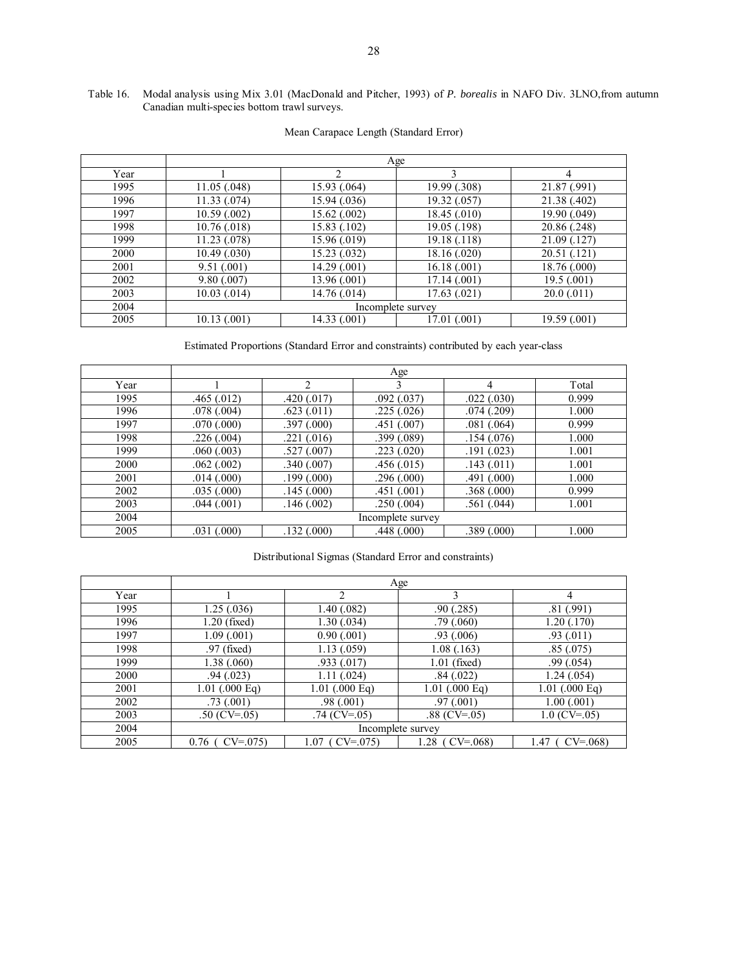## Table 16. Modal analysis using Mix 3.01 (MacDonald and Pitcher, 1993) of *P. borealis* in NAFO Div. 3LNO,from autumn Canadian multi-species bottom trawl surveys.

|      |                  |              | Age               |              |
|------|------------------|--------------|-------------------|--------------|
| Year |                  | 2            | 3                 | 4            |
| 1995 | 11.05(.048)      | 15.93 (.064) | 19.99 (.308)      | 21.87 (.991) |
| 1996 | 11.33(0.074)     | 15.94 (.036) | 19.32 (.057)      | 21.38 (.402) |
| 1997 | 10.59(0.002)     | 15.62 (.002) | 18.45 (.010)      | 19.90 (.049) |
| 1998 | 10.76(0.018)     | 15.83 (.102) | 19.05 (.198)      | 20.86 (.248) |
| 1999 | 11.23(078)       | 15.96 (.019) | 19.18 (.118)      | 21.09 (.127) |
| 2000 | 10.49(0.030)     | 15.23 (.032) | 18.16 (.020)      | 20.51 (.121) |
| 2001 | 9.51(001)        | 14.29 (.001) | 16.18(.001)       | 18.76 (.000) |
| 2002 | 9.80(.007)       | 13.96 (.001) | 17.14 (.001)      | 19.5(001)    |
| 2003 | $10.03$ $(.014)$ | 14.76 (.014) | 17.63 (.021)      | 20.0(011)    |
| 2004 |                  |              | Incomplete survey |              |
| 2005 | 10.13(001)       | 14.33 (.001) | 17.01 (.001)      | 19.59 (.001) |

## Mean Carapace Length (Standard Error)

Estimated Proportions (Standard Error and constraints) contributed by each year-class

|      |            |            | Age               |            |       |
|------|------------|------------|-------------------|------------|-------|
| Year |            | ↑          |                   | 4          | Total |
| 1995 | .465(.012) | .420(.017) | .092(.037)        | .022(.030) | 0.999 |
| 1996 | .078(.004) | .623(.011) | .225(.026)        | .074(.209) | 1.000 |
| 1997 | .070(.000) | .397(.000) | .451(.007)        | .081(.064) | 0.999 |
| 1998 | .226(.004) | .221(.016) | .399(.089)        | .154(.076) | 1.000 |
| 1999 | .060(.003) | .527(.007) | .223(.020)        | .191(.023) | 1.001 |
| 2000 | .062(.002) | .340(.007) | .456(.015)        | .143(.011) | 1.001 |
| 2001 | .014(.000) | .199(.000) | .296(.000)        | .491(.000) | 1.000 |
| 2002 | .035(.000) | .145(.000) | .451(.001)        | .368(.000) | 0.999 |
| 2003 | .044(.001) | .146(.002) | .250(.004)        | .561(.044) | 1.001 |
| 2004 |            |            | Incomplete survey |            |       |
| 2005 | .031(.000) | .132(.000) | .448(.000)        | .389(.000) | 1.000 |

## Distributional Sigmas (Standard Error and constraints)

|      |                   |                    | Age               |                   |
|------|-------------------|--------------------|-------------------|-------------------|
| Year |                   |                    | 3                 | 4                 |
| 1995 | 1.25(.036)        | 1.40(0.082)        | .90(.285)         | .81(.991)         |
| 1996 | $1.20$ (fixed)    | 1.30(0.034)        | .79(0.060)        | 1.20(0.170)       |
| 1997 | 1.09(0.001)       | 0.90(0.001)        | .93(0.006)        | .93(011)          |
| 1998 | $.97$ (fixed)     | 1.13(0.059)        | 1.08(0.163)       | .85(.075)         |
| 1999 | 1.38(.060)        | .933(.017)         | $1.01$ (fixed)    | .99(0.054)        |
| 2000 | .94(023)          | 1.11(.024)         | .84(.022)         | 1.24(.054)        |
| 2001 | $1.01$ (.000 Eq)  | $1.01$ (.000 Eq)   | $1.01$ (.000 Eq)  | $1.01$ (.000 Eq)  |
| 2002 | .73(001)          | .98(.001)          | .97(001)          | 1.00(0.001)       |
| 2003 | .50 (CV=.05)      | $.74$ (CV= $.05$ ) | .88 $(CV=0.05)$   | $1.0$ (CV=.05)    |
| 2004 |                   |                    | Incomplete survey |                   |
| 2005 | $0.76$ ( CV=.075) | $1.07$ ( CV=.075)  | $1.28$ ( CV=.068) | $1.47$ ( CV=.068) |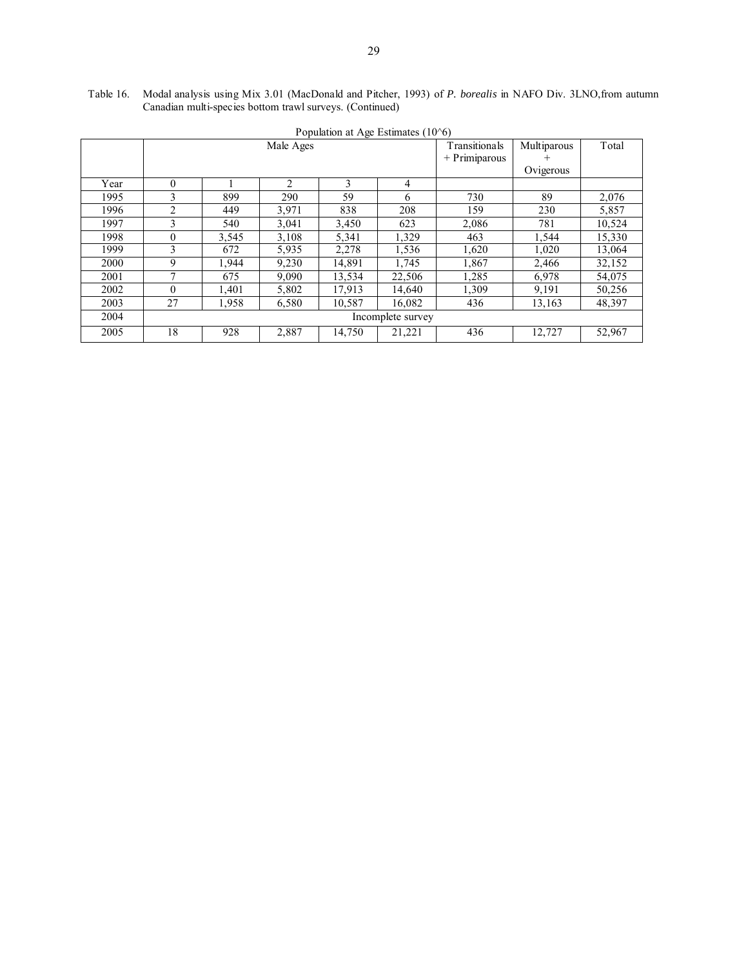| Table 16. Modal analysis using Mix 3.01 (MacDonald and Pitcher, 1993) of P. borealis in NAFO Div. 3LNO, from autumn |
|---------------------------------------------------------------------------------------------------------------------|
| Canadian multi-species bottom trawl surveys. (Continued)                                                            |

|      |          | I opulation at Age Estimates (TO 0) |                |        |                   |                 |             |        |  |  |  |  |
|------|----------|-------------------------------------|----------------|--------|-------------------|-----------------|-------------|--------|--|--|--|--|
|      |          |                                     | Male Ages      |        |                   | Transitionals   | Multiparous | Total  |  |  |  |  |
|      |          |                                     |                |        |                   | $+$ Primiparous |             |        |  |  |  |  |
|      |          |                                     |                |        |                   |                 | Ovigerous   |        |  |  |  |  |
| Year | $\theta$ |                                     | $\mathfrak{D}$ | 3      | 4                 |                 |             |        |  |  |  |  |
| 1995 | 3        | 899                                 | 290            | 59     | 6                 | 730             | 89          | 2,076  |  |  |  |  |
| 1996 | 2        | 449                                 | 3,971          | 838    | 208               | 159             | 230         | 5,857  |  |  |  |  |
| 1997 | 3        | 540                                 | 3,041          | 3,450  | 623               | 2,086           | 781         | 10,524 |  |  |  |  |
| 1998 | $\theta$ | 3,545                               | 3,108          | 5,341  | 1,329             | 463             | 1,544       | 15,330 |  |  |  |  |
| 1999 | 3        | 672                                 | 5,935          | 2,278  | 1.536             | 1,620           | 1,020       | 13,064 |  |  |  |  |
| 2000 | 9        | 1.944                               | 9,230          | 14,891 | 1,745             | 1,867           | 2,466       | 32,152 |  |  |  |  |
| 2001 |          | 675                                 | 9.090          | 13,534 | 22,506            | 1,285           | 6,978       | 54,075 |  |  |  |  |
| 2002 | $\Omega$ | 1,401                               | 5,802          | 17,913 | 14,640            | 1,309           | 9,191       | 50,256 |  |  |  |  |
| 2003 | 27       | 1,958                               | 6,580          | 10,587 | 16,082            | 436             | 13,163      | 48,397 |  |  |  |  |
| 2004 |          |                                     |                |        | Incomplete survey |                 |             |        |  |  |  |  |
| 2005 | 18       | 928                                 | 2,887          | 14,750 | 21,221            | 436             | 12,727      | 52,967 |  |  |  |  |

Population at Age Estimates (10^6)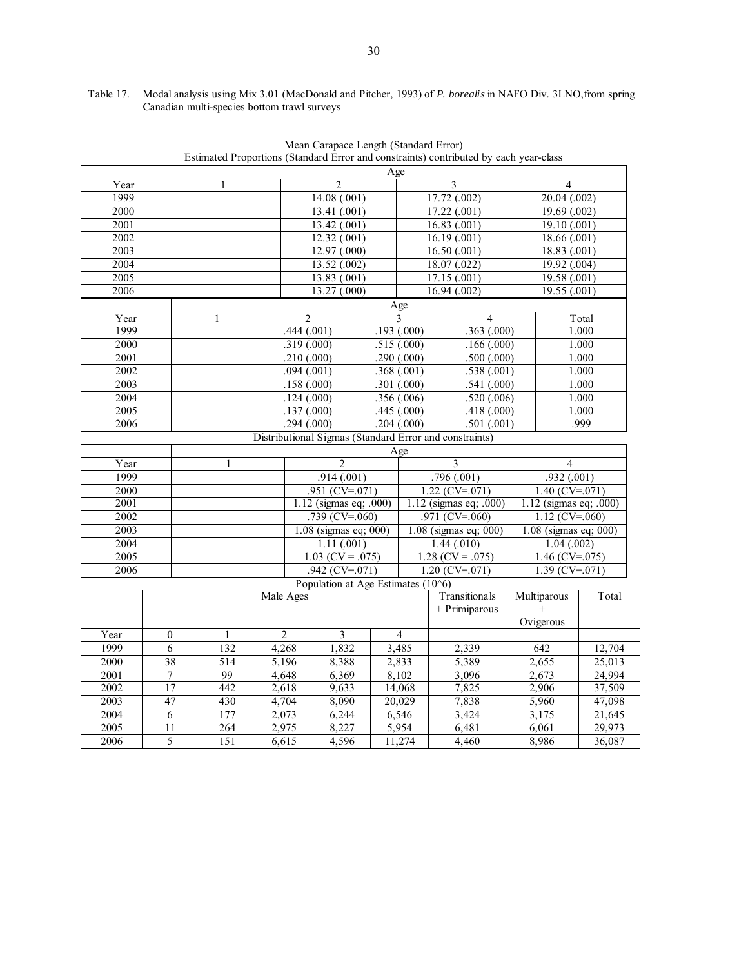|               |                 |              |                |                          | Mean Carapace Length (Standard Error) |                   |                          | Estimated Proportions (Standard Error and constraints) contributed by each year-class |            |                         |                        |
|---------------|-----------------|--------------|----------------|--------------------------|---------------------------------------|-------------------|--------------------------|---------------------------------------------------------------------------------------|------------|-------------------------|------------------------|
| Age           |                 |              |                |                          |                                       |                   |                          |                                                                                       |            |                         |                        |
| Year          |                 | 1            |                |                          | $\overline{2}$                        |                   |                          | 3                                                                                     |            | $\overline{4}$          |                        |
| 1999          |                 |              |                | 14.08(0.001)             |                                       |                   |                          | 17.72(0.002)                                                                          |            | 20.04(.002)             |                        |
| 2000          |                 |              |                |                          | 13.41(.001)                           |                   |                          | 17.22(.001)                                                                           |            | 19.69(002)              |                        |
| 2001          |                 |              |                |                          | 13.42(001)                            |                   |                          | 16.83(001)                                                                            |            | 19.10(0.001)            |                        |
| 2002          |                 |              |                |                          | 12.32(001)                            |                   |                          | 16.19(001)                                                                            |            | 18.66(001)              |                        |
| 2003          |                 |              |                |                          | 12.97(000)                            |                   |                          | 16.50(0.001)                                                                          |            | 18.83(001)              |                        |
| 2004          |                 |              |                |                          | 13.52(002)                            |                   |                          | 18.07(0.022)                                                                          |            | 19.92(.004)             |                        |
| 2005          |                 |              |                |                          | 13.83(001)                            |                   |                          | 17.15(001)                                                                            |            | 19.58(.001)             |                        |
| 2006          |                 |              |                |                          | 13.27(000)                            |                   |                          | 16.94(002)                                                                            |            | 19.55(.001)             |                        |
|               |                 |              |                |                          |                                       |                   | Age                      |                                                                                       |            |                         |                        |
| Year          |                 | 1            |                | $\overline{c}$           |                                       |                   | 3                        | $\overline{4}$                                                                        |            |                         | Total                  |
| 1999          |                 |              |                | .444(.001)               |                                       |                   | .193(.000)               | .363(.000)                                                                            |            |                         | 1.000                  |
| 2000          |                 |              |                | .319(.000)               |                                       |                   | .515(.000)               | .166(.000)                                                                            |            |                         | 1.000                  |
| 2001          |                 |              |                | .210(.000)               |                                       |                   | .290(.000)               | .500(.000)                                                                            |            |                         | 1.000                  |
| 2002          |                 |              |                | .094(.001)               |                                       |                   | .368(.001)               | .538(.001)                                                                            |            |                         | 1.000                  |
| $\sqrt{2003}$ |                 |              |                | .158(.000)               |                                       |                   | .301(.000)               | .541(.000)                                                                            |            |                         |                        |
| 2004          |                 |              |                |                          |                                       |                   |                          | .520(.006)                                                                            |            | 1.000<br>1.000          |                        |
| 2005          |                 |              |                | .124(.000)<br>.137(.000) |                                       |                   | .356(.006)<br>.445(.000) |                                                                                       | .418(.000) |                         | 1.000                  |
| 2006          |                 |              |                | .294(.000)               |                                       |                   | .204(.000)               | .501(.001)                                                                            |            |                         | .999                   |
|               |                 |              |                |                          |                                       |                   |                          | Distributional Sigmas (Standard Error and constraints)                                |            |                         |                        |
|               |                 |              |                |                          |                                       |                   | Age                      |                                                                                       |            |                         |                        |
| Year          |                 | 1            |                |                          | $\overline{2}$                        |                   |                          | $\overline{\mathbf{3}}$                                                               |            | $\overline{4}$          |                        |
| 1999          |                 |              |                |                          | .914(.001)                            |                   |                          | .796(.001)                                                                            |            | .932(.001)              |                        |
| 2000          |                 |              |                | $.951$ (CV=.071)         |                                       |                   |                          | $1.22$ (CV=.071)                                                                      |            | $1.40$ (CV=.071)        |                        |
| 2001          |                 |              |                |                          | 1.12 (sigmas eq; .000)                |                   |                          | 1.12 (sigmas eq; .000)                                                                |            |                         | 1.12 (sigmas eq; .000) |
| 2002          |                 |              |                |                          | .739 (CV=.060)                        | .971 ( $CV=060$ ) |                          |                                                                                       |            | $1.12$ (CV=.060)        |                        |
| $\sqrt{2003}$ |                 |              |                |                          | 1.08 (sigmas eq; 000)                 |                   |                          | 1.08 (sigmas eq; 000)                                                                 |            | $1.08$ (sigmas eq; 000) |                        |
| 2004          |                 |              |                |                          | 1.11(.001)                            |                   |                          | 1.44(010)                                                                             |            | 1.04(.002)              |                        |
| 2005          |                 |              |                |                          | $1.03$ (CV = .075)                    |                   |                          | $1.28$ (CV = .075)                                                                    |            | $1.46$ (CV=.075)        |                        |
| 2006          |                 |              |                |                          | .942 (CV=.071)                        |                   |                          | $1.20$ (CV=.071)                                                                      |            | $1.39$ (CV=.071)        |                        |
|               |                 |              |                |                          | Population at Age Estimates $(10^6)$  |                   |                          |                                                                                       |            |                         |                        |
|               |                 |              | Male Ages      |                          |                                       |                   |                          | Transitionals                                                                         |            | Multiparous             | Total                  |
|               |                 |              |                |                          |                                       |                   |                          | + Primiparous                                                                         |            | $+$                     |                        |
|               |                 |              |                |                          |                                       |                   |                          |                                                                                       |            | Ovigerous               |                        |
| Year          | $\mathbf{0}$    | $\mathbf{1}$ | $\overline{2}$ |                          | 3                                     |                   | $\overline{4}$           |                                                                                       |            |                         |                        |
| 1999          | 6               | 132          | 4,268          |                          | 1,832                                 |                   | 3,485                    | 2,339                                                                                 |            | 642                     | 12,704                 |
| 2000          | 38              | 514          | 5.196          |                          | 8,388                                 |                   | 2,833                    | 5,389                                                                                 |            | 2,655                   | 25,013                 |
| 2001          | $\overline{7}$  | 99           | 4,648          |                          | 6,369                                 |                   | 8,102                    | 3,096                                                                                 |            | 2,673                   | 24,994                 |
| 2002          | 17              | 442          | 2,618          |                          | 9,633                                 |                   | 14,068                   | 7,825                                                                                 |            | 2,906                   | 37,509                 |
| 2003          | 47              | 430          | 4,704          |                          | 8,090                                 |                   | 20,029                   | 7,838                                                                                 |            | 5,960                   | 47,098                 |
| 2004          | 6               | 177          | 2,073          |                          | 6,244                                 |                   | 6,546                    | 3,424                                                                                 |            | 3,175                   | 21,645                 |
| 2005          | $\overline{11}$ | 264          | 2,975          |                          | 8,227                                 |                   | 5,954                    | 6,481                                                                                 |            | 6,061                   | 29,973                 |
| 2006          | 5               | 151          | 6,615          |                          | 4,596                                 |                   | 11,274                   | 4,460                                                                                 |            | 8,986                   | 36,087                 |

Table 17. Modal analysis using Mix 3.01 (MacDonald and Pitcher, 1993) of *P. borealis* in NAFO Div. 3LNO,from spring Canadian multi-species bottom trawl surveys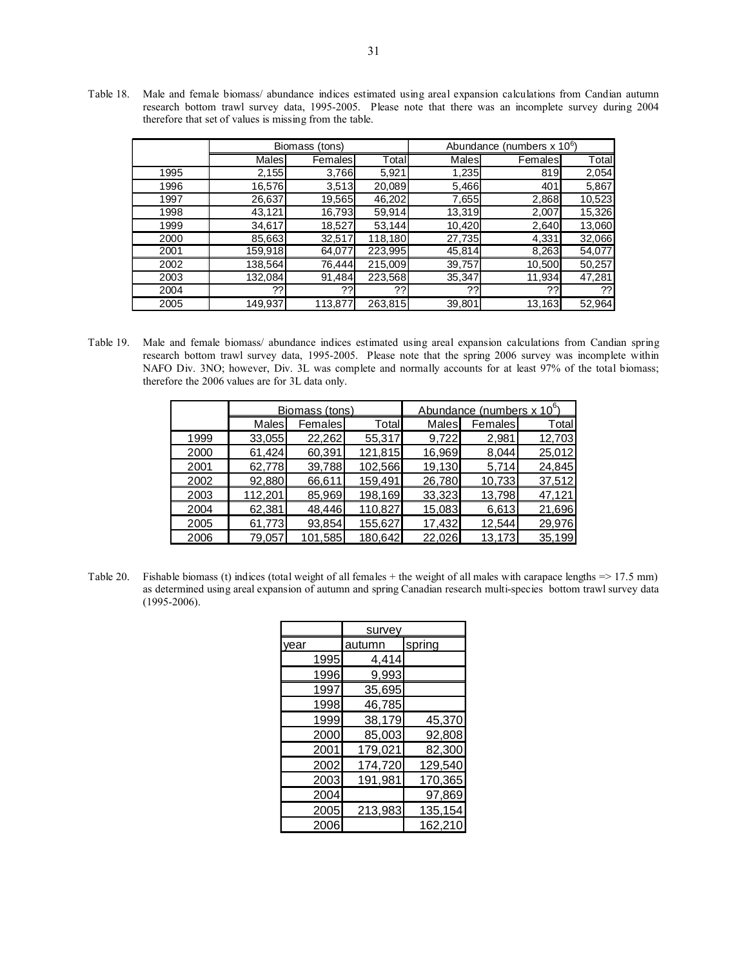Table 18. Male and female biomass/ abundance indices estimated using areal expansion calculations from Candian autumn research bottom trawl survey data, 1995-2005. Please note that there was an incomplete survey during 2004 therefore that set of values is missing from the table.

|      | Biomass (tons) |         |         | Abundance (numbers x 10 <sup>6</sup> ) |         |        |
|------|----------------|---------|---------|----------------------------------------|---------|--------|
|      | Males          | Females | Total   | <b>Males</b>                           | Females | Total  |
| 1995 | 2,155          | 3,766   | 5,921   | 1,235                                  | 819     | 2,054  |
| 1996 | 16,576         | 3,513   | 20,089  | 5,466                                  | 401     | 5,867  |
| 1997 | 26,637         | 19,565  | 46,202  | 7,655                                  | 2,868   | 10,523 |
| 1998 | 43,121         | 16,793  | 59,914  | 13,319                                 | 2,007   | 15,326 |
| 1999 | 34,617         | 18,527  | 53,144  | 10,420                                 | 2,640   | 13,060 |
| 2000 | 85,663         | 32,517  | 118,180 | 27,735                                 | 4,331   | 32,066 |
| 2001 | 159,918        | 64,077  | 223,995 | 45,814                                 | 8,263   | 54,077 |
| 2002 | 138,564        | 76,444  | 215,009 | 39,757                                 | 10,500  | 50,257 |
| 2003 | 132,084        | 91,484  | 223,568 | 35,347                                 | 11,934  | 47,281 |
| 2004 | ??             | ??      | 22      | ??                                     | 22      | ??     |
| 2005 | 149,937        | 113,877 | 263,815 | 39,801                                 | 13,163  | 52,964 |

Table 19. Male and female biomass/ abundance indices estimated using areal expansion calculations from Candian spring research bottom trawl survey data, 1995-2005. Please note that the spring 2006 survey was incomplete within NAFO Div. 3NO; however, Div. 3L was complete and normally accounts for at least 97% of the total biomass; therefore the 2006 values are for 3L data only.

|      |              | Biomass (tons) |         | Abundance (numbers x 10 <sup>6</sup> |         |        |
|------|--------------|----------------|---------|--------------------------------------|---------|--------|
|      | <b>Males</b> | Females        | Totall  | Males                                | Females | Total  |
| 1999 | 33,055       | 22,262         | 55,317  | 9.722                                | 2,981   | 12,703 |
| 2000 | 61,424       | 60,391         | 121,815 | 16,969                               | 8.044   | 25,012 |
| 2001 | 62,778       | 39,788         | 102,566 | 19,130                               | 5,714   | 24,845 |
| 2002 | 92,880       | 66,611         | 159.491 | 26.780                               | 10,733  | 37,512 |
| 2003 | 112,201      | 85,969         | 198,169 | 33,323                               | 13,798  | 47,121 |
| 2004 | 62,381       | 48,446         | 110,827 | 15,083                               | 6,613   | 21,696 |
| 2005 | 61,773       | 93,854         | 155,627 | 17,432                               | 12.544  | 29,976 |
| 2006 | 79,057       | 101,585        | 180,642 | 22,026                               | 13,173  | 35,199 |

Table 20. Fishable biomass (t) indices (total weight of all females + the weight of all males with carapace lengths  $\approx$  17.5 mm) as determined using areal expansion of autumn and spring Canadian research multi-species bottom trawl survey data (1995-2006).

|      | survey  |         |
|------|---------|---------|
| vear | autumn  | spring  |
| 1995 | 4,414   |         |
| 1996 | 9,993   |         |
| 1997 | 35,695  |         |
| 1998 | 46,785  |         |
| 1999 | 38,179  | 45,370  |
| 2000 | 85,003  | 92,808  |
| 2001 | 179,021 | 82,300  |
| 2002 | 174,720 | 129,540 |
| 2003 | 191,981 | 170,365 |
| 2004 |         | 97,869  |
| 2005 | 213,983 | 135,154 |
| 2006 |         | 162,210 |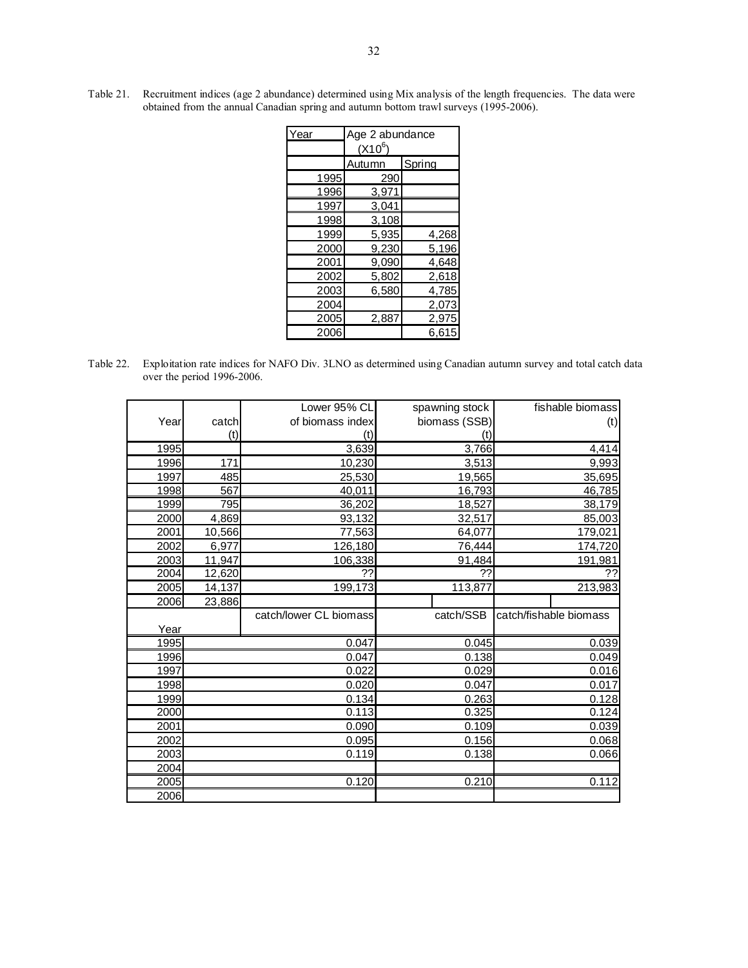| Year | Age 2 abundance |        |  |  |  |  |
|------|-----------------|--------|--|--|--|--|
|      | $(X10^6)$       |        |  |  |  |  |
|      | Autumn          | Spring |  |  |  |  |
| 1995 | 290             |        |  |  |  |  |
| 1996 | 3,971           |        |  |  |  |  |
| 1997 | 3,041           |        |  |  |  |  |
| 1998 | 3,108           |        |  |  |  |  |
| 1999 | 5,935           | 4,268  |  |  |  |  |
| 2000 | 9,230           | 5,196  |  |  |  |  |
| 2001 | 9,090           | 4,648  |  |  |  |  |
| 2002 | 5,802           | 2,618  |  |  |  |  |
| 2003 | 6,580           | 4,785  |  |  |  |  |
| 2004 |                 | 2,073  |  |  |  |  |
| 2005 | 2,887           | 2,975  |  |  |  |  |
| 2006 |                 | 6,615  |  |  |  |  |

Table 21. Recruitment indices (age 2 abundance) determined using Mix analysis of the length frequencies. The data were obtained from the annual Canadian spring and autumn bottom trawl surveys (1995-2006).

Table 22. Exploitation rate indices for NAFO Div. 3LNO as determined using Canadian autumn survey and total catch data over the period 1996-2006.

|      |        | Lower 95% CL           | spawning stock | fishable biomass       |
|------|--------|------------------------|----------------|------------------------|
| Year | catch  | of biomass index       | biomass (SSB)  | (t)                    |
|      | (t)    | (t)                    | (t)            |                        |
| 1995 |        | 3,639                  | 3,766          | 4,414                  |
| 1996 | 171    | 10,230                 | 3,513          | 9,993                  |
| 1997 | 485    | 25,530                 | 19,565         | 35,695                 |
| 1998 | 567    | 40,011                 | 16,793         | 46,785                 |
| 1999 | 795    | 36,202                 | 18,527         | 38,179                 |
| 2000 | 4,869  | 93,132                 | 32,517         | 85,003                 |
| 2001 | 10,566 | 77,563                 | 64,077         | 179,021                |
| 2002 | 6,977  | 126,180                | 76,444         | 174,720                |
| 2003 | 11,947 | 106,338                | 91,484         | 191,981                |
| 2004 | 12,620 | ??                     | ??             | ??                     |
| 2005 | 14,137 | 199,173                | 113,877        | 213,983                |
| 2006 | 23,886 |                        |                |                        |
|      |        | catch/lower CL biomass | catch/SSB      | catch/fishable biomass |
| Year |        |                        |                |                        |
| 1995 |        | 0.047                  | 0.045          | 0.039                  |
| 1996 |        | 0.047                  | 0.138          | 0.049                  |
| 1997 |        | 0.022                  | 0.029          | 0.016                  |
| 1998 |        | 0.020                  | 0.047          | 0.017                  |
| 1999 |        | 0.134                  | 0.263          | 0.128                  |
| 2000 |        | 0.113                  | 0.325          | 0.124                  |
| 2001 |        | 0.090                  | 0.109          | 0.039                  |
| 2002 |        | 0.095                  | 0.156          | 0.068                  |
| 2003 |        | 0.119                  | 0.138          | 0.066                  |
| 2004 |        |                        |                |                        |
| 2005 |        | 0.120                  | 0.210          | 0.112                  |
| 2006 |        |                        |                |                        |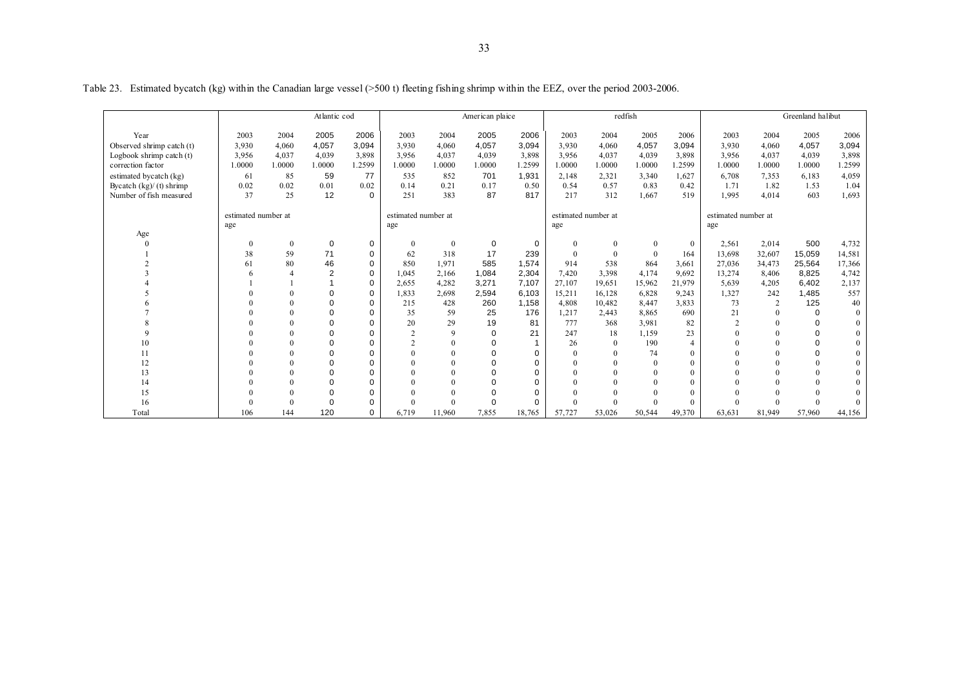|                            |                     | Atlantic cod |                |             |                     | American plaice  |          |             | redfish  |                     |              |                | Greenland halibut   |          |          |          |
|----------------------------|---------------------|--------------|----------------|-------------|---------------------|------------------|----------|-------------|----------|---------------------|--------------|----------------|---------------------|----------|----------|----------|
| Year                       | 2003                | 2004         | 2005           | 2006        | 2003                | 2004             | 2005     | 2006        | 2003     | 2004                | 2005         | 2006           | 2003                | 2004     | 2005     | 2006     |
| Observed shrimp catch (t)  | 3,930               | 4,060        | 4,057          | 3,094       | 3,930               | 4,060            | 4,057    | 3,094       | 3,930    | 4,060               | 4,057        | 3,094          | 3,930               | 4,060    | 4,057    | 3,094    |
| Logbook shrimp catch $(t)$ | 3,956               | 4,037        | 4,039          | 3,898       | 3,956               | 4,037            | 4,039    | 3,898       | 3,956    | 4,037               | 4,039        | 3,898          | 3,956               | 4,037    | 4,039    | 3,898    |
| correction factor          | 1.0000              | 1.0000       | 1.0000         | 1.2599      | 1.0000              | 1.0000           | 1.0000   | 1.2599      | 1.0000   | 1.0000              | 1.0000       | 1.2599         | 1.0000              | 1.0000   | 1.0000   | 1.2599   |
| estimated bycatch (kg)     | 61                  | 85           | 59             | 77          | 535                 | 852              | 701      | 1.931       | 2,148    | 2,321               | 3,340        | 1.627          | 6,708               | 7,353    | 6,183    | 4,059    |
| Bycatch $(kg)/(t)$ shrimp  | 0.02                | 0.02         | 0.01           | 0.02        | 0.14                | 0.21             | 0.17     | 0.50        | 0.54     | 0.57                | 0.83         | 0.42           | 1.71                | 1.82     | 1.53     | 1.04     |
| Number of fish measured    | 37                  | 25           | 12             | $\Omega$    | 251                 | 383              | 87       | 817         | 217      | 312                 | 1,667        | 519            | 1,995               | 4,014    | 603      | 1,693    |
|                            |                     |              |                |             |                     |                  |          |             |          |                     |              |                |                     |          |          |          |
|                            | estimated number at |              |                |             | estimated number at |                  |          |             |          | estimated number at |              |                | estimated number at |          |          |          |
|                            | age                 |              |                |             | age                 |                  |          |             | age      |                     |              |                | age                 |          |          |          |
| Age                        | $\mathbf{0}$        | $\mathbf{0}$ | 0              | 0           | $\mathbf{0}$        | $\boldsymbol{0}$ | 0        | $\mathbf 0$ | $\theta$ | $\mathbf{0}$        | $\mathbf{0}$ | $\theta$       | 2,561               | 2,014    | 500      | 4,732    |
|                            | 38                  | 59           | 71             | $\mathbf 0$ | 62                  | 318              | 17       | 239         | $\Omega$ | $\theta$            | $\mathbf{0}$ | 164            | 13,698              | 32,607   | 15,059   | 14,581   |
|                            | 61                  | 80           | 46             | $\mathbf 0$ | 850                 | 1,971            | 585      | 1,574       | 914      | 538                 | 864          | 3,661          | 27,036              | 34,473   | 25,564   | 17,366   |
|                            |                     |              | $\overline{2}$ | $\Omega$    | 1,045               | 2,166            | 1,084    | 2,304       | 7,420    | 3,398               | 4,174        | 9,692          | 13,274              | 8,406    | 8,825    | 4,742    |
|                            |                     |              |                | $\Omega$    | 2.655               | 4,282            | 3,271    | 7.107       | 27,107   | 19,651              | 15,962       | 21.979         | 5,639               | 4,205    | 6.402    | 2,137    |
|                            |                     |              | 0              | $\mathbf 0$ | 1,833               | 2,698            | 2,594    | 6.103       | 15,211   | 16,128              | 6,828        | 9,243          | 1,327               | 242      | 1.485    | 557      |
|                            |                     | $\Omega$     | 0              | 0           | 215                 | 428              | 260      | 1.158       | 4.808    | 10,482              | 8,447        | 3,833          | 73                  | 2        | 125      | 40       |
|                            |                     |              | 0              | $\Omega$    | 35                  | 59               | 25       | 176         | 1,217    | 2,443               | 8,865        | 690            | 21                  | $\theta$ | $\Omega$ | $\theta$ |
|                            |                     |              | 0              | $\Omega$    | 20                  | 29               | 19       | 81          | 777      | 368                 | 3,981        | 82             | $\overline{2}$      | $\Omega$ | $\Omega$ | $\Omega$ |
|                            |                     | $\Omega$     | $\Omega$       | $\Omega$    | $\mathcal{L}$       | $\mathbf{Q}$     | $\Omega$ | 21          | 247      | 18                  | 1,159        | 23             | $\Omega$            | $\Omega$ | $\Omega$ | $\Omega$ |
| 10                         |                     |              | 0              | $\Omega$    | $\overline{2}$      |                  | $\Omega$ |             | 26       | $\theta$            | 190          | $\overline{4}$ | $\Omega$            |          | $\Omega$ |          |
| 11                         |                     | 0            | 0              | $\Omega$    |                     |                  | $\Omega$ | $\Omega$    |          | $\Omega$            | 74           | $\Omega$       | $\Omega$            | $\theta$ | $\Omega$ | $\Omega$ |
| 12                         |                     | $\Omega$     | 0              | $\Omega$    |                     |                  |          | $\Omega$    |          | $\Omega$            | $\theta$     | $\theta$       |                     | $\Omega$ | $\theta$ | $\Omega$ |
| 13                         |                     |              | 0              | 0           |                     |                  |          | 0           |          |                     | $\Omega$     | $\theta$       |                     |          | $\theta$ | $\Omega$ |
| 14                         |                     |              | 0              | $\Omega$    |                     |                  |          | $\Omega$    |          |                     | $\Omega$     |                |                     | $\Omega$ | $\Omega$ | $\Omega$ |
| 15                         |                     | $\Omega$     | 0              | $\Omega$    |                     |                  |          | $\Omega$    |          |                     |              |                |                     |          |          |          |
| 16                         |                     | $\theta$     | 0              | 0           |                     | $\theta$         |          | 0           |          | $\Omega$            | $\Omega$     |                |                     | $\Omega$ | $\Omega$ | $\Omega$ |
| Total                      | 106                 | 144          | 120            | $\Omega$    | 6,719               | 11,960           | 7,855    | 18,765      | 57,727   | 53,026              | 50,544       | 49,370         | 63,631              | 81,949   | 57,960   | 44,156   |

Table 23. Estimated bycatch (kg) within the Canadian large vessel (>500 t) fleeting fishing shrimp within the EEZ, over the period 2003-2006.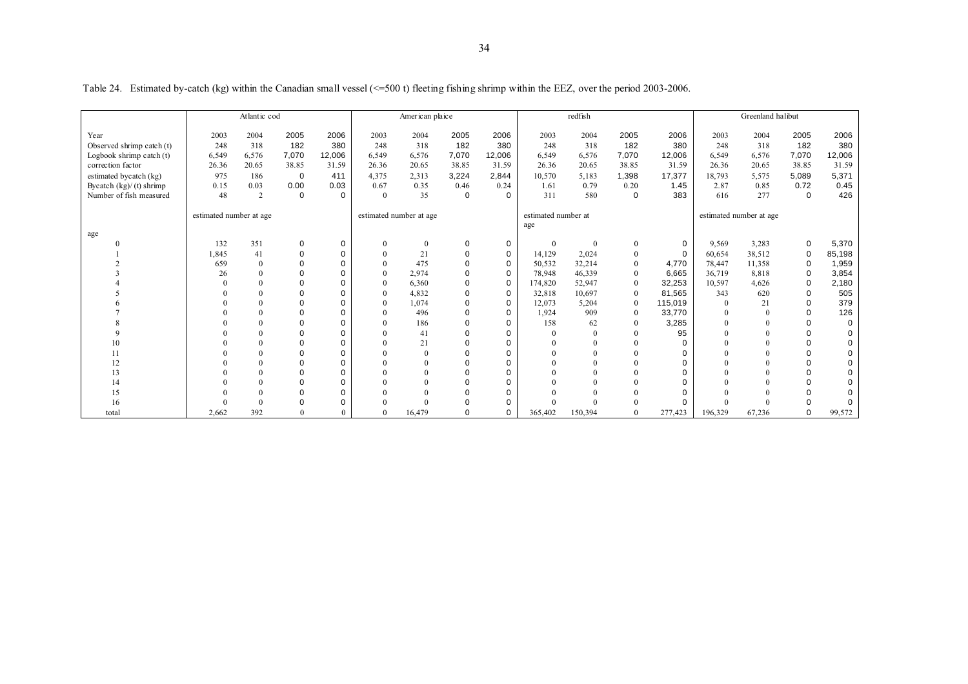|                            |                         | Atlantic cod |             |             |          | American plaice         |          |             |                     | redfish        |              |             |              | Greenland halibut       |             |             |
|----------------------------|-------------------------|--------------|-------------|-------------|----------|-------------------------|----------|-------------|---------------------|----------------|--------------|-------------|--------------|-------------------------|-------------|-------------|
| Year                       | 2003                    | 2004         | 2005        | 2006        | 2003     | 2004                    | 2005     | 2006        | 2003                | 2004           | 2005         | 2006        | 2003         | 2004                    | 2005        | 2006        |
| Observed shrimp catch (t)  | 248                     | 318          | 182         | 380         | 248      | 318                     | 182      | 380         | 248                 | 318            | 182          | 380         | 248          | 318                     | 182         | 380         |
| Logbook shrimp catch $(t)$ | 6,549                   | 6,576        | 7,070       | 12,006      | 6,549    | 6,576                   | 7,070    | 12,006      | 6,549               | 6,576          | 7.070        | 12,006      | 6,549        | 6,576                   | 7,070       | 12,006      |
| correction factor          | 26.36                   | 20.65        | 38.85       | 31.59       | 26.36    | 20.65                   | 38.85    | 31.59       | 26.36               | 20.65          | 38.85        | 31.59       | 26.36        | 20.65                   | 38.85       | 31.59       |
| estimated bycatch (kg)     | 975                     | 186          | $\mathbf 0$ | 411         | 4.375    | 2,313                   | 3.224    | 2,844       | 10,570              | 5,183          | 1,398        | 17,377      | 18,793       | 5,575                   | 5,089       | 5,371       |
| Bycatch $(kg)/(t)$ shrimp  | 0.15                    | 0.03         | 0.00        | 0.03        | 0.67     | 0.35                    | 0.46     | 0.24        | 1.61                | 0.79           | 0.20         | 1.45        | 2.87         | 0.85                    | 0.72        | 0.45        |
| Number of fish measured    | 48                      | 2            | $\mathbf 0$ | $\Omega$    | $\theta$ | 35                      | $\Omega$ | $\Omega$    | 311                 | 580            | $\mathbf 0$  | 383         | 616          | 277                     | $\mathbf 0$ | 426         |
|                            |                         |              |             |             |          |                         |          |             |                     |                |              |             |              |                         |             |             |
|                            | estimated number at age |              |             |             |          | estimated number at age |          |             | estimated number at |                |              |             |              | estimated number at age |             |             |
|                            |                         |              |             |             |          |                         |          |             | age                 |                |              |             |              |                         |             |             |
| age                        |                         |              |             |             |          |                         |          |             |                     |                |              |             |              |                         |             |             |
|                            | 132                     | 351          | $\mathbf 0$ | $\mathbf 0$ | $\theta$ | $\mathbf{0}$            | 0        | 0           | $\mathbf{0}$        | $\overline{0}$ | $\mathbf{0}$ | 0           | 9,569        | 3,283                   | 0           | 5,370       |
|                            | 1.845                   | 41           | $\mathbf 0$ | $\mathbf 0$ | $\theta$ | 21                      | 0        | $\mathbf 0$ | 14.129              | 2,024          | $\mathbf{0}$ | 0           | 60,654       | 38,512                  | 0           | 85,198      |
|                            | 659                     | $\Omega$     | $\mathbf 0$ | $\Omega$    | $\Omega$ | 475                     | $\Omega$ | $\mathbf 0$ | 50,532              | 32,214         |              | 4,770       | 78,447       | 11,358                  | 0           | 1,959       |
|                            | 26                      |              | $\Omega$    | $\Omega$    | $\theta$ | 2,974                   | $\Omega$ | 0           | 78,948              | 46,339         | $\theta$     | 6,665       | 36,719       | 8,818                   | $\mathbf 0$ | 3,854       |
|                            |                         |              | $\Omega$    | $\Omega$    | $\Omega$ | 6,360                   | $\Omega$ | 0           | 174,820             | 52,947         | $\theta$     | 32,253      | 10,597       | 4,626                   | 0           | 2,180       |
|                            |                         |              | $\Omega$    | $\Omega$    | $\Omega$ | 4,832                   | $\Omega$ | $\mathbf 0$ | 32,818              | 10,697         | $\theta$     | 81,565      | 343          | 620                     | $\Omega$    | 505         |
|                            |                         |              | $\Omega$    | $\Omega$    | $\Omega$ | 1,074                   | $\Omega$ | 0           | 12,073              | 5,204          | $\mathbf{0}$ | 115,019     | $\mathbf{0}$ | 21                      | 0           | 379         |
|                            |                         |              | $\mathbf 0$ | $\Omega$    |          | 496                     | $\Omega$ | 0           | 1.924               | 909            | $\theta$     | 33,770      | $\mathbf{0}$ | $\theta$                | $\mathbf 0$ | 126         |
|                            | $\Omega$                |              | $\Omega$    | $\Omega$    |          | 186                     | $\Omega$ | 0           | 158                 | 62             |              | 3,285       | $\theta$     | $\theta$                | 0           | $\mathbf 0$ |
|                            |                         |              | $\Omega$    | $\Omega$    |          | 41                      | $\Omega$ | $\Omega$    |                     |                |              | 95          | $\theta$     | $\theta$                | $\Omega$    | $\pmb{0}$   |
|                            |                         |              | 0           | $\Omega$    |          | 21                      | $\Omega$ | 0           |                     |                |              | 0           | $\mathbf{0}$ | $\theta$                | 0           | 0           |
| 11                         |                         |              | $\Omega$    | $\Omega$    |          | $\Omega$                | $\Omega$ | 0           |                     |                |              | 0           | $\theta$     | $\theta$                | 0           | $\mathsf 0$ |
| 12                         |                         |              | $\Omega$    | $\Omega$    |          | $\Omega$                | $\Omega$ | $\Omega$    |                     |                |              | 0           | $\Omega$     |                         | $\Omega$    | $\mathbf 0$ |
| 13                         |                         |              | $\mathbf 0$ | $\mathbf 0$ |          | $\Omega$                | $\Omega$ | $\mathbf 0$ |                     |                |              | $\mathbf 0$ | $\Omega$     |                         | $\mathbf 0$ | $\mathbf 0$ |
| 14                         |                         |              | $\Omega$    | $\Omega$    |          | $\Omega$                | $\Omega$ | $\Omega$    |                     |                |              | 0           | $\Omega$     | $\Omega$                | $\Omega$    | $\mathbf 0$ |
| 15                         |                         |              | $\Omega$    | $\Omega$    |          |                         | $\Omega$ | $\Omega$    |                     |                |              | 0           |              |                         | $\Omega$    | $\pmb{0}$   |
| 16                         |                         |              | $\Omega$    | $\mathbf 0$ |          | $\Omega$                |          | 0           |                     |                |              | 0           | $\Omega$     |                         | 0           | $\mathbf 0$ |
| total                      | 2,662                   | 392          | $\Omega$    | $\Omega$    | $\Omega$ | 16,479                  | $\Omega$ | $\Omega$    | 365,402             | 150,394        | $\Omega$     | 277,423     | 196,329      | 67,236                  | 0           | 99,572      |

Table 24. Estimated by-catch (kg) within the Canadian small vessel (<=500 t) fleeting fishing shrimp within the EEZ, over the period 2003-2006.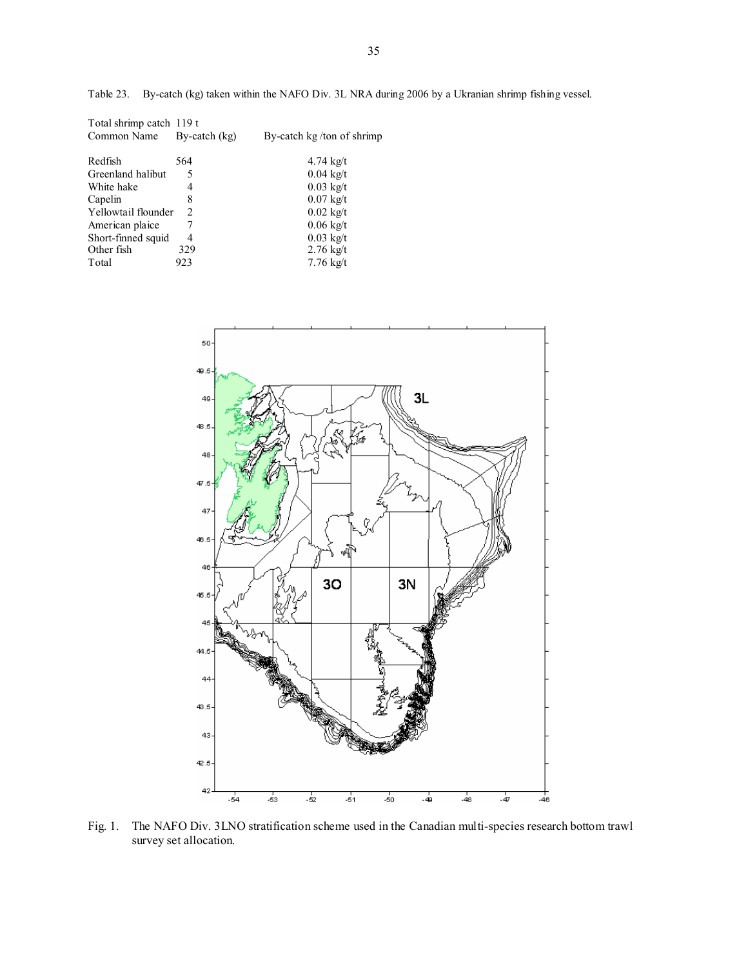Table 23. By-catch (kg) taken within the NAFO Div. 3L NRA during 2006 by a Ukranian shrimp fishing vessel.

| Total shrimp catch 119 t |                 |                           |
|--------------------------|-----------------|---------------------------|
| Common Name              | By-catch $(kg)$ | By-catch kg/ton of shrimp |
| Redfish                  | 564             | $4.74 \text{ kg}/t$       |
| Greenland halibut        | 5               | $0.04 \text{ kg/t}$       |
| White hake               | 4               | $0.03$ kg/t               |
| Capelin                  | 8               | $0.07 \text{ kg/t}$       |
| Yellowtail flounder      | 2               | $0.02 \text{ kg/t}$       |
| American plaice          |                 | $0.06$ kg/t               |
| Short-finned squid       | 4               | $0.03 \text{ kg/t}$       |
| Other fish               | 329             | $2.76 \text{ kg}/t$       |
| Total                    | 923             | $7.76 \text{ kg/t}$       |



Fig. 1. The NAFO Div. 3LNO stratification scheme used in the Canadian multi-species research bottom trawl survey set allocation.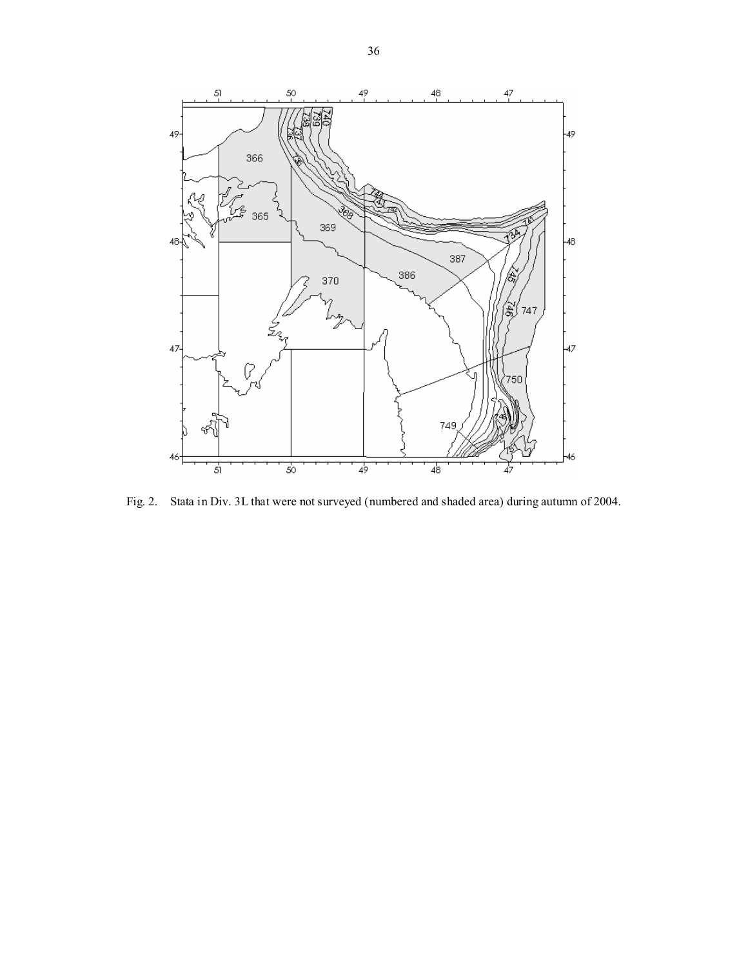

Fig. 2. Stata in Div. 3L that were not surveyed (numbered and shaded area) during autumn of 2004.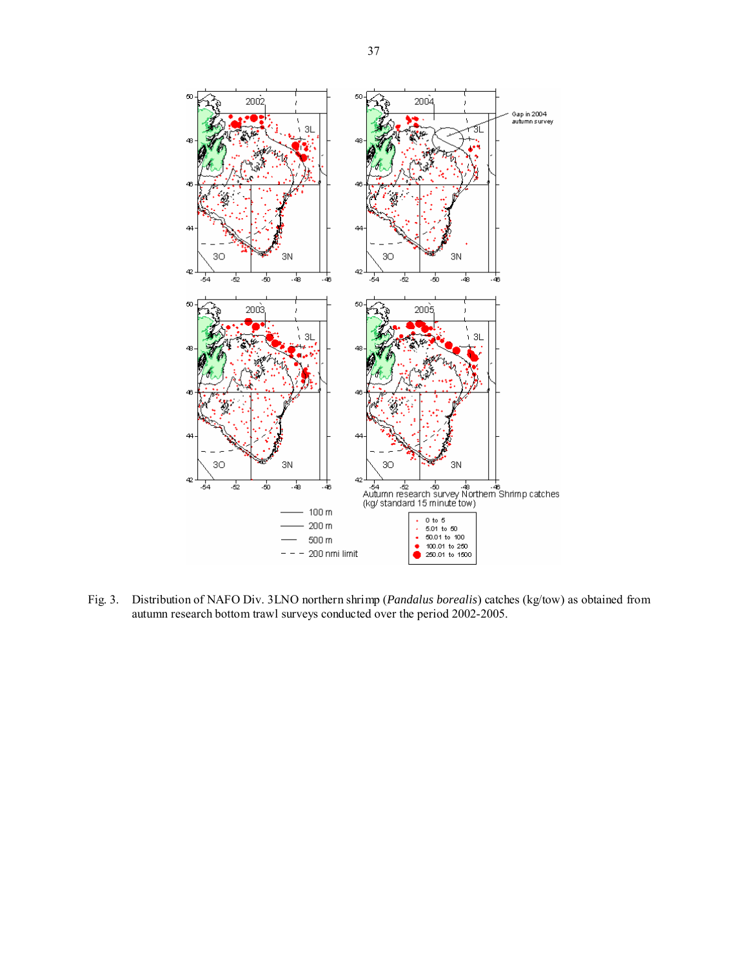

Fig. 3. Distribution of NAFO Div. 3LNO northern shrimp (*Pandalus borealis*) catches (kg/tow) as obtained from autumn research bottom trawl surveys conducted over the period 2002-2005.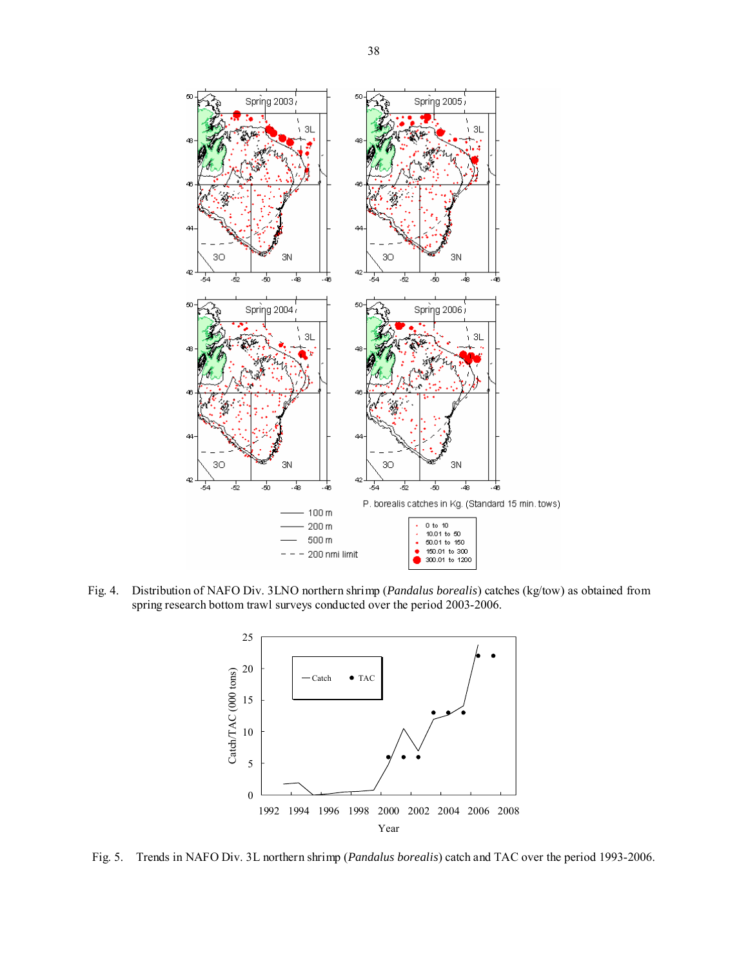

Fig. 4. Distribution of NAFO Div. 3LNO northern shrimp (*Pandalus borealis*) catches (kg/tow) as obtained from spring research bottom trawl surveys conducted over the period 2003-2006.



Fig. 5. Trends in NAFO Div. 3L northern shrimp (*Pandalus borealis*) catch and TAC over the period 1993-2006.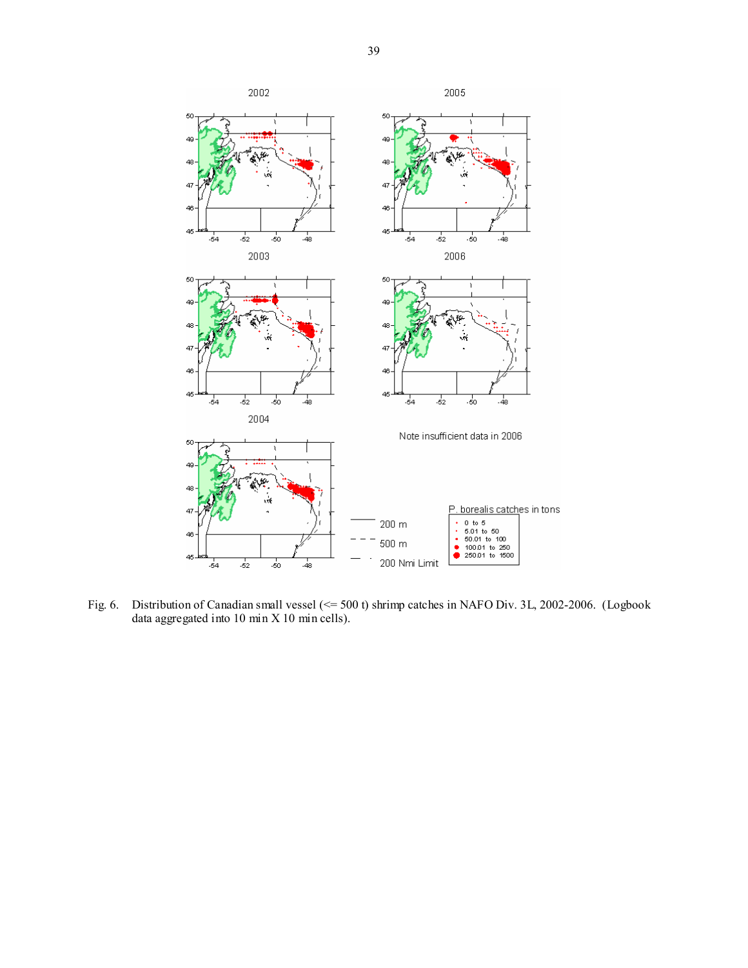

Fig. 6. Distribution of Canadian small vessel (<= 500 t) shrimp catches in NAFO Div. 3L, 2002-2006. (Logbook data aggregated into 10 min X 10 min cells).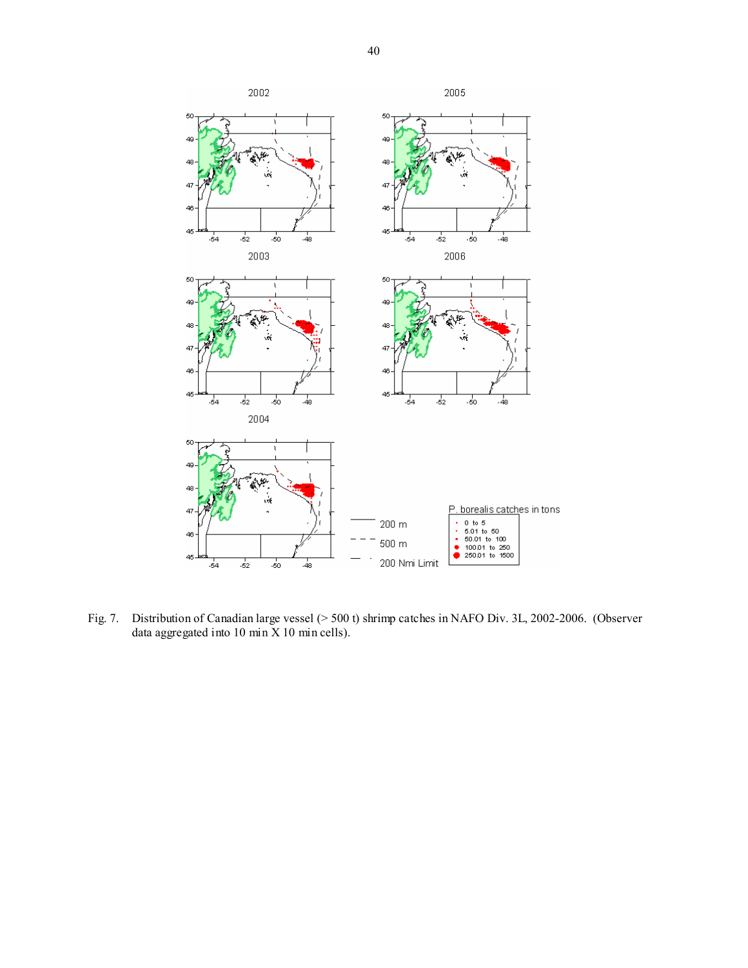

Fig. 7. Distribution of Canadian large vessel (> 500 t) shrimp catches in NAFO Div. 3L, 2002-2006. (Observer data aggregated into  $10 \text{ min } X 10 \text{ min }$  cells).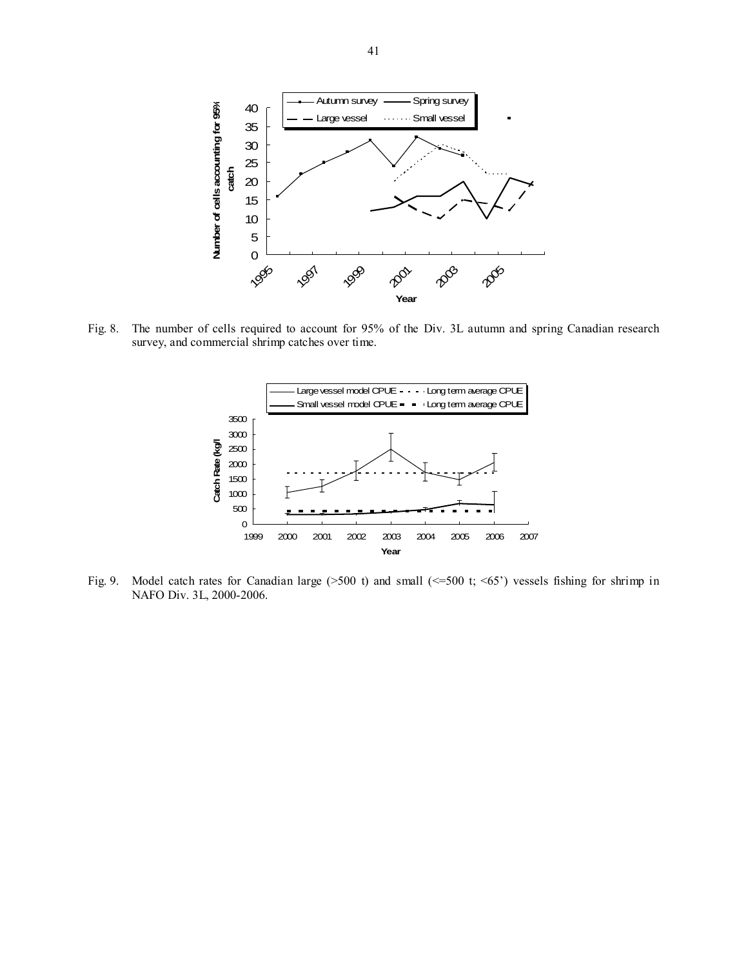

Fig. 8. The number of cells required to account for 95% of the Div. 3L autumn and spring Canadian research survey, and commercial shrimp catches over time.



Fig. 9. Model catch rates for Canadian large (>500 t) and small (<=500 t; <65') vessels fishing for shrimp in NAFO Div. 3L, 2000-2006.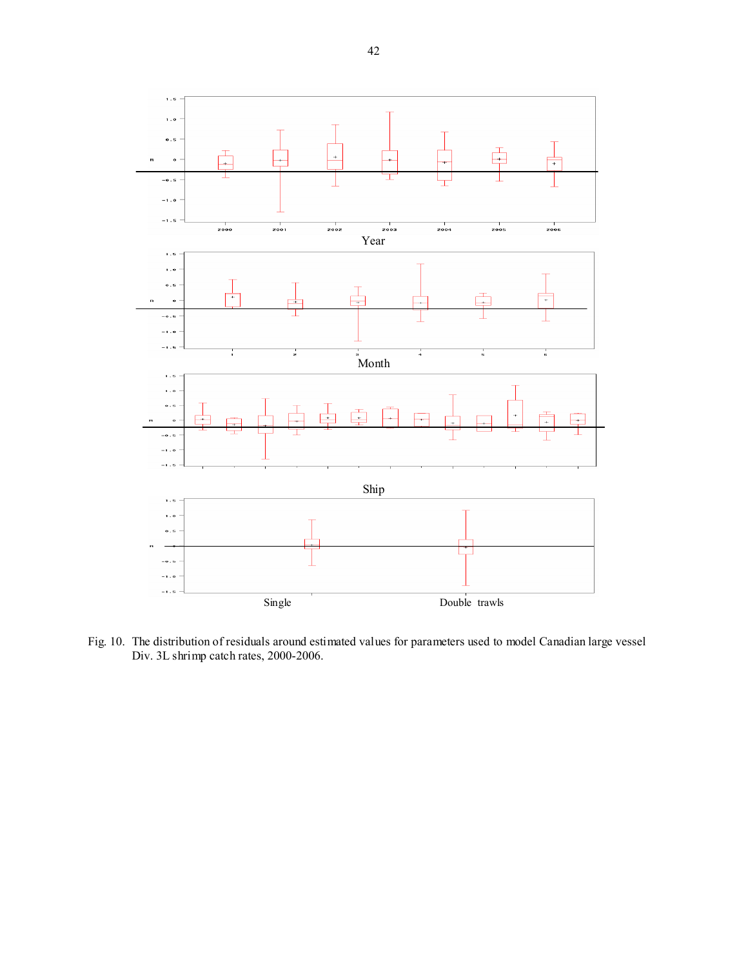

Fig. 10. The distribution of residuals around estimated values for parameters used to model Canadian large vessel Div. 3L shrimp catch rates, 2000-2006.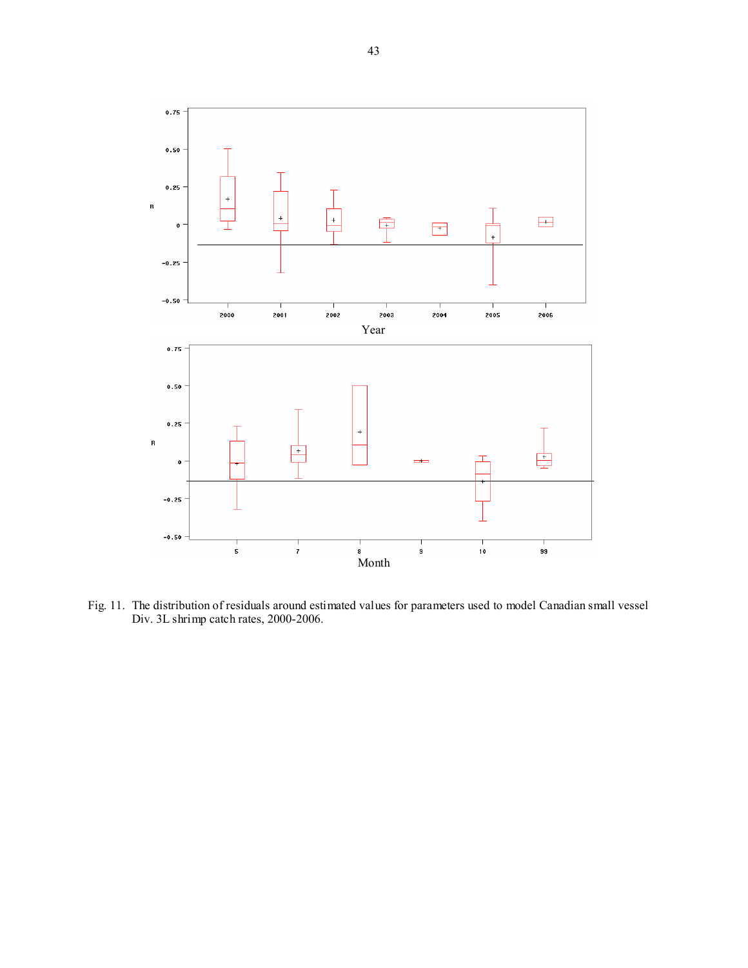

Fig. 11. The distribution of residuals around estimated values for parameters used to model Canadian small vessel Div. 3L shrimp catch rates, 2000-2006.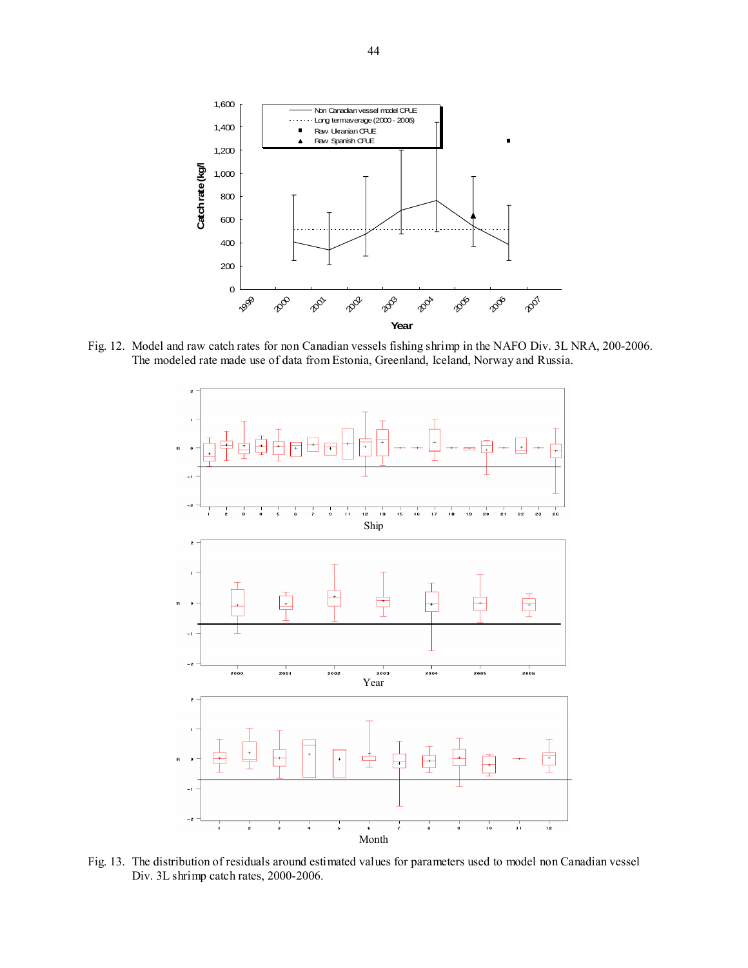

Fig. 12. Model and raw catch rates for non Canadian vessels fishing shrimp in the NAFO Div. 3L NRA, 200-2006. The modeled rate made use of data from Estonia, Greenland, Iceland, Norway and Russia.



Fig. 13. The distribution of residuals around estimated values for parameters used to model non Canadian vessel Div. 3L shrimp catch rates, 2000-2006.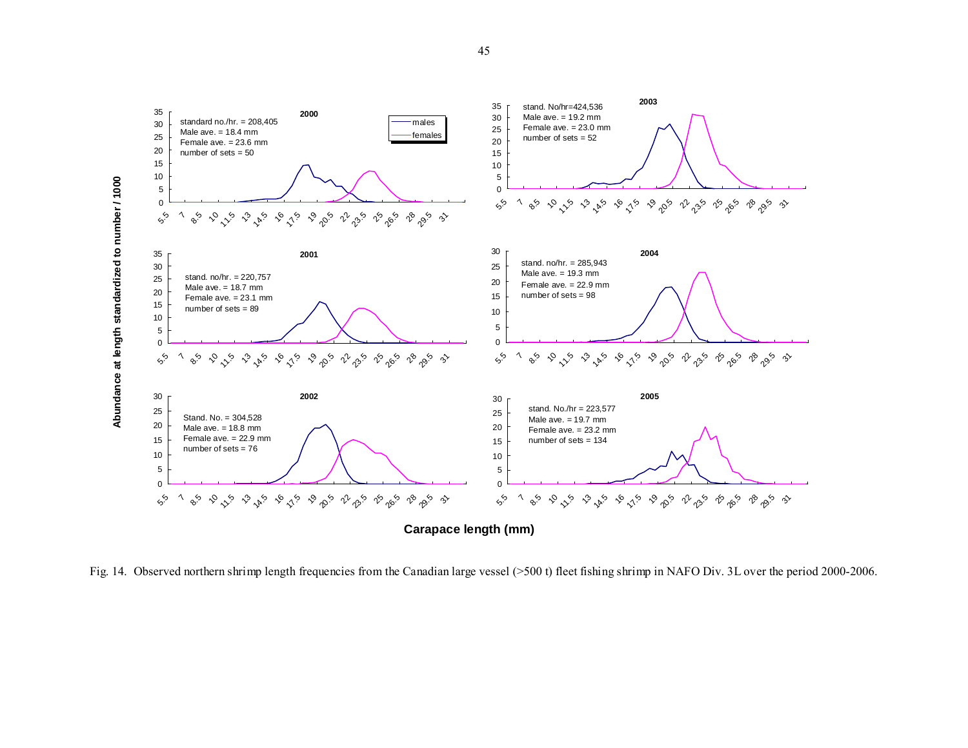

Fig. 14. Observed northern shrimp length frequencies from the Canadian large vessel (>500 t) fleet fishing shrimp in NAFO Div. 3L over the period 2000-2006.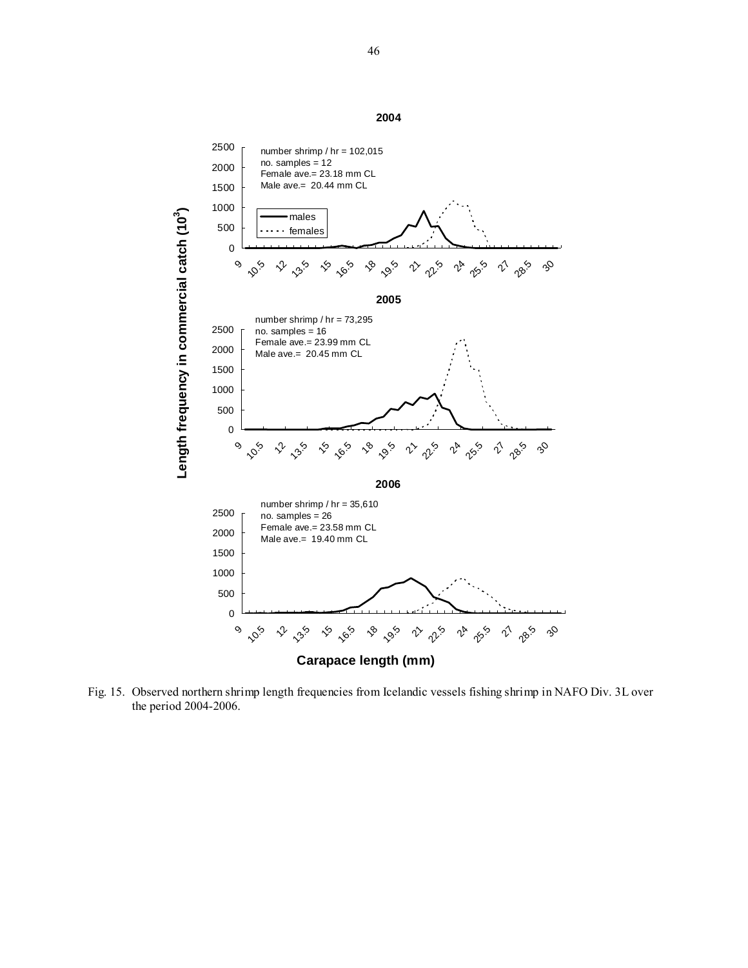0 500 1000 1500 2000 2500  $\mathbf{o}$ **10.5**  $\sqrt{2}$  $n^{3.5}$  $\zeta$ 16.5  $\kappa$ 19.5 v ps 2<sup>4</sup> 25<sup>5</sup> 2<sup>1</sup> 285  $$ males females number shrimp / hr = 102,015 no. samples = 12 Female ave.= 23.18 mm CL Male ave.= 20.44 mm CL **2005** 0 500 1000 1500 2000 2500  $\mathsf{o}_\mathsf{S}$ **10.5** 22 M  $\zeta$ 16.5  $\sqrt{8}$ 19.5  $\sim$ 25 2<sup>4</sup> 25.5 n po  $3^{\circ}$ number shrimp / hr = 73,295 no. samples = 16 Female ave.= 23.99 mm CL Male ave.= 20.45 mm CL **2006** 0 500 1000 1500 2000 2500 9 10.5 22 25 v<sub>o</sub> vo.  $\sqrt{8}$ 19.5  $\vec{r}$   $\vec{v}$ r<sup>4</sup> r<sup>5</sup>.5  $\psi^{\delta}$  $3^{\circ}$ number shrimp / hr = 35,610 no. samples = 26 Female ave.= 23.58 mm CL Male ave.= 19.40 mm CL **Length frequency in commercial catch (103 )**

**Carapace length (mm)**

Fig. 15. Observed northern shrimp length frequencies from Icelandic vessels fishing shrimp in NAFO Div. 3L over the period 2004-2006.

**2004**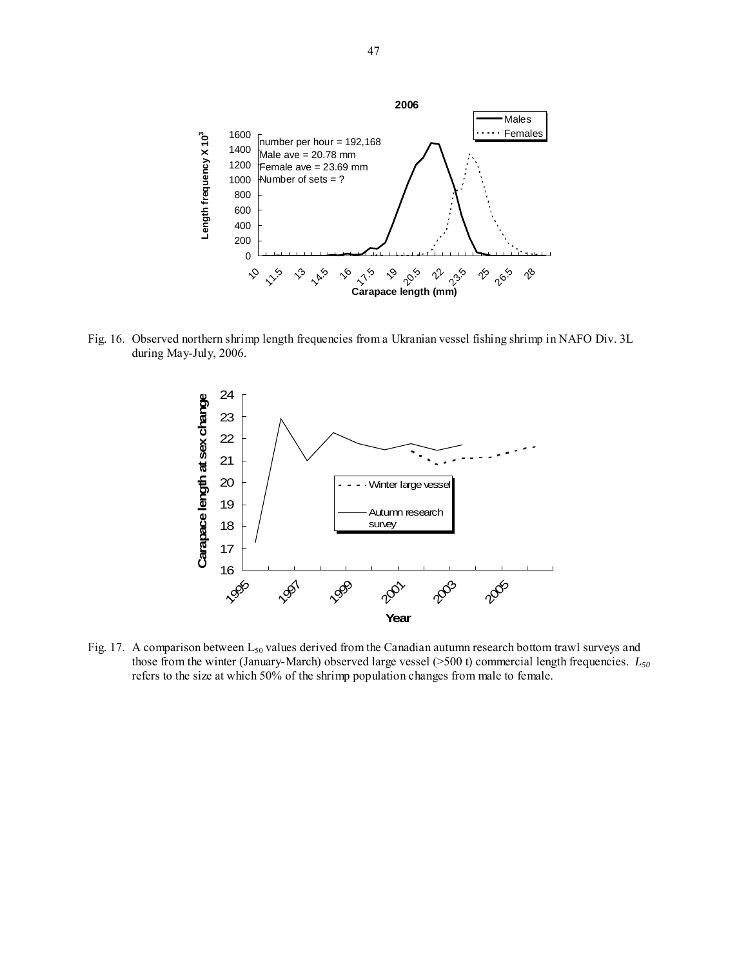

Fig. 16. Observed northern shrimp length frequencies from a Ukranian vessel fishing shrimp in NAFO Div. 3L during May-July, 2006.



Fig. 17. A comparison between  $L_{50}$  values derived from the Canadian autumn research bottom trawl surveys and those from the winter (January-March) observed large vessel (>500 t) commercial length frequencies. *L50* refers to the size at which 50% of the shrimp population changes from male to female.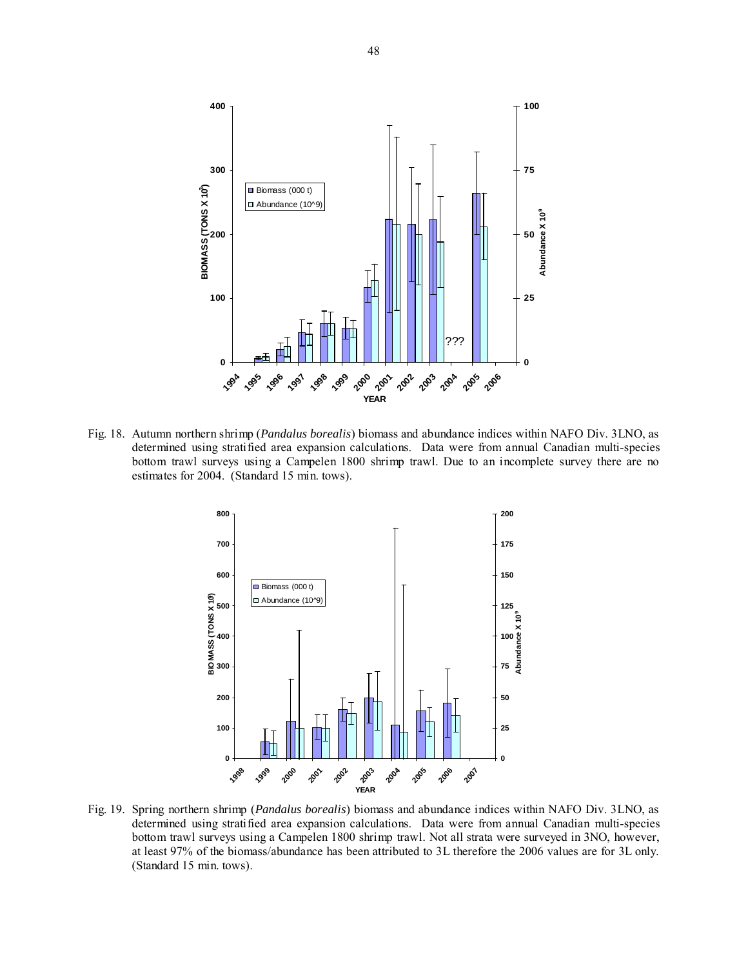

Fig. 18. Autumn northern shrimp (*Pandalus borealis*) biomass and abundance indices within NAFO Div. 3LNO, as determined using stratified area expansion calculations. Data were from annual Canadian multi-species bottom trawl surveys using a Campelen 1800 shrimp trawl. Due to an incomplete survey there are no estimates for 2004. (Standard 15 min. tows).



Fig. 19. Spring northern shrimp (*Pandalus borealis*) biomass and abundance indices within NAFO Div. 3LNO, as determined using stratified area expansion calculations. Data were from annual Canadian multi-species bottom trawl surveys using a Campelen 1800 shrimp trawl. Not all strata were surveyed in 3NO, however, at least 97% of the biomass/abundance has been attributed to 3L therefore the 2006 values are for 3L only. (Standard 15 min. tows).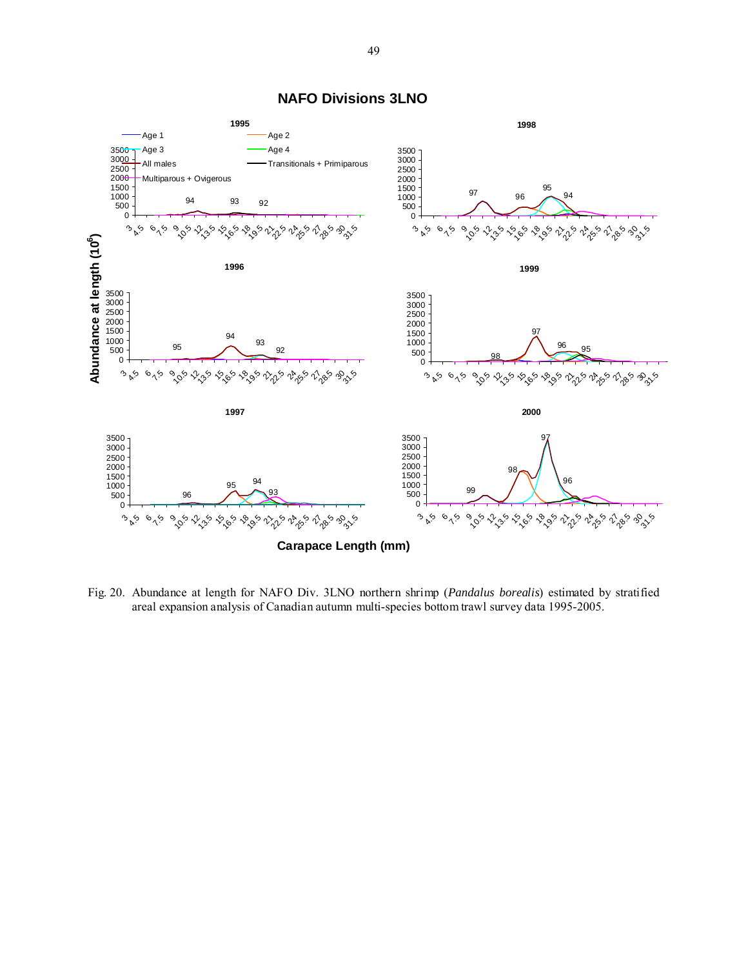

**NAFO Divisions 3LNO**

Fig. 20. Abundance at length for NAFO Div. 3LNO northern shrimp (*Pandalus borealis*) estimated by stratified areal expansion analysis of Canadian autumn multi-species bottom trawl survey data 1995-2005.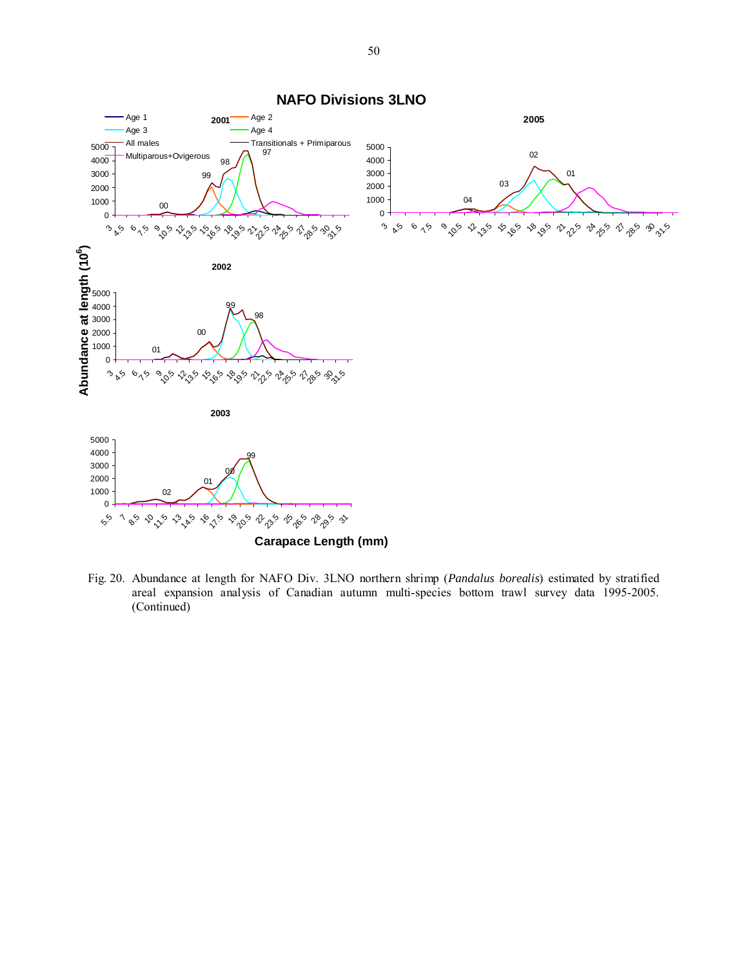

Fig. 20. Abundance at length for NAFO Div. 3LNO northern shrimp (*Pandalus borealis*) estimated by stratified areal expansion analysis of Canadian autumn multi-species bottom trawl survey data 1995-2005. (Continued)

**NAFO Divisions 3LNO**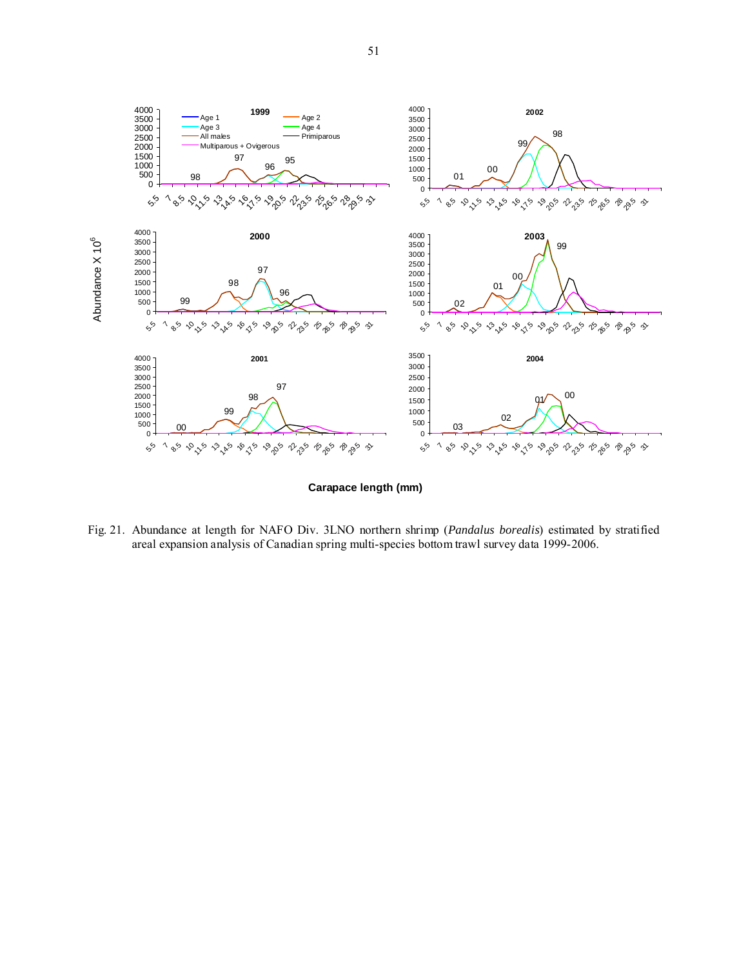

**Carapace length (mm)**

Fig. 21. Abundance at length for NAFO Div. 3LNO northern shrimp (*Pandalus borealis*) estimated by stratified areal expansion analysis of Canadian spring multi-species bottom trawl survey data 1999- 2006.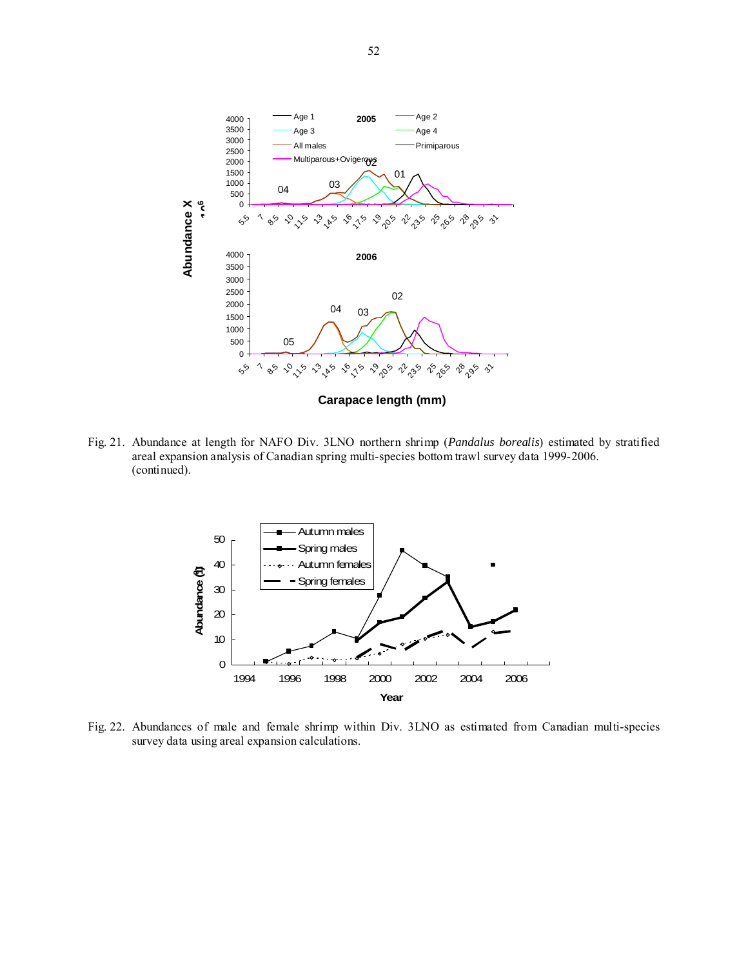

Fig. 21. Abundance at length for NAFO Div. 3LNO northern shrimp (*Pandalus borealis*) estimated by stratified areal expansion analysis of Canadian spring multi-species bottom trawl survey data 1999- 2006. (continued).



Fig. 22. Abundances of male and female shrimp within Div. 3LNO as estimated from Canadian multi-species survey data using areal expansion calculations.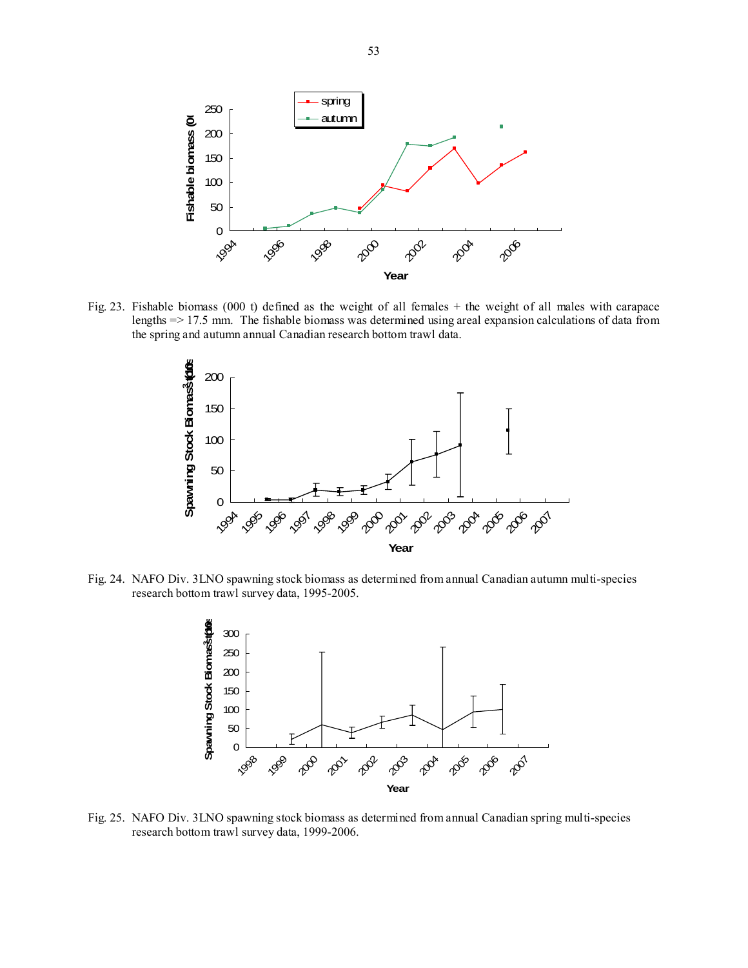

Fig. 23. Fishable biomass (000 t) defined as the weight of all females + the weight of all males with carapace lengths => 17.5 mm. The fishable biomass was determined using areal expansion calculations of data from the spring and autumn annual Canadian research bottom trawl data.



Fig. 24. NAFO Div. 3LNO spawning stock biomass as determined from annual Canadian autumn multi-species research bottom trawl survey data, 1995-2005.



Fig. 25. NAFO Div. 3LNO spawning stock biomass as determined from annual Canadian spring multi-species research bottom trawl survey data, 1999-2006.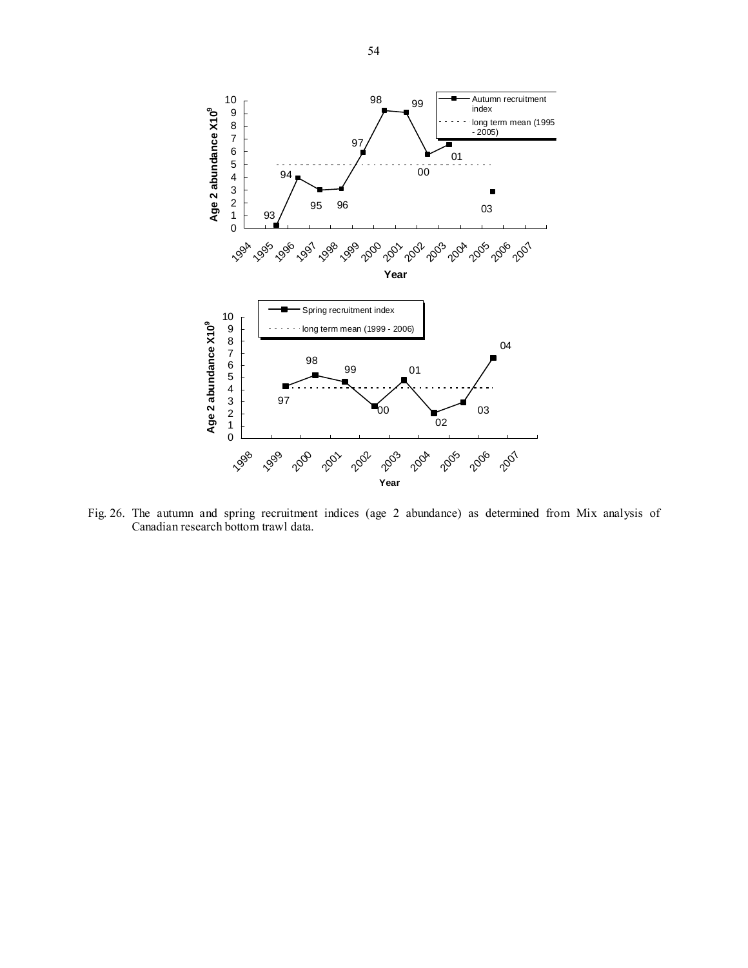

Fig. 26. The autumn and spring recruitment indices (age 2 abundance) as determined from Mix analysis of Canadian research bottom trawl data.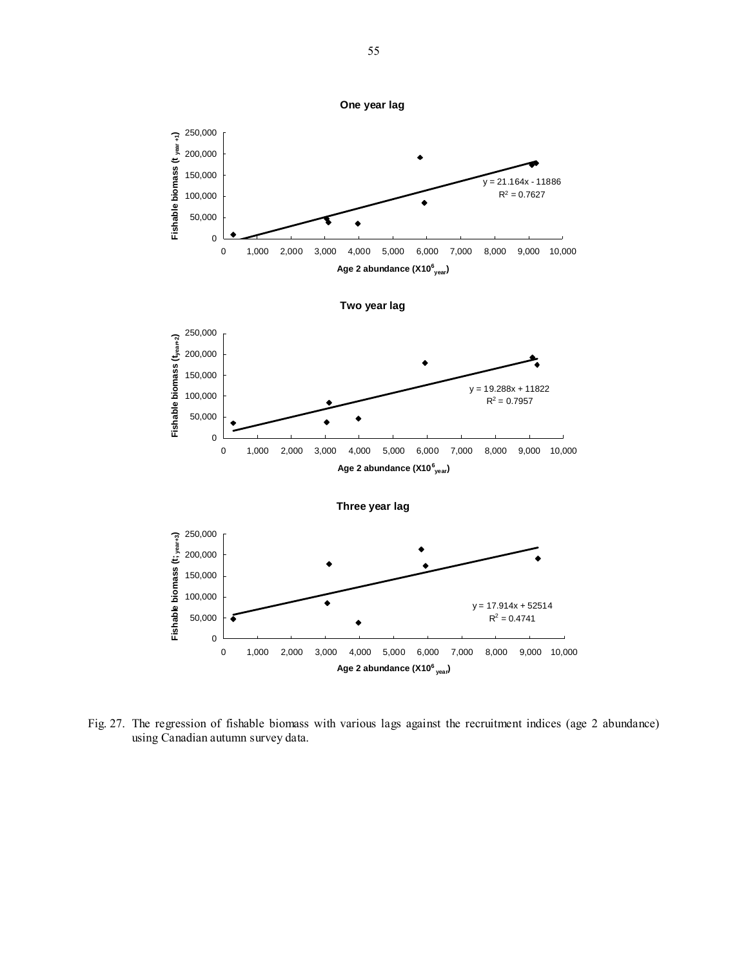

Fig. 27. The regression of fishable biomass with various lags against the recruitment indices (age 2 abundance) using Canadian autumn survey data.